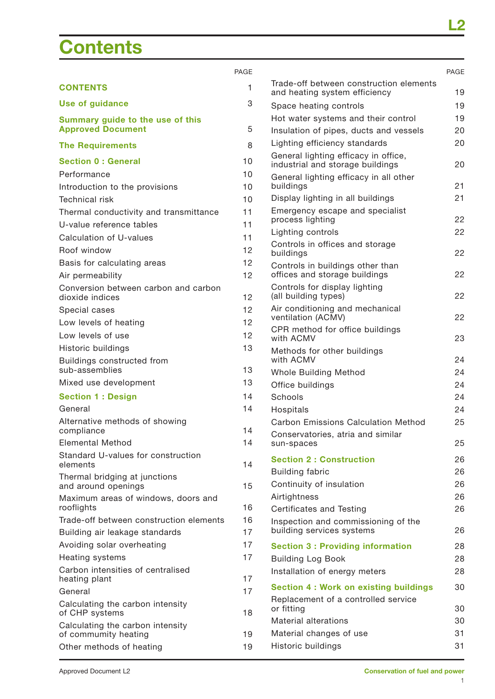# **Contents**

|                                                              | PAGE            |
|--------------------------------------------------------------|-----------------|
| <b>CONTENTS</b>                                              | 1               |
| <b>Use of guidance</b>                                       | З               |
| Summary guide to the use of this<br><b>Approved Document</b> | 5               |
| <b>The Requirements</b>                                      | 8               |
| <b>Section 0 : General</b>                                   | 10              |
| Performance                                                  | 10              |
| Introduction to the provisions                               | 10              |
| <b>Technical risk</b>                                        | 10              |
| Thermal conductivity and transmittance                       | 11              |
| U-value reference tables                                     | 11              |
| Calculation of U-values                                      | 11              |
| Roof window                                                  | 12 <sup>2</sup> |
| Basis for calculating areas                                  | 12              |
| Air permeability                                             | 12              |
| Conversion between carbon and carbon<br>dioxide indices      | 12              |
| Special cases                                                | 12              |
| Low levels of heating                                        | 12              |
| Low levels of use                                            | 12              |
| Historic buildings                                           | 13              |
| Buildings constructed from<br>sub-assemblies                 | 13              |
| Mixed use development                                        | 13              |
| <b>Section 1: Design</b>                                     | 14              |
| General                                                      | 14              |
| Alternative methods of showing<br>compliance                 | 14              |
| <b>Elemental Method</b>                                      | 14              |
| Standard U-values for construction<br>elements               | 14              |
| Thermal bridging at junctions                                |                 |
| and around openings<br>Maximum areas of windows, doors and   | 15              |
| rooflights                                                   | 16              |
| Trade-off between construction elements                      | 16              |
| Building air leakage standards                               | 17              |
| Avoiding solar overheating                                   | 17              |
| Heating systems                                              | 17              |
| Carbon intensities of centralised<br>heating plant           | 17              |
| General                                                      | 17              |
| Calculating the carbon intensity<br>of CHP systems           | 18              |
| Calculating the carbon intensity<br>of commumity heating     | 19              |
| Other methods of heating                                     | 19              |

|                                                                                     | <b>PAGE</b> |
|-------------------------------------------------------------------------------------|-------------|
| Trade-off between construction elements<br>and heating system efficiency            | 19          |
| Space heating controls                                                              | 19          |
| Hot water systems and their control                                                 | 19          |
| Insulation of pipes, ducts and vessels                                              | 20          |
| Lighting efficiency standards                                                       | 20          |
| General lighting efficacy in office,<br>industrial and storage buildings            | 20          |
| General lighting efficacy in all other<br>buildings                                 | 21          |
| Display lighting in all buildings                                                   | 21          |
| Emergency escape and specialist<br>process lighting                                 | 22          |
| Lighting controls                                                                   | 22          |
| Controls in offices and storage<br>buildings                                        | 22          |
| Controls in buildings other than<br>offices and storage buildings                   | 22          |
| Controls for display lighting<br>(all building types)                               | 22          |
| Air conditioning and mechanical<br>ventilation (ACMV)                               | 22          |
| CPR method for office buildings<br>with ACMV                                        | 23          |
| Methods for other buildings<br>with ACMV                                            | 24          |
| <b>Whole Building Method</b>                                                        | 24          |
| Office buildings                                                                    | 24          |
| Schools                                                                             | 24          |
| Hospitals                                                                           | 24          |
| <b>Carbon Emissions Calculation Method</b><br>Conservatories, atria and similar     | 25          |
| sun-spaces                                                                          | 25          |
| <b>Section 2: Construction</b>                                                      | 26          |
| <b>Building fabric</b>                                                              | 26          |
| Continuity of insulation                                                            | 26          |
| Airtightness                                                                        | 26          |
| Certificates and Testing                                                            | 26          |
| Inspection and commissioning of the<br>building services systems                    | 26          |
| <b>Section 3: Providing information</b>                                             | 28          |
| <b>Building Log Book</b>                                                            | 28          |
| Installation of energy meters                                                       | 28          |
| <b>Section 4: Work on existing buildings</b><br>Replacement of a controlled service | 30          |
| or fitting                                                                          | 30          |
| <b>Material alterations</b>                                                         | 30          |
| Material changes of use                                                             | 31          |
| Historic buildings                                                                  | 31          |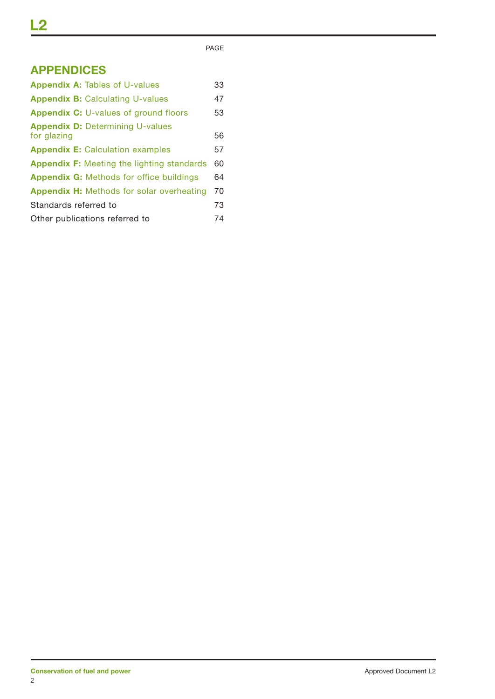PAGE

# **APPENDICES**

| <b>Appendix A: Tables of U-values</b>                  | 33 |
|--------------------------------------------------------|----|
| <b>Appendix B: Calculating U-values</b>                | 47 |
| <b>Appendix C:</b> U-values of ground floors           | 53 |
| <b>Appendix D: Determining U-values</b><br>for glazing | 56 |
| <b>Appendix E:</b> Calculation examples                | 57 |
| <b>Appendix F:</b> Meeting the lighting standards      | 60 |
| <b>Appendix G:</b> Methods for office buildings        | 64 |
| <b>Appendix H:</b> Methods for solar overheating       | 70 |
| Standards referred to                                  | 73 |
| Other publications referred to                         | 74 |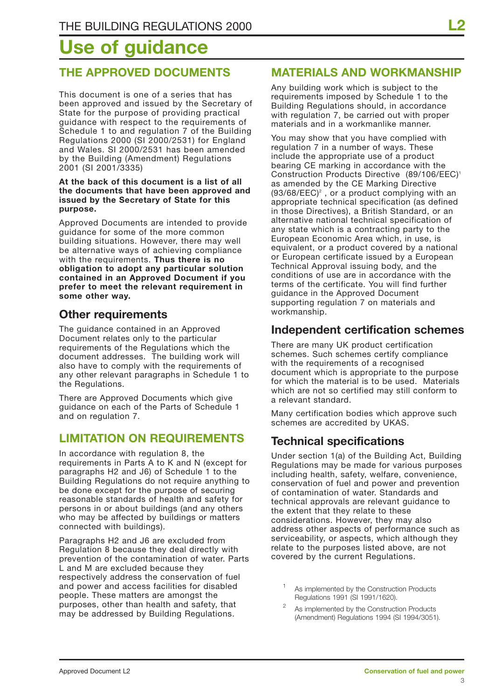# **Use of guidance**

## **THE APPROVED DOCUMENTS**

This document is one of a series that has been approved and issued by the Secretary of State for the purpose of providing practical guidance with respect to the requirements of Schedule 1 to and regulation 7 of the Building Regulations 2000 (SI 2000/2531) for England and Wales. SI 2000/2531 has been amended by the Building (Amendment) Regulations 2001 (SI 2001/3335)

#### **At the back of this document is a list of all the documents that have been approved and issued by the Secretary of State for this purpose.**

Approved Documents are intended to provide guidance for some of the more common building situations. However, there may well be alternative ways of achieving compliance with the requirements. **Thus there is no obligation to adopt any particular solution contained in an Approved Document if you prefer to meet the relevant requirement in some other way.**

## **Other requirements**

The guidance contained in an Approved Document relates only to the particular requirements of the Regulations which the document addresses. The building work will also have to comply with the requirements of any other relevant paragraphs in Schedule 1 to the Regulations.

There are Approved Documents which give guidance on each of the Parts of Schedule 1 and on regulation 7.

## **LIMITATION ON REQUIREMENTS**

In accordance with regulation 8, the requirements in Parts A to K and N (except for paragraphs H2 and J6) of Schedule 1 to the Building Regulations do not require anything to be done except for the purpose of securing reasonable standards of health and safety for persons in or about buildings (and any others who may be affected by buildings or matters connected with buildings).

Paragraphs H2 and J6 are excluded from Regulation 8 because they deal directly with prevention of the contamination of water. Parts L and M are excluded because they respectively address the conservation of fuel and power and access facilities for disabled people. These matters are amongst the purposes, other than health and safety, that may be addressed by Building Regulations.

## **MATERIALS AND WORKMANSHIP**

Any building work which is subject to the requirements imposed by Schedule 1 to the Building Regulations should, in accordance with regulation 7, be carried out with proper materials and in a workmanlike manner.

You may show that you have complied with regulation 7 in a number of ways. These include the appropriate use of a product bearing CE marking in accordance with the Construction Products Directive (89/106/EEC)1 as amended by the CE Marking Directive  $(93/68/EEC)^2$ , or a product complying with an appropriate technical specification (as defined in those Directives), a British Standard, or an alternative national technical specification of any state which is a contracting party to the European Economic Area which, in use, is equivalent, or a product covered by a national or European certificate issued by a European Technical Approval issuing body, and the conditions of use are in accordance with the terms of the certificate. You will find further guidance in the Approved Document supporting regulation 7 on materials and workmanship.

## **Independent certification schemes**

There are many UK product certification schemes. Such schemes certify compliance with the requirements of a recognised document which is appropriate to the purpose for which the material is to be used. Materials which are not so certified may still conform to a relevant standard.

Many certification bodies which approve such schemes are accredited by UKAS.

## **Technical specifications**

Under section 1(a) of the Building Act, Building Regulations may be made for various purposes including health, safety, welfare, convenience, conservation of fuel and power and prevention of contamination of water. Standards and technical approvals are relevant guidance to the extent that they relate to these considerations. However, they may also address other aspects of performance such as serviceability, or aspects, which although they relate to the purposes listed above, are not covered by the current Regulations.

- As implemented by the Construction Products Regulations 1991 (SI 1991/1620).
- As implemented by the Construction Products (Amendment) Regulations 1994 (SI 1994/3051).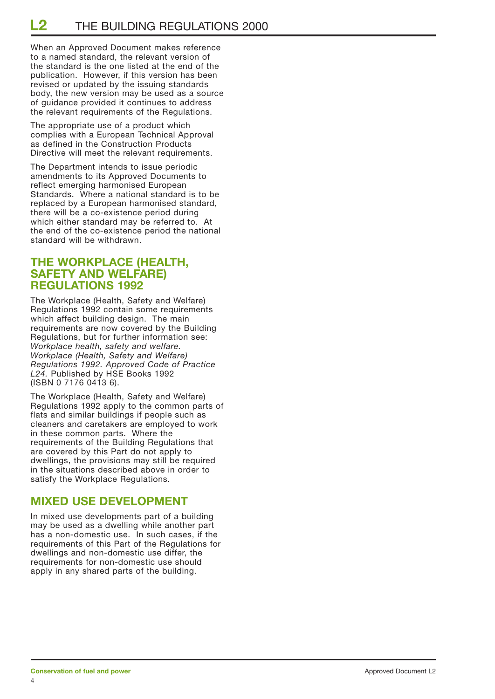When an Approved Document makes reference to a named standard, the relevant version of the standard is the one listed at the end of the publication. However, if this version has been revised or updated by the issuing standards body, the new version may be used as a source of guidance provided it continues to address the relevant requirements of the Regulations.

The appropriate use of a product which complies with a European Technical Approval as defined in the Construction Products Directive will meet the relevant requirements.

The Department intends to issue periodic amendments to its Approved Documents to reflect emerging harmonised European Standards. Where a national standard is to be replaced by a European harmonised standard, there will be a co-existence period during which either standard may be referred to. At the end of the co-existence period the national standard will be withdrawn.

## **THE WORKPLACE (HEALTH, SAFETY AND WELFARE) REGULATIONS 1992**

The Workplace (Health, Safety and Welfare) Regulations 1992 contain some requirements which affect building design. The main requirements are now covered by the Building Regulations, but for further information see: *Workplace health, safety and welfare. Workplace (Health, Safety and Welfare) Regulations 1992. Approved Code of Practice L24.* Published by HSE Books 1992 (ISBN 0 7176 0413 6).

The Workplace (Health, Safety and Welfare) Regulations 1992 apply to the common parts of flats and similar buildings if people such as cleaners and caretakers are employed to work in these common parts. Where the requirements of the Building Regulations that are covered by this Part do not apply to dwellings, the provisions may still be required in the situations described above in order to satisfy the Workplace Regulations.

## **MIXED USE DEVELOPMENT**

In mixed use developments part of a building may be used as a dwelling while another part has a non-domestic use. In such cases, if the requirements of this Part of the Regulations for dwellings and non-domestic use differ, the requirements for non-domestic use should apply in any shared parts of the building.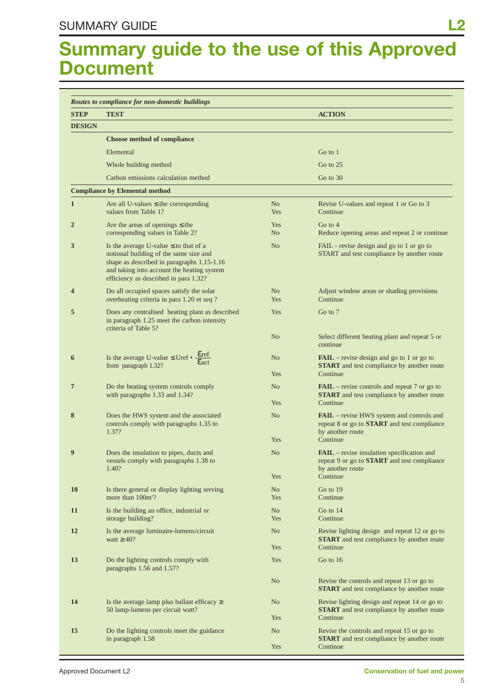# **Summary guide to the use of this Approved Document**

| TEST                                                                                                                                                                                                                      |                                                                                                                                               | <b>ACTION</b>                                                                                                                           |
|---------------------------------------------------------------------------------------------------------------------------------------------------------------------------------------------------------------------------|-----------------------------------------------------------------------------------------------------------------------------------------------|-----------------------------------------------------------------------------------------------------------------------------------------|
|                                                                                                                                                                                                                           |                                                                                                                                               |                                                                                                                                         |
| <b>Choose method of compliance</b>                                                                                                                                                                                        |                                                                                                                                               |                                                                                                                                         |
| Elemental                                                                                                                                                                                                                 |                                                                                                                                               | Go to 1                                                                                                                                 |
| Whole building method                                                                                                                                                                                                     |                                                                                                                                               | Go to 25                                                                                                                                |
| Carbon emissions calculation method                                                                                                                                                                                       |                                                                                                                                               | Go to 30                                                                                                                                |
|                                                                                                                                                                                                                           |                                                                                                                                               |                                                                                                                                         |
| Are all U-values $\leq$ the corresponding<br>values from Table 1?                                                                                                                                                         | N <sub>o</sub><br>Yes                                                                                                                         | Revise U-values and repeat 1 or Go to 3<br>Continue                                                                                     |
| Are the areas of openings $\leq$ the<br>corresponding values in Table 2?                                                                                                                                                  | Yes<br>N <sub>o</sub>                                                                                                                         | Go to $4$<br>Reduce opening areas and repeat 2 or continue                                                                              |
| Is the average U-value $\leq$ to that of a<br>notional building of the same size and<br>shape as described in paragraphs 1.15-1.16<br>and taking into account the heating system<br>efficiency as described in para 1.32? | N <sub>o</sub>                                                                                                                                | FAIL - revise design and go to 1 or go to<br>START and test compliance by another route                                                 |
| Do all occupied spaces satisfy the solar<br>overheating criteria in para 1.20 et seq ?                                                                                                                                    | N <sub>o</sub><br>Yes                                                                                                                         | Adjust window areas or shading provisions<br>Continue                                                                                   |
| Does any centralised heating plant as described<br>in paragraph 1.25 meet the carbon intensity                                                                                                                            | Yes                                                                                                                                           | Go to 7                                                                                                                                 |
|                                                                                                                                                                                                                           | N <sub>o</sub>                                                                                                                                | Select different heating plant and repeat 5 or<br>continue                                                                              |
| Eret<br>Is the average U-value $\leq$ Uref •<br>Eact<br>from paragraph 1.32?                                                                                                                                              | N <sub>o</sub><br>Yes                                                                                                                         | <b>FAIL</b> – revise design and go to 1 or go to<br><b>START</b> and test compliance by another route<br>Continue                       |
| Do the heating system controls comply                                                                                                                                                                                     | N <sub>o</sub>                                                                                                                                | $\textbf{FAIL}$ – revise controls and repeat 7 or go to<br><b>START</b> and test compliance by another route                            |
|                                                                                                                                                                                                                           | Yes                                                                                                                                           | Continue                                                                                                                                |
| Does the HWS system and the associated<br>controls comply with paragraphs 1.35 to<br>1.37?                                                                                                                                | N <sub>o</sub><br>Yes                                                                                                                         | <b>FAIL</b> – revise HWS system and controls and<br>repeat 8 or go to START and test compliance<br>by another route<br>Continue         |
| Does the insulation to pipes, ducts and<br>vessels comply with paragraphs 1.38 to<br>1.40?                                                                                                                                | N <sub>o</sub><br>Yes                                                                                                                         | <b>FAIL</b> – revise insulation specification and<br>repeat 9 or go to <b>START</b> and test compliance<br>by another route<br>Continue |
| Is there general or display lighting serving<br>more than 100m <sup>2</sup> ?                                                                                                                                             | N <sub>o</sub><br>Yes                                                                                                                         | Go to 19<br>Continue                                                                                                                    |
| Is the building an office, industrial or<br>storage building?                                                                                                                                                             | N <sub>o</sub><br>Yes                                                                                                                         | Go to 14<br>Continue                                                                                                                    |
| Is the average luminaire-lumens/circuit<br>watt $\geq 40$ ?                                                                                                                                                               | N <sub>o</sub>                                                                                                                                | Revise lighting design and repeat 12 or go to<br><b>START</b> and test compliance by another route                                      |
|                                                                                                                                                                                                                           | Yes                                                                                                                                           | Continue                                                                                                                                |
| Do the lighting controls comply with<br>paragraphs 1.56 and 1.57?                                                                                                                                                         | Yes                                                                                                                                           | Go to 16                                                                                                                                |
|                                                                                                                                                                                                                           | No                                                                                                                                            | Revise the controls and repeat 13 or go to<br><b>START</b> and test compliance by another route                                         |
| Is the average lamp plus ballast efficacy $\geq$<br>50 lamp-lumens per circuit watt?                                                                                                                                      | N <sub>o</sub>                                                                                                                                | Revise lighting design and repeat 14 or go to<br><b>START</b> and test compliance by another route                                      |
|                                                                                                                                                                                                                           |                                                                                                                                               | Continue                                                                                                                                |
| in paragraph 1.58                                                                                                                                                                                                         |                                                                                                                                               | Revise the controls and repeat 15 or go to<br><b>START</b> and test compliance by another route                                         |
|                                                                                                                                                                                                                           | <b>Compliance by Elemental method</b><br>criteria of Table 5?<br>with paragraphs 1.33 and 1.34?<br>Do the lighting controls meet the guidance | Yes<br>N <sub>o</sub>                                                                                                                   |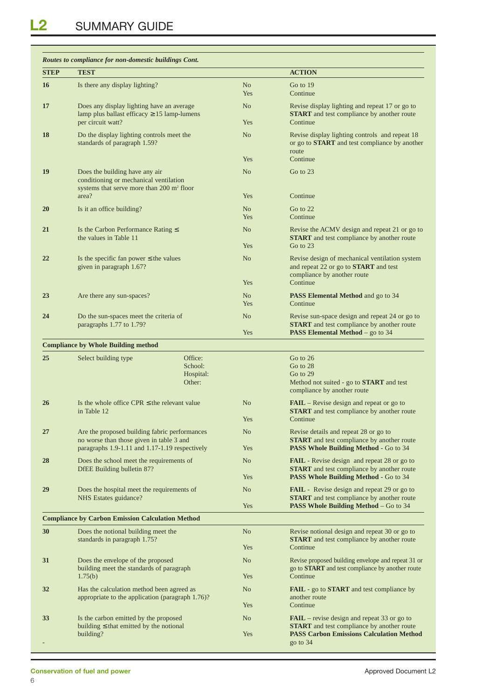# **SUMMARY GUIDE**

| <b>STEP</b> | <b>TEST</b>                                                                                                                       |                       | <b>ACTION</b>                                                                                                          |
|-------------|-----------------------------------------------------------------------------------------------------------------------------------|-----------------------|------------------------------------------------------------------------------------------------------------------------|
| 16          | Is there any display lighting?                                                                                                    | N <sub>o</sub><br>Yes | Go to 19<br>Continue                                                                                                   |
| 17          | Does any display lighting have an average<br>lamp plus ballast efficacy $\geq 15$ lamp-lumens<br>per circuit watt?                | N <sub>o</sub><br>Yes | Revise display lighting and repeat 17 or go to<br><b>START</b> and test compliance by another route<br>Continue        |
|             |                                                                                                                                   |                       |                                                                                                                        |
| 18          | Do the display lighting controls meet the<br>standards of paragraph 1.59?                                                         | N <sub>o</sub>        | Revise display lighting controls and repeat 18<br>or go to <b>START</b> and test compliance by another<br>route        |
|             |                                                                                                                                   | Yes                   | Continue                                                                                                               |
| 19          | Does the building have any air<br>conditioning or mechanical ventilation<br>systems that serve more than 200 m <sup>2</sup> floor | N <sub>o</sub>        | Go to 23                                                                                                               |
|             | area?                                                                                                                             | Yes                   | Continue                                                                                                               |
| 20          | Is it an office building?                                                                                                         | No<br>Yes             | Go to 22<br>Continue                                                                                                   |
|             |                                                                                                                                   |                       |                                                                                                                        |
| 21          | Is the Carbon Performance Rating $\leq$<br>the values in Table 11                                                                 | N <sub>o</sub>        | Revise the ACMV design and repeat 21 or go to<br><b>START</b> and test compliance by another route                     |
|             |                                                                                                                                   | Yes                   | Go to 23                                                                                                               |
| 22          | Is the specific fan power $\leq$ the values<br>given in paragraph 1.67?                                                           | N <sub>o</sub>        | Revise design of mechanical ventilation system<br>and repeat 22 or go to START and test<br>compliance by another route |
|             |                                                                                                                                   | Yes                   | Continue                                                                                                               |
| 23          | Are there any sun-spaces?                                                                                                         | N <sub>o</sub>        | <b>PASS Elemental Method</b> and go to 34                                                                              |
|             |                                                                                                                                   | Yes                   | Continue                                                                                                               |
| 24          | Do the sun-spaces meet the criteria of<br>paragraphs 1.77 to 1.79?                                                                | N <sub>o</sub>        | Revise sun-space design and repeat 24 or go to<br><b>START</b> and test compliance by another route                    |
|             |                                                                                                                                   | Yes                   | <b>PASS Elemental Method</b> – go to 34                                                                                |

#### **25** Select building type Office: Go to 26<br>School: Go to 28<br>Go to 28 Go to 28 Hospital: Go to 29 Other: Method not suited - go to **START** and test compliance by another route **26** Is the whole office CPR ≤ the relevant value No **FAIL** – Revise design and repeat or go to in Table 12 **START** and test compliance by another route Yes Continue **27** Are the proposed building fabric performances No Revise details and repeat 28 or go to no worse than those given in table 3 and<br>paragraphs 1.9-1.11 and 1.17-1.19 respectively<br>**FASS Whole Building Method** - Go to 34 paragraphs 1.9-1.11 and 1.17-1.19 respectively **PASS West Whole Building Methods** Yes **28** Does the school meet the requirements of No **FAIL** - Revise design and repeat 28 or go to DfEE Building bulletin 87? **START** and test compliance by another route Yes **PASS Whole Building Method** - Go to 34 29 Does the hospital meet the requirements of No **FAIL** - Revise design and repeat 29 or go to NHS Estates guidance? **START** and test compliance by another route<br> **START** and test compliance by another route<br> **START** and test compliance by another route<br> **PASS Whole Building Method** – Go to 34 PASS Whole Building Method – Go to 34 **Compliance by Carbon Emission Calculation Method 30** Does the notional building meet the No Revise notional design and repeat 30 or go to standards in paragraph 1.75? **START** and test compliance by another route Yes Continue **31** Does the envelope of the proposed No Revise proposed building envelope and repeat 31 or building meet the standards of paragraph go to **START** and test compliance by another route 1.75(b) Yes Continue **32** Has the calculation method been agreed as No **FAIL** - go to **START** and test compliance by appropriate to the application (paragraph 1.76)? appropriate to the application (paragraph 1.76)? Yes Continue **33** Is the carbon emitted by the proposed No **FAIL** – revise design and repeat 33 or go to building ≤ that emitted by the notional **START** and test compliance by another route<br>building?<br>**START** and test compliance by another route<br>**PASS Carbon Emissions Calculation Metho** building? Yes **PASS Carbon Emissions Calculation Method** - go to 34  $\pm$  go to 34  $\pm$  go to 34  $\pm$  go to 34  $\pm$  go to 34  $\pm$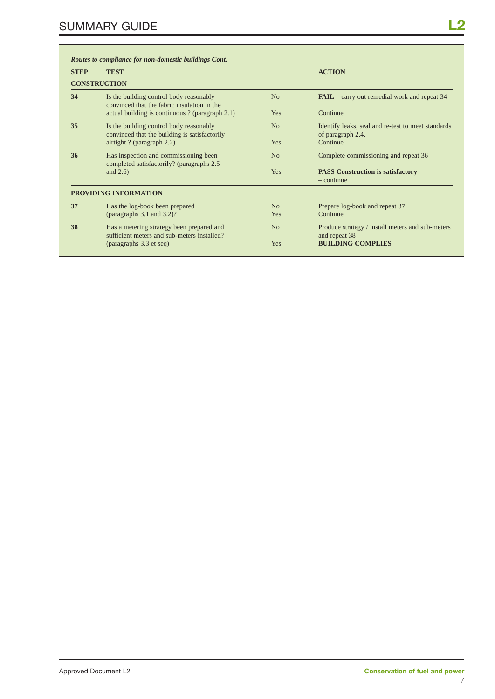| <b>STEP</b>         | <b>TEST</b>                                                                              |                | <b>ACTION</b>                                                           |  |
|---------------------|------------------------------------------------------------------------------------------|----------------|-------------------------------------------------------------------------|--|
| <b>CONSTRUCTION</b> |                                                                                          |                |                                                                         |  |
| 34                  | Is the building control body reasonably<br>convinced that the fabric insulation in the   | No             | <b>FAIL</b> – carry out remedial work and repeat 34                     |  |
|                     | actual building is continuous? (paragraph 2.1)                                           | Yes            | Continue                                                                |  |
| 35                  | Is the building control body reasonably<br>convinced that the building is satisfactorily | No             | Identify leaks, seal and re-test to meet standards<br>of paragraph 2.4. |  |
|                     | airtight? (paragraph 2.2)                                                                | Yes            | Continue                                                                |  |
| 36                  | Has inspection and commissioning been<br>completed satisfactorily? (paragraphs 2.5)      | N <sub>0</sub> | Complete commissioning and repeat 36                                    |  |
|                     | and $2.6$ )                                                                              | <b>Yes</b>     | <b>PASS Construction is satisfactory</b><br>$-$ continue                |  |
|                     | <b>PROVIDING INFORMATION</b>                                                             |                |                                                                         |  |
| 37                  | Has the log-book been prepared                                                           | N <sub>o</sub> | Prepare log-book and repeat 37                                          |  |
|                     | (paragraphs $3.1$ and $3.2$ )?                                                           | <b>Yes</b>     | Continue                                                                |  |
| 38                  | Has a metering strategy been prepared and<br>sufficient meters and sub-meters installed? | N <sub>0</sub> | Produce strategy / install meters and sub-meters<br>and repeat 38       |  |
|                     | (paragraphs 3.3 et seq)                                                                  | Yes            | <b>BUILDING COMPLIES</b>                                                |  |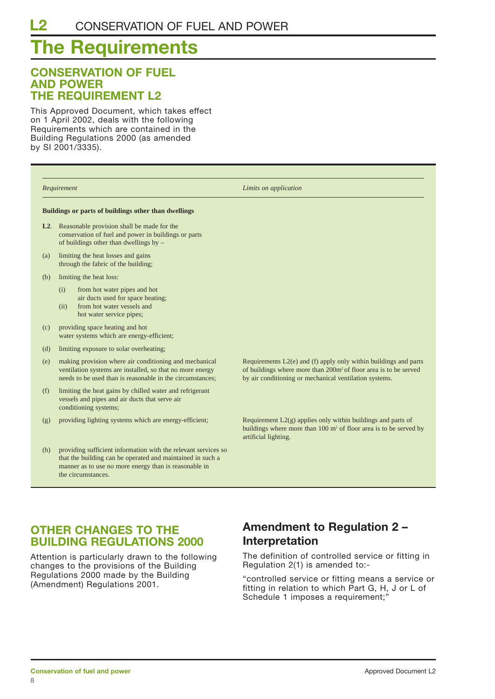# **The Requirements**

## **CONSERVATION OF FUEL AND POWER THE REQUIREMENT L2**

This Approved Document, which takes effect on 1 April 2002, deals with the following Requirements which are contained in the Building Regulations 2000 (as amended by SI 2001/3335).

| Requirement |                                                                                                                                                                                       | Limits on application                                                                                                                                                                                        |  |
|-------------|---------------------------------------------------------------------------------------------------------------------------------------------------------------------------------------|--------------------------------------------------------------------------------------------------------------------------------------------------------------------------------------------------------------|--|
|             | Buildings or parts of buildings other than dwellings                                                                                                                                  |                                                                                                                                                                                                              |  |
|             | <b>L2.</b> Reasonable provision shall be made for the<br>conservation of fuel and power in buildings or parts<br>of buildings other than dwellings by $-$                             |                                                                                                                                                                                                              |  |
| (a)         | limiting the heat losses and gains<br>through the fabric of the building;                                                                                                             |                                                                                                                                                                                                              |  |
| (b)         | limiting the heat loss:                                                                                                                                                               |                                                                                                                                                                                                              |  |
|             | from hot water pipes and hot<br>(i)<br>air ducts used for space heating;<br>from hot water vessels and<br>(ii)<br>hot water service pipes;                                            |                                                                                                                                                                                                              |  |
| (c)         | providing space heating and hot<br>water systems which are energy-efficient;                                                                                                          |                                                                                                                                                                                                              |  |
| (d)         | limiting exposure to solar overheating;                                                                                                                                               |                                                                                                                                                                                                              |  |
| (e)         | making provision where air conditioning and mechanical<br>ventilation systems are installed, so that no more energy<br>needs to be used than is reasonable in the circumstances;      | Requirements $L2(e)$ and (f) apply only within buildings and parts<br>of buildings where more than 200m <sup>2</sup> of floor area is to be served<br>by air conditioning or mechanical ventilation systems. |  |
| (f)         | limiting the heat gains by chilled water and refrigerant<br>vessels and pipes and air ducts that serve air<br>conditioning systems;                                                   |                                                                                                                                                                                                              |  |
| (g)         | providing lighting systems which are energy-efficient;                                                                                                                                | Requirement $L2(g)$ applies only within buildings and parts of<br>buildings where more than $100 \text{ m}^2$ of floor area is to be served by<br>artificial lighting.                                       |  |
| (h)         | providing sufficient information with the relevant services so<br>that the building can be operated and maintained in such a<br>manner as to use no more energy than is reasonable in |                                                                                                                                                                                                              |  |

## **OTHER CHANGES TO THE BUILDING REGULATIONS 2000**

Attention is particularly drawn to the following changes to the provisions of the Building Regulations 2000 made by the Building (Amendment) Regulations 2001.

# **Amendment to Regulation 2 – Interpretation**

The definition of controlled service or fitting in Regulation 2(1) is amended to:-

"controlled service or fitting means a service or fitting in relation to which Part G, H, J or L of Schedule 1 imposes a requirement;"

the circumstances.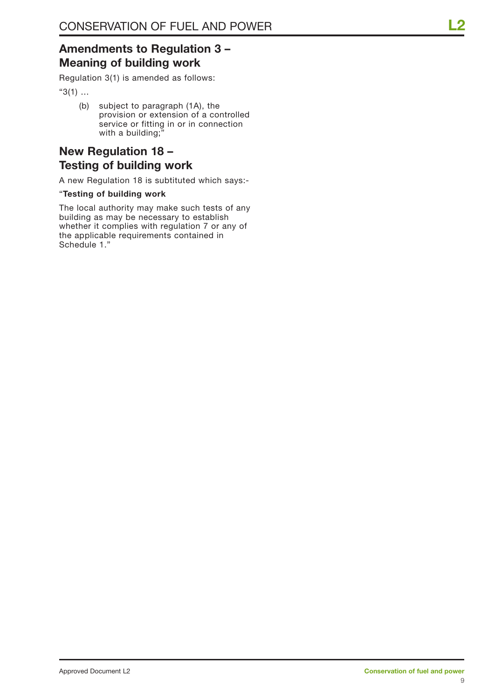# **Amendments to Regulation 3 – Meaning of building work**

Regulation 3(1) is amended as follows:

"3(1) …

(b) subject to paragraph (1A), the provision or extension of a controlled service or fitting in or in connection with a building;"

# **New Regulation 18 – Testing of building work**

A new Regulation 18 is subtituted which says:-

#### "**Testing of building work**

The local authority may make such tests of any building as may be necessary to establish whether it complies with regulation 7 or any of the applicable requirements contained in Schedule 1."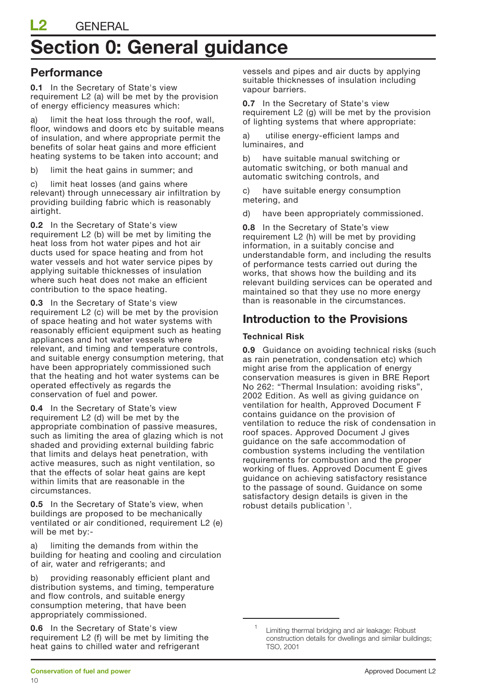# **Section 0: General guidance**

## **Performance**

**0.1** In the Secretary of State's view requirement L2 (a) will be met by the provision of energy efficiency measures which:

a) limit the heat loss through the roof, wall, floor, windows and doors etc by suitable means of insulation, and where appropriate permit the benefits of solar heat gains and more efficient heating systems to be taken into account; and

b) limit the heat gains in summer; and

c) limit heat losses (and gains where relevant) through unnecessary air infiltration by providing building fabric which is reasonably airtight.

**0.2** In the Secretary of State's view requirement L2 (b) will be met by limiting the heat loss from hot water pipes and hot air ducts used for space heating and from hot water vessels and hot water service pipes by applying suitable thicknesses of insulation where such heat does not make an efficient contribution to the space heating.

**0.3** In the Secretary of State's view requirement L2 (c) will be met by the provision of space heating and hot water systems with reasonably efficient equipment such as heating appliances and hot water vessels where relevant, and timing and temperature controls, and suitable energy consumption metering, that have been appropriately commissioned such that the heating and hot water systems can be operated effectively as regards the conservation of fuel and power.

**0.4** In the Secretary of State's view requirement L2 (d) will be met by the appropriate combination of passive measures, such as limiting the area of glazing which is not shaded and providing external building fabric that limits and delays heat penetration, with active measures, such as night ventilation, so that the effects of solar heat gains are kept within limits that are reasonable in the circumstances.

**0.5** In the Secretary of State's view, when buildings are proposed to be mechanically ventilated or air conditioned, requirement L2 (e) will be met by:-

a) limiting the demands from within the building for heating and cooling and circulation of air, water and refrigerants; and

b) providing reasonably efficient plant and distribution systems, and timing, temperature and flow controls, and suitable energy consumption metering, that have been appropriately commissioned.

**0.6** In the Secretary of State's view requirement L2 (f) will be met by limiting the heat gains to chilled water and refrigerant

vessels and pipes and air ducts by applying suitable thicknesses of insulation including vapour barriers.

**0.7** In the Secretary of State's view requirement L2 (g) will be met by the provision of lighting systems that where appropriate:

a) utilise energy-efficient lamps and luminaires, and

b) have suitable manual switching or automatic switching, or both manual and automatic switching controls, and

c) have suitable energy consumption metering, and

d) have been appropriately commissioned.

**0.8** In the Secretary of State's view requirement L2 (h) will be met by providing information, in a suitably concise and understandable form, and including the results of performance tests carried out during the works, that shows how the building and its relevant building services can be operated and maintained so that they use no more energy than is reasonable in the circumstances.

## **Introduction to the Provisions**

#### **Technical Risk**

**0.9** Guidance on avoiding technical risks (such as rain penetration, condensation etc) which might arise from the application of energy conservation measures is given in BRE Report No 262: "Thermal Insulation: avoiding risks", 2002 Edition. As well as giving guidance on ventilation for health, Approved Document F contains guidance on the provision of ventilation to reduce the risk of condensation in roof spaces. Approved Document J gives guidance on the safe accommodation of combustion systems including the ventilation requirements for combustion and the proper working of flues. Approved Document E gives guidance on achieving satisfactory resistance to the passage of sound. Guidance on some satisfactory design details is given in the robust details publication<sup>1</sup>.

Limiting thermal bridging and air leakage: Robust construction details for dwellings and similar buildings; TSO, 2001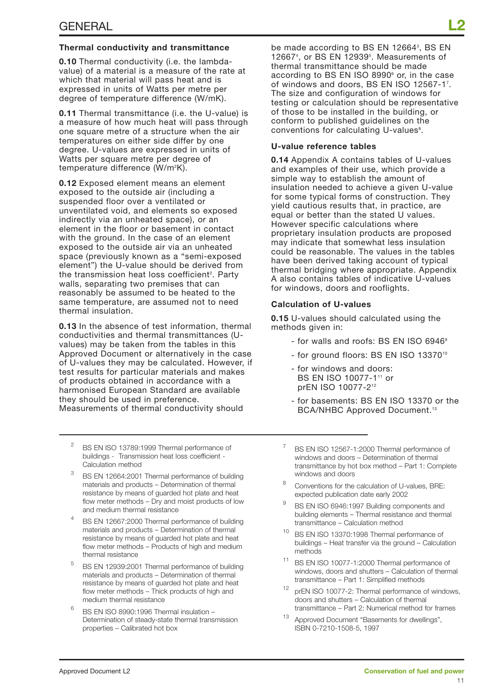#### **Thermal conductivity and transmittance**

**0.10** Thermal conductivity (i.e. the lambdavalue) of a material is a measure of the rate at which that material will pass heat and is expressed in units of Watts per metre per degree of temperature difference (W/mK).

**0.11** Thermal transmittance (i.e. the U-value) is a measure of how much heat will pass through one square metre of a structure when the air temperatures on either side differ by one degree. U-values are expressed in units of Watts per square metre per degree of temperature difference (W/m<sup>2</sup>K).

**0.12** Exposed element means an element exposed to the outside air (including a suspended floor over a ventilated or unventilated void, and elements so exposed indirectly via an unheated space), or an element in the floor or basement in contact with the ground. In the case of an element exposed to the outside air via an unheated space (previously known as a "semi-exposed element") the U-value should be derived from the transmission heat loss coefficient<sup>2</sup>. Party walls, separating two premises that can reasonably be assumed to be heated to the same temperature, are assumed not to need thermal insulation.

**0.13** In the absence of test information, thermal conductivities and thermal transmittances (Uvalues) may be taken from the tables in this Approved Document or alternatively in the case of U-values they may be calculated. However, if test results for particular materials and makes of products obtained in accordance with a harmonised European Standard are available they should be used in preference. Measurements of thermal conductivity should

- <sup>2</sup> BS EN ISO 13789:1999 Thermal performance of buildings - Transmission heat loss coefficient - Calculation method
- <sup>3</sup> BS EN 12664:2001 Thermal performance of building materials and products – Determination of thermal resistance by means of guarded hot plate and heat flow meter methods – Dry and moist products of low and medium thermal resistance
- <sup>4</sup> BS EN 12667:2000 Thermal performance of building materials and products – Determination of thermal resistance by means of guarded hot plate and heat flow meter methods – Products of high and medium thermal resistance
- <sup>5</sup> BS EN 12939:2001 Thermal performance of building materials and products – Determination of thermal resistance by means of guarded hot plate and heat flow meter methods – Thick products of high and medium thermal resistance
- $6$  BS EN ISO 8990:1996 Thermal insulation Determination of steady-state thermal transmission properties – Calibrated hot box

be made according to BS EN 12664<sup>3</sup>, BS EN 12667<sup>4</sup>, or BS EN 12939<sup>5</sup>. Measurements of thermal transmittance should be made according to BS EN ISO 8990<sup>6</sup> or, in the case of windows and doors, BS EN ISO 12567-17 . The size and configuration of windows for testing or calculation should be representative of those to be installed in the building, or conform to published guidelines on the conventions for calculating U-values<sup>8</sup>.

#### **U-value reference tables**

**0.14** Appendix A contains tables of U-values and examples of their use, which provide a simple way to establish the amount of insulation needed to achieve a given U-value for some typical forms of construction. They yield cautious results that, in practice, are equal or better than the stated U values. However specific calculations where proprietary insulation products are proposed may indicate that somewhat less insulation could be reasonable. The values in the tables have been derived taking account of typical thermal bridging where appropriate. Appendix A also contains tables of indicative U-values for windows, doors and rooflights.

#### **Calculation of U-values**

**0.15** U-values should calculated using the methods given in:

- for walls and roofs: BS EN ISO 6946<sup>9</sup>
- for ground floors: BS EN ISO 13370<sup>10</sup>
- for windows and doors: BS EN ISO 10077-111 or prEN ISO 10077-212
- for basements: BS EN ISO 13370 or the BCA/NHBC Approved Document.<sup>13</sup>
- <sup>7</sup> BS EN ISO 12567-1:2000 Thermal performance of windows and doors – Determination of thermal transmittance by hot box method – Part 1: Complete windows and doors
- <sup>8</sup> Conventions for the calculation of U-values, BRE: expected publication date early 2002
- <sup>9</sup> BS EN ISO 6946:1997 Building components and building elements – Thermal resistance and thermal transmittance – Calculation method
- <sup>10</sup> BS EN ISO 13370:1998 Thermal performance of buildings – Heat transfer via the ground – Calculation methods
- <sup>11</sup> BS EN ISO 10077-1:2000 Thermal performance of windows, doors and shutters – Calculation of thermal transmittance – Part 1: Simplified methods
- <sup>12</sup> prEN ISO 10077-2: Thermal performance of windows, doors and shutters – Calculation of thermal transmittance – Part 2: Numerical method for frames
- <sup>13</sup> Approved Document "Basements for dwellings", ISBN 0-7210-1508-5, 1997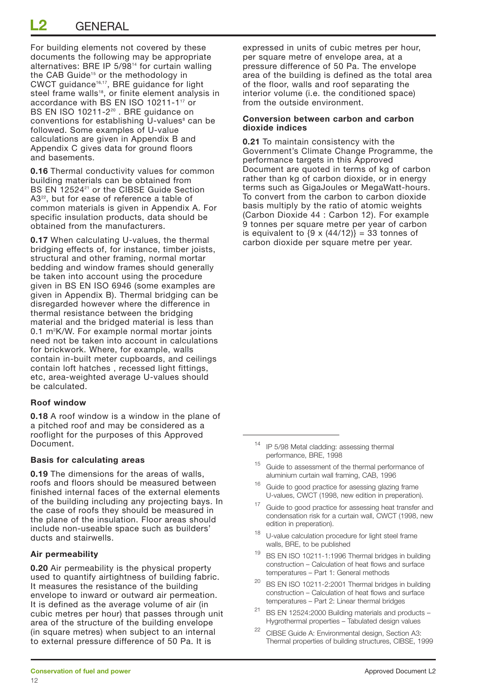For building elements not covered by these documents the following may be appropriate alternatives: BRE IP 5/9814 for curtain walling the CAB Guide<sup>15</sup> or the methodology in CWCT guidance16,17, BRE guidance for light steel frame walls18, or finite element analysis in accordance with BS EN ISO 10211-1<sup>17</sup> or BS EN ISO 10211-2<sup>20</sup>. BRE guidance on conventions for establishing U-values<sup>8</sup> can be followed. Some examples of U-value calculations are given in Appendix B and Appendix C gives data for ground floors and basements.

**0.16** Thermal conductivity values for common building materials can be obtained from BS EN 12524<sup>21</sup> or the CIBSE Guide Section A3<sup>22</sup>, but for ease of reference a table of common materials is given in Appendix A. For specific insulation products, data should be obtained from the manufacturers.

**0.17** When calculating U-values, the thermal bridging effects of, for instance, timber joists, structural and other framing, normal mortar bedding and window frames should generally be taken into account using the procedure given in BS EN ISO 6946 (some examples are given in Appendix B). Thermal bridging can be disregarded however where the difference in thermal resistance between the bridging material and the bridged material is less than 0.1 m2 K/W. For example normal mortar joints need not be taken into account in calculations for brickwork. Where, for example, walls contain in-built meter cupboards, and ceilings contain loft hatches , recessed light fittings, etc, area-weighted average U-values should be calculated.

#### **Roof window**

**0.18** A roof window is a window in the plane of a pitched roof and may be considered as a rooflight for the purposes of this Approved Document.

#### **Basis for calculating areas**

**0.19** The dimensions for the areas of walls, roofs and floors should be measured between finished internal faces of the external elements of the building including any projecting bays. In the case of roofs they should be measured in the plane of the insulation. Floor areas should include non-useable space such as builders' ducts and stairwells.

#### **Air permeability**

**0.20** Air permeability is the physical property used to quantify airtightness of building fabric. It measures the resistance of the building envelope to inward or outward air permeation. It is defined as the average volume of air (in cubic metres per hour) that passes through unit area of the structure of the building envelope (in square metres) when subject to an internal to external pressure difference of 50 Pa. It is

expressed in units of cubic metres per hour, per square metre of envelope area, at a pressure difference of 50 Pa. The envelope area of the building is defined as the total area of the floor, walls and roof separating the interior volume (i.e. the conditioned space) from the outside environment.

#### **Conversion between carbon and carbon dioxide indices**

**0.21** To maintain consistency with the Government's Climate Change Programme, the performance targets in this Approved Document are quoted in terms of kg of carbon rather than kg of carbon dioxide, or in energy terms such as GigaJoules or MegaWatt-hours. To convert from the carbon to carbon dioxide basis multiply by the ratio of atomic weights (Carbon Dioxide 44 : Carbon 12). For example 9 tonnes per square metre per year of carbon is equivalent to  $\{9 \times (44/12)\} = 33$  tonnes of carbon dioxide per square metre per year.

- <sup>14</sup> IP 5/98 Metal cladding: assessing thermal performance, BRE, 1998
- <sup>15</sup> Guide to assessment of the thermal performance of aluminium curtain wall framing, CAB, 1996
- <sup>16</sup> Guide to good practice for asessing glazing frame U-values, CWCT (1998, new edition in preperation).
- <sup>17</sup> Guide to good practice for assessing heat transfer and condensation risk for a curtain wall, CWCT (1998, new edition in preperation).
- <sup>18</sup> U-value calculation procedure for light steel frame walls, BRE, to be published
- <sup>19</sup> BS EN ISO 10211-1:1996 Thermal bridges in building construction – Calculation of heat flows and surface temperatures – Part 1: General methods
- <sup>20</sup> BS EN ISO 10211-2:2001 Thermal bridges in building construction – Calculation of heat flows and surface temperatures – Part 2: Linear thermal bridges
- $21$  BS EN 12524:2000 Building materials and products Hygrothermal properties – Tabulated design values
- <sup>22</sup> CIBSE Guide A: Environmental design, Section A3: Thermal properties of building structures, CIBSE, 1999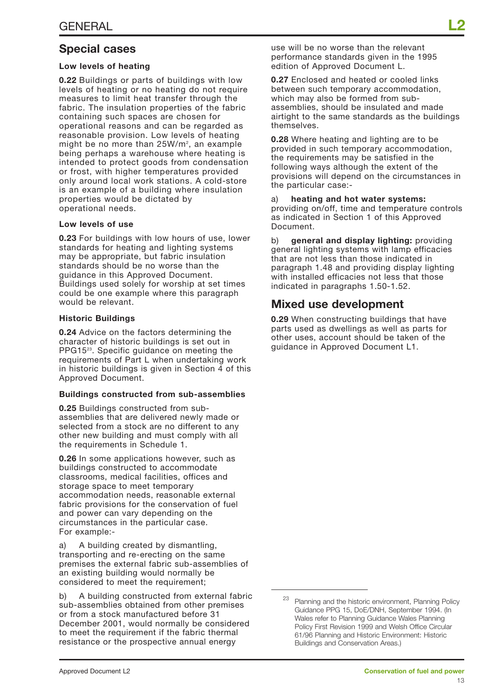## **Special cases**

#### **Low levels of heating**

**0.22** Buildings or parts of buildings with low levels of heating or no heating do not require measures to limit heat transfer through the fabric. The insulation properties of the fabric containing such spaces are chosen for operational reasons and can be regarded as reasonable provision. Low levels of heating might be no more than 25W/m<sup>2</sup>, an example being perhaps a warehouse where heating is intended to protect goods from condensation or frost, with higher temperatures provided only around local work stations. A cold-store is an example of a building where insulation properties would be dictated by operational needs.

#### **Low levels of use**

**0.23** For buildings with low hours of use, lower standards for heating and lighting systems may be appropriate, but fabric insulation standards should be no worse than the guidance in this Approved Document. Buildings used solely for worship at set times could be one example where this paragraph would be relevant.

#### **Historic Buildings**

**0.24** Advice on the factors determining the character of historic buildings is set out in PPG15<sup>23</sup>. Specific guidance on meeting the requirements of Part L when undertaking work in historic buildings is given in Section  $\overline{4}$  of this Approved Document.

#### **Buildings constructed from sub-assemblies**

**0.25** Buildings constructed from subassemblies that are delivered newly made or selected from a stock are no different to any other new building and must comply with all the requirements in Schedule 1.

**0.26** In some applications however, such as buildings constructed to accommodate classrooms, medical facilities, offices and storage space to meet temporary accommodation needs, reasonable external fabric provisions for the conservation of fuel and power can vary depending on the circumstances in the particular case. For example:-

a) A building created by dismantling, transporting and re-erecting on the same premises the external fabric sub-assemblies of an existing building would normally be considered to meet the requirement;

b) A building constructed from external fabric sub-assemblies obtained from other premises or from a stock manufactured before 31 December 2001, would normally be considered to meet the requirement if the fabric thermal resistance or the prospective annual energy

use will be no worse than the relevant performance standards given in the 1995 edition of Approved Document L.

**0.27** Enclosed and heated or cooled links between such temporary accommodation, which may also be formed from subassemblies, should be insulated and made airtight to the same standards as the buildings themselves.

**0.28** Where heating and lighting are to be provided in such temporary accommodation, the requirements may be satisfied in the following ways although the extent of the provisions will depend on the circumstances in the particular case:-

a) **heating and hot water systems:** providing on/off, time and temperature controls as indicated in Section 1 of this Approved Document.

b) **general and display lighting:** providing general lighting systems with lamp efficacies that are not less than those indicated in paragraph 1.48 and providing display lighting with installed efficacies not less that those indicated in paragraphs 1.50-1.52.

# **Mixed use development**

**0.29** When constructing buildings that have parts used as dwellings as well as parts for other uses, account should be taken of the guidance in Approved Document L1.

<sup>23</sup> Planning and the historic environment, Planning Policy Guidance PPG 15, DoE/DNH, September 1994. (In Wales refer to Planning Guidance Wales Planning Policy First Revision 1999 and Welsh Office Circular 61/96 Planning and Historic Environment: Historic Buildings and Conservation Areas.)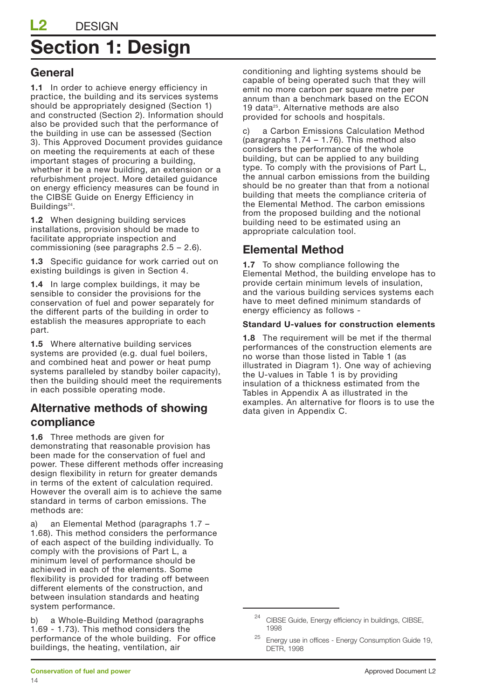# **Section 1: Design**

## **General**

**1.1** In order to achieve energy efficiency in practice, the building and its services systems should be appropriately designed (Section 1) and constructed (Section 2). Information should also be provided such that the performance of the building in use can be assessed (Section 3). This Approved Document provides guidance on meeting the requirements at each of these important stages of procuring a building, whether it be a new building, an extension or a refurbishment project. More detailed guidance on energy efficiency measures can be found in the CIBSE Guide on Energy Efficiency in Buildings $24$ .

**1.2** When designing building services installations, provision should be made to facilitate appropriate inspection and commissioning (see paragraphs 2.5 – 2.6).

**1.3** Specific guidance for work carried out on existing buildings is given in Section 4.

**1.4** In large complex buildings, it may be sensible to consider the provisions for the conservation of fuel and power separately for the different parts of the building in order to establish the measures appropriate to each part.

**1.5** Where alternative building services systems are provided (e.g. dual fuel boilers, and combined heat and power or heat pump systems paralleled by standby boiler capacity), then the building should meet the requirements in each possible operating mode.

## **Alternative methods of showing compliance**

**1.6** Three methods are given for

demonstrating that reasonable provision has been made for the conservation of fuel and power. These different methods offer increasing design flexibility in return for greater demands in terms of the extent of calculation required. However the overall aim is to achieve the same standard in terms of carbon emissions. The methods are:

a) an Elemental Method (paragraphs 1.7 – 1.68). This method considers the performance of each aspect of the building individually. To comply with the provisions of Part L, a minimum level of performance should be achieved in each of the elements. Some flexibility is provided for trading off between different elements of the construction, and between insulation standards and heating system performance.

b) a Whole-Building Method (paragraphs 1.69 - 1.73). This method considers the performance of the whole building. For office buildings, the heating, ventilation, air

conditioning and lighting systems should be capable of being operated such that they will emit no more carbon per square metre per annum than a benchmark based on the ECON 19 data<sup>25</sup>. Alternative methods are also provided for schools and hospitals.

c) a Carbon Emissions Calculation Method (paragraphs 1.74 – 1.76). This method also considers the performance of the whole building, but can be applied to any building type. To comply with the provisions of Part L, the annual carbon emissions from the building should be no greater than that from a notional building that meets the compliance criteria of the Elemental Method. The carbon emissions from the proposed building and the notional building need to be estimated using an appropriate calculation tool.

# **Elemental Method**

**1.7** To show compliance following the Elemental Method, the building envelope has to provide certain minimum levels of insulation, and the various building services systems each have to meet defined minimum standards of energy efficiency as follows -

#### **Standard U-values for construction elements**

**1.8** The requirement will be met if the thermal performances of the construction elements are no worse than those listed in Table 1 (as illustrated in Diagram 1). One way of achieving the U-values in Table 1 is by providing insulation of a thickness estimated from the Tables in Appendix A as illustrated in the examples. An alternative for floors is to use the data given in Appendix C.

<sup>&</sup>lt;sup>24</sup> CIBSE Guide, Energy efficiency in buildings, CIBSE, 1998

 $25$  Energy use in offices - Energy Consumption Guide 19, DETR, 1998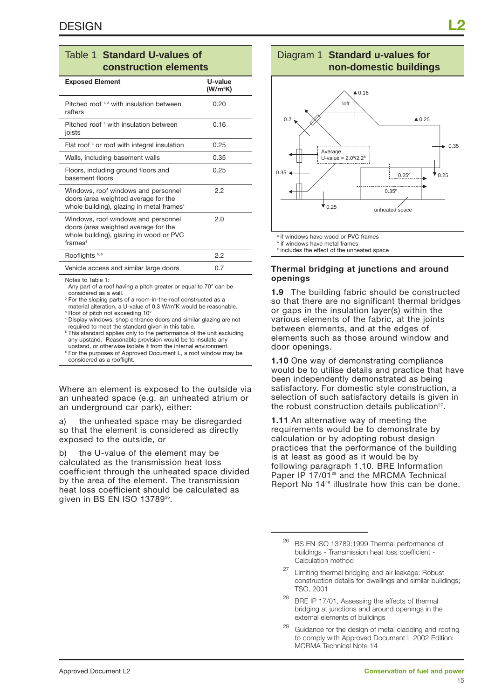### Table 1 **Standard U-values of construction elements**

| <b>Exposed Element</b>                                                                                                                        | U-value<br>(W/m <sup>2</sup> K) |
|-----------------------------------------------------------------------------------------------------------------------------------------------|---------------------------------|
| Pitched roof $1,2$ with insulation between<br>rafters                                                                                         | 0.20                            |
| Pitched roof 1 with insulation between<br>joists                                                                                              | 0.16                            |
| Flat roof <sup>3</sup> or roof with integral insulation                                                                                       | 0.25                            |
| Walls, including basement walls                                                                                                               | 0.35                            |
| Floors, including ground floors and<br>basement floors                                                                                        | 0.25                            |
| Windows, roof windows and personnel<br>doors (area weighted average for the<br>whole building), glazing in metal frames <sup>4</sup>          | 2.2                             |
| Windows, roof windows and personnel<br>doors (area weighted average for the<br>whole building), glazing in wood or PVC<br>frames <sup>4</sup> | 2.0                             |
| Rooflights <sup>5,6</sup>                                                                                                                     | 2.2                             |
| Vehicle access and similar large doors                                                                                                        | 0.7                             |
| Notes to Table 1:                                                                                                                             |                                 |

Notes to Table 1:

<sup>1</sup> Any part of a roof having a pitch greater or equal to 70° can be considered as a wall.

<sup>2</sup> For the sloping parts of a room-in-the-roof constructed as a material alteration, a U-value of 0.3 W/m<sup>2</sup>K would be reasonable.

<sup>3</sup> Roof of pitch not exceeding 10°

Display windows, shop entrance doors and similar glazing are not required to meet the standard given in this table.

<sup>5</sup> This standard applies only to the performance of the unit excluding any upstand. Reasonable provision would be to insulate any upstand, or otherwise isolate it from the internal environment.

<sup>6</sup> For the purposes of Approved Document L, a roof window may be considered as a rooflight.

Where an element is exposed to the outside via an unheated space (e.g. an unheated atrium or an underground car park), either:

a) the unheated space may be disregarded so that the element is considered as directly exposed to the outside, or

b) the U-value of the element may be calculated as the transmission heat loss coefficient through the unheated space divided by the area of the element. The transmission heat loss coefficient should be calculated as given in BS EN ISO 13789<sup>26</sup>.

# Diagram 1 **Standard u-values for non-domestic buildings**



#### **Thermal bridging at junctions and around openings**

**1.9** The building fabric should be constructed so that there are no significant thermal bridges or gaps in the insulation layer(s) within the various elements of the fabric, at the joints between elements, and at the edges of elements such as those around window and door openings.

**1.10** One way of demonstrating compliance would be to utilise details and practice that have been independently demonstrated as being satisfactory. For domestic style construction, a selection of such satisfactory details is given in the robust construction details publication<sup>27</sup>.

**1.11** An alternative way of meeting the requirements would be to demonstrate by calculation or by adopting robust design practices that the performance of the building is at least as good as it would be by following paragraph 1.10. BRE Information Paper IP 17/01<sup>28</sup> and the MRCMA Technical Report No 14<sup>29</sup> illustrate how this can be done.

- <sup>27</sup> Limiting thermal bridging and air leakage: Robust construction details for dwellings and similar buildings; TSO, 2001
- <sup>28</sup> BRE IP 17/01, Assessing the effects of thermal bridging at junctions and around openings in the external elements of buildings
- $29$  Guidance for the design of metal cladding and roofing to comply with Approved Document L 2002 Edition: MCRMA Technical Note 14

<sup>26</sup> BS EN ISO 13789:1999 Thermal performance of buildings - Transmission heat loss coefficient - Calculation method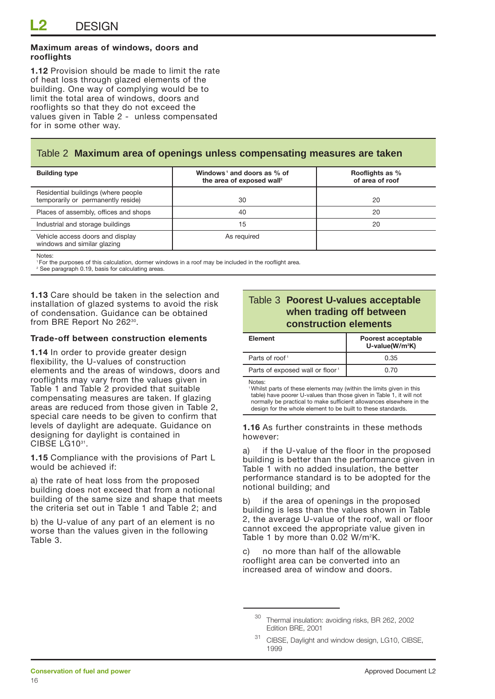#### **Maximum areas of windows, doors and rooflights**

**1.12** Provision should be made to limit the rate of heat loss through glazed elements of the building. One way of complying would be to limit the total area of windows, doors and rooflights so that they do not exceed the values given in Table 2 - unless compensated for in some other way.

### Table 2 **Maximum area of openings unless compensating measures are taken**

| <b>Building type</b>                                                      | Windows <sup>1</sup> and doors as % of<br>the area of exposed wall <sup>2</sup> | Rooflights as %<br>of area of roof |
|---------------------------------------------------------------------------|---------------------------------------------------------------------------------|------------------------------------|
| Residential buildings (where people<br>temporarily or permanently reside) | 30                                                                              | 20                                 |
| Places of assembly, offices and shops                                     | 40                                                                              | 20                                 |
| Industrial and storage buildings                                          | 15                                                                              | 20                                 |
| Vehicle access doors and display<br>windows and similar glazing           | As required                                                                     |                                    |

Notes:

1 For the purposes of this calculation, dormer windows in a roof may be included in the rooflight area.

<sup>2</sup> See paragraph 0.19, basis for calculating areas.

**1.13** Care should be taken in the selection and installation of glazed systems to avoid the risk of condensation. Guidance can be obtained from BRE Report No 262<sup>30</sup>.

#### **Trade-off between construction elements**

**1.14** In order to provide greater design flexibility, the U-values of construction elements and the areas of windows, doors and rooflights may vary from the values given in Table 1 and Table 2 provided that suitable compensating measures are taken. If glazing areas are reduced from those given in Table 2, special care needs to be given to confirm that levels of daylight are adequate. Guidance on designing for daylight is contained in CIBSE LG10<sup>31</sup>.

**1.15** Compliance with the provisions of Part L would be achieved if:

a) the rate of heat loss from the proposed building does not exceed that from a notional building of the same size and shape that meets the criteria set out in Table 1 and Table 2; and

b) the U-value of any part of an element is no worse than the values given in the following Table 3.

### Table 3 **Poorest U-values acceptable when trading off between construction elements**

| Element                                     | Poorest acceptable<br>U-value( $W/m^2K$ ) |
|---------------------------------------------|-------------------------------------------|
| Parts of roof <sup>1</sup>                  | 0.35                                      |
| Parts of exposed wall or floor <sup>1</sup> | በ 7በ                                      |

Notes:

<sup>1</sup> Whilst parts of these elements may (within the limits given in this table) have poorer U-values than those given in Table 1, it will not normally be practical to make sufficient allowances elsewhere in the design for the whole element to be built to these standards.

**1.16** As further constraints in these methods however:

a) if the U-value of the floor in the proposed building is better than the performance given in Table 1 with no added insulation, the better performance standard is to be adopted for the notional building; and

b) if the area of openings in the proposed building is less than the values shown in Table 2, the average U-value of the roof, wall or floor cannot exceed the appropriate value given in Table 1 by more than 0.02 W/m2 K.

c) no more than half of the allowable rooflight area can be converted into an increased area of window and doors.

<sup>30</sup> Thermal insulation: avoiding risks, BR 262, 2002 Edition BRE, 2001

CIBSE, Daylight and window design, LG10, CIBSE, 1999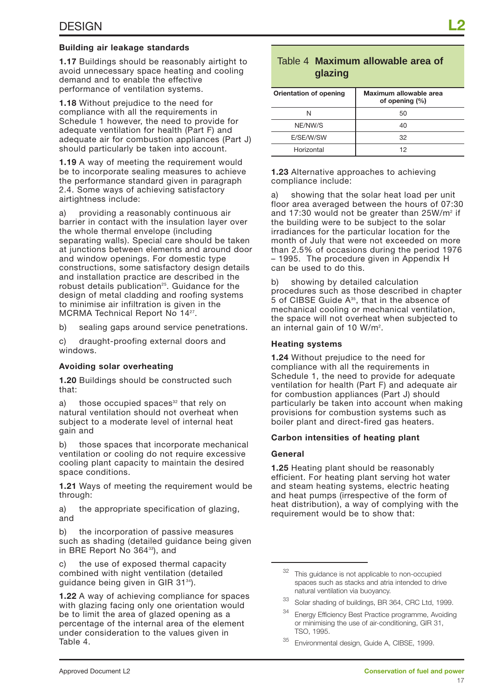#### **Building air leakage standards**

**1.17** Buildings should be reasonably airtight to avoid unnecessary space heating and cooling demand and to enable the effective performance of ventilation systems.

**1.18** Without prejudice to the need for compliance with all the requirements in Schedule 1 however, the need to provide for adequate ventilation for health (Part F) and adequate air for combustion appliances (Part J) should particularly be taken into account.

**1.19** A way of meeting the requirement would be to incorporate sealing measures to achieve the performance standard given in paragraph 2.4. Some ways of achieving satisfactory airtightness include:

a) providing a reasonably continuous air barrier in contact with the insulation layer over the whole thermal envelope (including separating walls). Special care should be taken at junctions between elements and around door and window openings. For domestic type constructions, some satisfactory design details and installation practice are described in the robust details publication<sup>25</sup>. Guidance for the design of metal cladding and roofing systems to minimise air infiltration is given in the MCRMA Technical Report No 1427.

b) sealing gaps around service penetrations.

c) draught-proofing external doors and windows.

#### **Avoiding solar overheating**

**1.20** Buildings should be constructed such that:

a) those occupied spaces<sup>32</sup> that rely on natural ventilation should not overheat when subject to a moderate level of internal heat gain and

b) those spaces that incorporate mechanical ventilation or cooling do not require excessive cooling plant capacity to maintain the desired space conditions.

**1.21** Ways of meeting the requirement would be through:

a) the appropriate specification of glazing, and

b) the incorporation of passive measures such as shading (detailed guidance being given in BRE Report No 364<sup>33</sup>), and

c) the use of exposed thermal capacity combined with night ventilation (detailed guidance being given in GIR 3134).

**1.22** A way of achieving compliance for spaces with glazing facing only one orientation would be to limit the area of glazed opening as a percentage of the internal area of the element under consideration to the values given in Table 4.

### Table 4 **Maximum allowable area of glazing**

| Orientation of opening | Maximum allowable area<br>of opening $(\% )$ |
|------------------------|----------------------------------------------|
| N                      | 50                                           |
| NE/NW/S                | 40                                           |
| E/SE/W/SW              | 32                                           |
| Horizontal             | 12                                           |

**1.23** Alternative approaches to achieving compliance include:

a) showing that the solar heat load per unit floor area averaged between the hours of 07:30 and 17:30 would not be greater than 25W/m<sup>2</sup> if the building were to be subject to the solar irradiances for the particular location for the month of July that were not exceeded on more than 2.5% of occasions during the period 1976 – 1995. The procedure given in Appendix H can be used to do this.

b) showing by detailed calculation procedures such as those described in chapter 5 of CIBSE Guide A35, that in the absence of mechanical cooling or mechanical ventilation, the space will not overheat when subjected to an internal gain of 10 W/m<sup>2</sup>.

#### **Heating systems**

**1.24** Without prejudice to the need for compliance with all the requirements in Schedule 1, the need to provide for adequate ventilation for health (Part F) and adequate air for combustion appliances (Part J) should particularly be taken into account when making provisions for combustion systems such as boiler plant and direct-fired gas heaters.

#### **Carbon intensities of heating plant**

#### **General**

**1.25** Heating plant should be reasonably efficient. For heating plant serving hot water and steam heating systems, electric heating and heat pumps (irrespective of the form of heat distribution), a way of complying with the requirement would be to show that:

<sup>&</sup>lt;sup>32</sup> This guidance is not applicable to non-occupied spaces such as stacks and atria intended to drive natural ventilation via buoyancy.

<sup>33</sup> Solar shading of buildings, BR 364, CRC Ltd, 1999.

<sup>&</sup>lt;sup>34</sup> Energy Efficiency Best Practice programme, Avoiding or minimising the use of air-conditioning, GIR 31, TSO, 1995.

Environmental design, Guide A, CIBSE, 1999.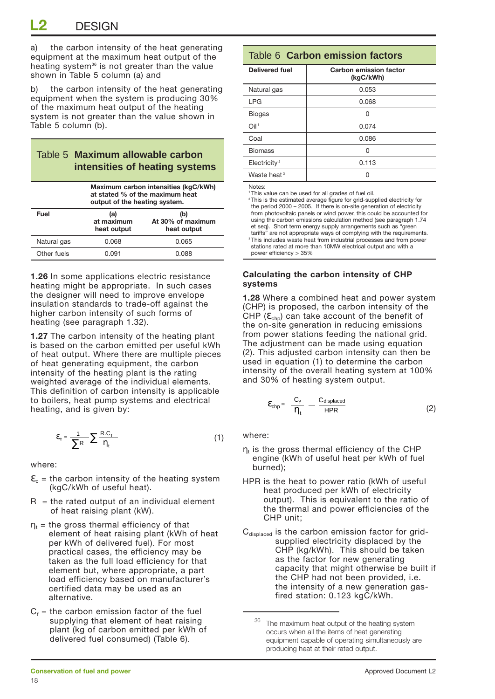a) the carbon intensity of the heat generating equipment at the maximum heat output of the heating system<sup>36</sup> is not greater than the value shown in Table 5 column (a) and

b) the carbon intensity of the heat generating equipment when the system is producing 30% of the maximum heat output of the heating system is not greater than the value shown in Table 5 column (b).

### Table 5 **Maximum allowable carbon intensities of heating systems**

|             | Maximum carbon intensities (kgC/kWh)<br>at stated % of the maximum heat<br>output of the heating system. |                                         |
|-------------|----------------------------------------------------------------------------------------------------------|-----------------------------------------|
| Fuel        | (a)<br>at maximum<br>heat output                                                                         | (b)<br>At 30% of maximum<br>heat output |
| Natural gas | 0.068                                                                                                    | 0.065                                   |
| Other fuels | N.N91                                                                                                    | 0.088                                   |

**1.26** In some applications electric resistance heating might be appropriate. In such cases the designer will need to improve envelope insulation standards to trade-off against the higher carbon intensity of such forms of heating (see paragraph 1.32).

**1.27** The carbon intensity of the heating plant is based on the carbon emitted per useful kWh of heat output. Where there are multiple pieces of heat generating equipment, the carbon intensity of the heating plant is the rating weighted average of the individual elements. This definition of carbon intensity is applicable to boilers, heat pump systems and electrical heating, and is given by:

$$
\varepsilon_{\rm c} = \frac{1}{\sum R} \sum \frac{R.C_{\rm f}}{\eta_{\rm t}} \tag{1}
$$

where:

- $\mathcal{E}_c$  = the carbon intensity of the heating system (kgC/kWh of useful heat).
- $R =$  the rated output of an individual element of heat raising plant (kW).
- $\eta_t$  = the gross thermal efficiency of that element of heat raising plant (kWh of heat per kWh of delivered fuel). For most practical cases, the efficiency may be taken as the full load efficiency for that element but, where appropriate, a part load efficiency based on manufacturer's certified data may be used as an alternative.
- $C_f$  = the carbon emission factor of the fuel supplying that element of heat raising plant (kg of carbon emitted per kWh of delivered fuel consumed) (Table 6).

| Table 6 Carbon emission factors |                                            |  |  |  |
|---------------------------------|--------------------------------------------|--|--|--|
| Delivered fuel                  | <b>Carbon emission factor</b><br>(kgC/kWh) |  |  |  |
| Natural gas                     | 0.053                                      |  |  |  |
| <b>LPG</b>                      | 0.068                                      |  |  |  |
| <b>Biogas</b>                   | Ω                                          |  |  |  |
| O <sup>11</sup>                 | 0.074                                      |  |  |  |
| Coal                            | 0.086                                      |  |  |  |
| <b>Biomass</b>                  | n                                          |  |  |  |
| Electricity <sup>2</sup>        | 0.113                                      |  |  |  |
|                                 |                                            |  |  |  |

Notes:

<sup>1</sup> This value can be used for all grades of fuel oil.

Waste heat  $3$  0

<sup>2</sup> This is the estimated average figure for grid-supplied electricity for the period 2000 – 2005. If there is on-site generation of electricity from photovoltaic panels or wind power, this could be accounted for using the carbon emissions calculation method (see paragraph 1.74 et seq). Short term energy supply arrangements such as "green tariffs" are not appropriate ways of complying with the requirements. <sup>3</sup> This includes waste heat from industrial processes and from power stations rated at more than 10MW electrical output and with a power efficiency > 35%

#### **Calculating the carbon intensity of CHP systems**

**1.28** Where a combined heat and power system (CHP) is proposed, the carbon intensity of the CHP  $(\mathcal{E}_{\text{chn}})$  can take account of the benefit of the on-site generation in reducing emissions from power stations feeding the national grid. The adjustment can be made using equation (2). This adjusted carbon intensity can then be used in equation (1) to determine the carbon intensity of the overall heating system at 100% and 30% of heating system output.

$$
\epsilon_{\text{chp}} = \frac{C_f}{\eta_t} - \frac{C_{\text{displaced}}}{HPR} \tag{2}
$$

where:

- $\eta_t$  is the gross thermal efficiency of the CHP engine (kWh of useful heat per kWh of fuel burned);
- HPR is the heat to power ratio (kWh of useful heat produced per kWh of electricity output). This is equivalent to the ratio of the thermal and power efficiencies of the CHP unit;
- $C_{\text{displaced}}$  is the carbon emission factor for gridsupplied electricity displaced by the CHP (kg/kWh). This should be taken as the factor for new generating capacity that might otherwise be built if the CHP had not been provided, i.e. the intensity of a new generation gasfired station: 0.123 kgC/kWh.

<sup>&</sup>lt;sup>36</sup> The maximum heat output of the heating system occurs when all the items of heat generating equipment capable of operating simultaneously are producing heat at their rated output.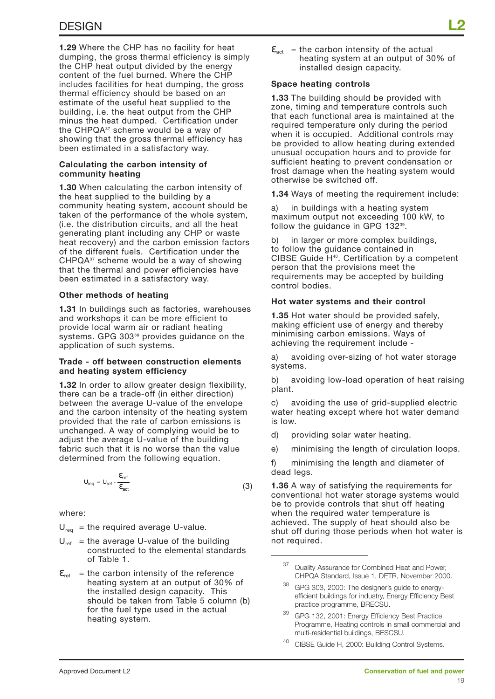**1.29** Where the CHP has no facility for heat dumping, the gross thermal efficiency is simply the CHP heat output divided by the energy content of the fuel burned. Where the CHP includes facilities for heat dumping, the gross thermal efficiency should be based on an estimate of the useful heat supplied to the building, i.e. the heat output from the CHP minus the heat dumped. Certification under the CHPQA<sup>37</sup> scheme would be a way of showing that the gross thermal efficiency has been estimated in a satisfactory way.

#### **Calculating the carbon intensity of community heating**

**1.30** When calculating the carbon intensity of the heat supplied to the building by a community heating system, account should be taken of the performance of the whole system, (i.e. the distribution circuits, and all the heat generating plant including any CHP or waste heat recovery) and the carbon emission factors of the different fuels. Certification under the CHPQA37 scheme would be a way of showing that the thermal and power efficiencies have been estimated in a satisfactory way.

#### **Other methods of heating**

**1.31** In buildings such as factories, warehouses and workshops it can be more efficient to provide local warm air or radiant heating systems. GPG 303<sup>38</sup> provides guidance on the application of such systems.

#### **Trade - off between construction elements and heating system efficiency**

**1.32** In order to allow greater design flexibility, there can be a trade-off (in either direction) between the average U-value of the envelope and the carbon intensity of the heating system provided that the rate of carbon emissions is unchanged. A way of complying would be to adjust the average U-value of the building fabric such that it is no worse than the value determined from the following equation.

$$
U_{\text{req}} = U_{\text{ref}} \cdot \frac{\varepsilon_{\text{ref}}}{\varepsilon_{\text{act}}} \tag{3}
$$

where:

 $U_{\text{rec}}$  = the required average U-value.

- $U_{ref}$  = the average U-value of the building constructed to the elemental standards of Table 1.
- $\mathcal{E}_{ref}$  = the carbon intensity of the reference heating system at an output of 30% of the installed design capacity. This should be taken from Table 5 column (b) for the fuel type used in the actual heating system.

 $\mathcal{E}_{\text{act}}$  = the carbon intensity of the actual heating system at an output of 30% of installed design capacity.

#### **Space heating controls**

**1.33** The building should be provided with zone, timing and temperature controls such that each functional area is maintained at the required temperature only during the period when it is occupied. Additional controls may be provided to allow heating during extended unusual occupation hours and to provide for sufficient heating to prevent condensation or frost damage when the heating system would otherwise be switched off.

**1.34** Ways of meeting the requirement include:

a) in buildings with a heating system maximum output not exceeding 100 kW, to follow the guidance in GPG 132<sup>39</sup>.

b) in larger or more complex buildings, to follow the guidance contained in CIBSE Guide H<sup>40</sup>. Certification by a competent person that the provisions meet the requirements may be accepted by building control bodies.

#### **Hot water systems and their control**

**1.35** Hot water should be provided safely, making efficient use of energy and thereby minimising carbon emissions. Ways of achieving the requirement include -

a) avoiding over-sizing of hot water storage systems.

b) avoiding low-load operation of heat raising plant.

c) avoiding the use of grid-supplied electric water heating except where hot water demand is low.

d) providing solar water heating.

e) minimising the length of circulation loops.

f) minimising the length and diameter of dead legs.

**1.36** A way of satisfying the requirements for conventional hot water storage systems would be to provide controls that shut off heating when the required water temperature is achieved. The supply of heat should also be shut off during those periods when hot water is not required.

<sup>37</sup> Quality Assurance for Combined Heat and Power, CHPQA Standard, Issue 1, DETR, November 2000.

GPG 303, 2000: The designer's guide to energyefficient buildings for industry, Energy Efficiency Best practice programme, BRECSU.

<sup>39</sup> GPG 132, 2001: Energy Efficiency Best Practice Programme, Heating controls in small commercial and multi-residential buildings, BESCSU.

<sup>&</sup>lt;sup>40</sup> CIBSE Guide H, 2000: Building Control Systems.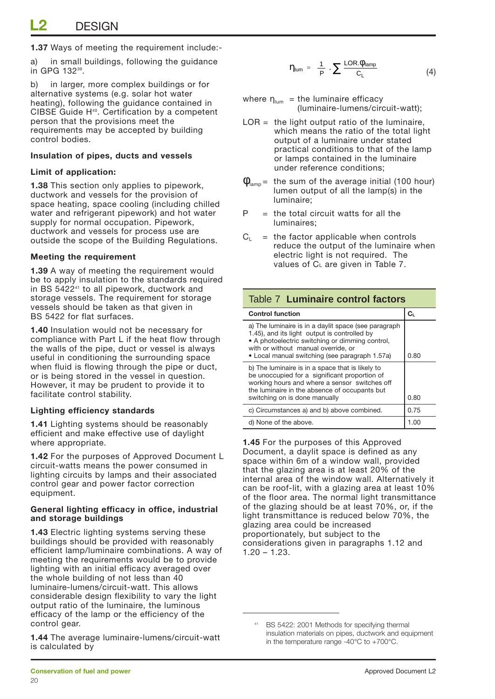**1.37** Ways of meeting the requirement include:-

a) in small buildings, following the guidance in GPG 13239.

b) in larger, more complex buildings or for alternative systems (e.g. solar hot water heating), following the guidance contained in CIBSE Guide H40. Certification by a competent person that the provisions meet the requirements may be accepted by building control bodies.

#### **Insulation of pipes, ducts and vessels**

#### **Limit of application:**

**1.38** This section only applies to pipework, ductwork and vessels for the provision of space heating, space cooling (including chilled water and refrigerant pipework) and hot water supply for normal occupation. Pipework, ductwork and vessels for process use are outside the scope of the Building Regulations.

#### **Meeting the requirement**

**1.39** A way of meeting the requirement would be to apply insulation to the standards required in BS 5422<sup>41</sup> to all pipework, ductwork and storage vessels. The requirement for storage vessels should be taken as that given in BS 5422 for flat surfaces.

**1.40** Insulation would not be necessary for compliance with Part L if the heat flow through the walls of the pipe, duct or vessel is always useful in conditioning the surrounding space when fluid is flowing through the pipe or duct, or is being stored in the vessel in question. However, it may be prudent to provide it to facilitate control stability.

#### **Lighting efficiency standards**

**1.41** Lighting systems should be reasonably efficient and make effective use of daylight where appropriate.

**1.42** For the purposes of Approved Document L circuit-watts means the power consumed in lighting circuits by lamps and their associated control gear and power factor correction equipment.

#### **General lighting efficacy in office, industrial and storage buildings**

**1.43** Electric lighting systems serving these buildings should be provided with reasonably efficient lamp/luminaire combinations. A way of meeting the requirements would be to provide lighting with an initial efficacy averaged over the whole building of not less than 40 luminaire-lumens/circuit-watt. This allows considerable design flexibility to vary the light output ratio of the luminaire, the luminous efficacy of the lamp or the efficiency of the control gear.

**1.44** The average luminaire-lumens/circuit-watt is calculated by

$$
\eta_{\text{lum}} = \frac{1}{P} \cdot \sum \frac{\text{LOR}.\varphi_{\text{lamp}}}{C_L} \tag{4}
$$

where  $\eta_{\text{lum}} =$  the luminaire efficacy (luminaire-lumens/circuit-watt);

- $LOR =$  the light output ratio of the luminaire, which means the ratio of the total light output of a luminaire under stated practical conditions to that of the lamp or lamps contained in the luminaire under reference conditions;
- $\Phi_{\text{lamp}} =$  the sum of the average initial (100 hour) lumen output of all the lamp(s) in the luminaire;
- $P =$  the total circuit watts for all the luminaires;
- $C_{L}$  = the factor applicable when controls reduce the output of the luminaire when electric light is not required. The values of C<sub>L</sub> are given in Table 7.

| Table 7 Luminaire control factors                                                                                                                                                                                                                |      |  |  |
|--------------------------------------------------------------------------------------------------------------------------------------------------------------------------------------------------------------------------------------------------|------|--|--|
| <b>Control function</b>                                                                                                                                                                                                                          | Cι   |  |  |
| a) The luminaire is in a daylit space (see paragraph<br>1.45), and its light output is controlled by<br>• A photoelectric switching or dimming control,<br>with or without manual override, or<br>• Local manual switching (see paragraph 1.57a) | 0.80 |  |  |
| b) The luminaire is in a space that is likely to<br>be unoccupied for a significant proportion of<br>working hours and where a sensor switches off<br>the luminaire in the absence of occupants but<br>switching on is done manually             | 0.80 |  |  |
| c) Circumstances a) and b) above combined.                                                                                                                                                                                                       | 0.75 |  |  |
| d) None of the above.                                                                                                                                                                                                                            | 1.00 |  |  |

**1.45** For the purposes of this Approved Document, a daylit space is defined as any space within 6m of a window wall, provided that the glazing area is at least 20% of the internal area of the window wall. Alternatively it can be roof-lit, with a glazing area at least 10% of the floor area. The normal light transmittance of the glazing should be at least 70%, or, if the light transmittance is reduced below 70%, the glazing area could be increased proportionately, but subject to the considerations given in paragraphs 1.12 and  $1.20 - 1.23$ .

<sup>41</sup> BS 5422: 2001 Methods for specifying thermal insulation materials on pipes, ductwork and equipment in the temperature range -40°C to +700°C.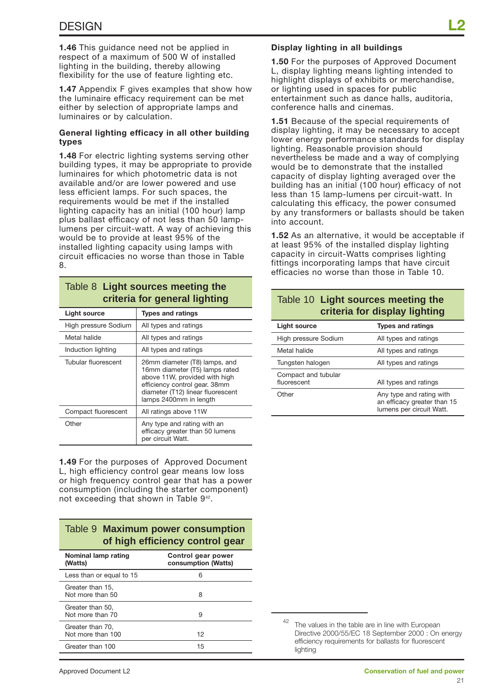**1.46** This guidance need not be applied in respect of a maximum of 500 W of installed lighting in the building, thereby allowing flexibility for the use of feature lighting etc.

**1.47** Appendix F gives examples that show how the luminaire efficacy requirement can be met either by selection of appropriate lamps and luminaires or by calculation.

#### **General lighting efficacy in all other building types**

**1.48** For electric lighting systems serving other building types, it may be appropriate to provide luminaires for which photometric data is not available and/or are lower powered and use less efficient lamps. For such spaces, the requirements would be met if the installed lighting capacity has an initial (100 hour) lamp plus ballast efficacy of not less than 50 lamplumens per circuit-watt. A way of achieving this would be to provide at least 95% of the installed lighting capacity using lamps with circuit efficacies no worse than those in Table 8.

### Table 8 **Light sources meeting the criteria for general lighting**

| Light source         | <b>Types and ratings</b>                                                                                                                                                                         |
|----------------------|--------------------------------------------------------------------------------------------------------------------------------------------------------------------------------------------------|
| High pressure Sodium | All types and ratings                                                                                                                                                                            |
| Metal halide         | All types and ratings                                                                                                                                                                            |
| Induction lighting   | All types and ratings                                                                                                                                                                            |
| Tubular fluorescent  | 26mm diameter (T8) lamps, and<br>16mm diameter (T5) lamps rated<br>above 11W, provided with high<br>efficiency control gear. 38mm<br>diameter (T12) linear fluorescent<br>lamps 2400mm in length |
| Compact fluorescent  | All ratings above 11W                                                                                                                                                                            |
| Other                | Any type and rating with an<br>efficacy greater than 50 lumens<br>per circuit Watt.                                                                                                              |

**1.49** For the purposes of Approved Document L, high efficiency control gear means low loss or high frequency control gear that has a power consumption (including the starter component) not exceeding that shown in Table 942.

| Table 9 Maximum power consumption<br>of high efficiency control gear        |    |  |  |  |
|-----------------------------------------------------------------------------|----|--|--|--|
| Nominal lamp rating<br>Control gear power<br>consumption (Watts)<br>(Watts) |    |  |  |  |
| Less than or equal to 15                                                    | ഒ  |  |  |  |
| Greater than 15,<br>Not more than 50                                        | 8  |  |  |  |
| Greater than 50,<br>Not more than 70                                        | 9  |  |  |  |
| Greater than 70.<br>Not more than 100                                       | 12 |  |  |  |
| Greater than 100                                                            | 15 |  |  |  |

#### **Display lighting in all buildings**

**1.50** For the purposes of Approved Document L, display lighting means lighting intended to highlight displays of exhibits or merchandise, or lighting used in spaces for public entertainment such as dance halls, auditoria, conference halls and cinemas.

**1.51** Because of the special requirements of display lighting, it may be necessary to accept lower energy performance standards for display lighting. Reasonable provision should nevertheless be made and a way of complying would be to demonstrate that the installed capacity of display lighting averaged over the building has an initial (100 hour) efficacy of not less than 15 lamp-lumens per circuit-watt. In calculating this efficacy, the power consumed by any transformers or ballasts should be taken into account.

**1.52** As an alternative, it would be acceptable if at least 95% of the installed display lighting capacity in circuit-Watts comprises lighting fittings incorporating lamps that have circuit efficacies no worse than those in Table 10.

### Table 10 **Light sources meeting the criteria for display lighting**

| Light source                       | <b>Types and ratings</b>                                                            |
|------------------------------------|-------------------------------------------------------------------------------------|
| High pressure Sodium               | All types and ratings                                                               |
| Metal halide                       | All types and ratings                                                               |
| Tungsten halogen                   | All types and ratings                                                               |
| Compact and tubular<br>fluorescent | All types and ratings                                                               |
| Other                              | Any type and rating with<br>an efficacy greater than 15<br>lumens per circuit Watt. |

The values in the table are in line with European Directive 2000/55/EC 18 September 2000 : On energy efficiency requirements for ballasts for fluorescent lighting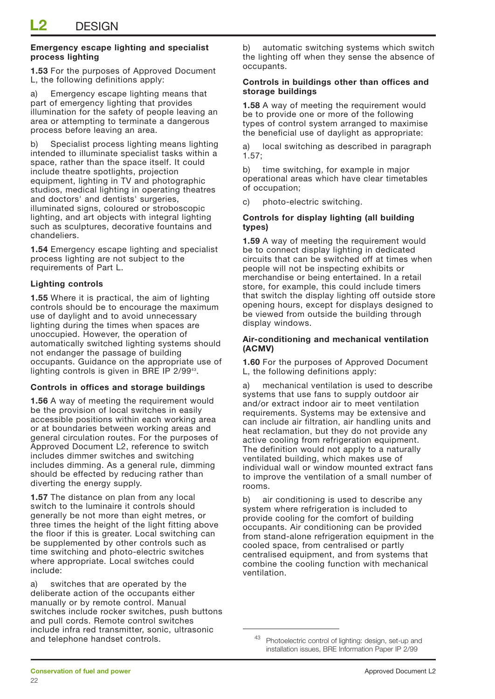#### **Emergency escape lighting and specialist process lighting**

**1.53** For the purposes of Approved Document L, the following definitions apply:

a) Emergency escape lighting means that part of emergency lighting that provides illumination for the safety of people leaving an area or attempting to terminate a dangerous process before leaving an area.

b) Specialist process lighting means lighting intended to illuminate specialist tasks within a space, rather than the space itself. It could include theatre spotlights, projection equipment, lighting in TV and photographic studios, medical lighting in operating theatres and doctors' and dentists' surgeries, illuminated signs, coloured or stroboscopic lighting, and art objects with integral lighting such as sculptures, decorative fountains and chandeliers.

**1.54** Emergency escape lighting and specialist process lighting are not subject to the requirements of Part L.

#### **Lighting controls**

**1.55** Where it is practical, the aim of lighting controls should be to encourage the maximum use of daylight and to avoid unnecessary lighting during the times when spaces are unoccupied. However, the operation of automatically switched lighting systems should not endanger the passage of building occupants. Guidance on the appropriate use of lighting controls is given in BRE IP 2/99<sup>43</sup>.

#### **Controls in offices and storage buildings**

**1.56** A way of meeting the requirement would be the provision of local switches in easily accessible positions within each working area or at boundaries between working areas and general circulation routes. For the purposes of Approved Document L2, reference to switch includes dimmer switches and switching includes dimming. As a general rule, dimming should be effected by reducing rather than diverting the energy supply.

**1.57** The distance on plan from any local switch to the luminaire it controls should generally be not more than eight metres, or three times the height of the light fitting above the floor if this is greater. Local switching can be supplemented by other controls such as time switching and photo-electric switches where appropriate. Local switches could include:

a) switches that are operated by the deliberate action of the occupants either manually or by remote control. Manual switches include rocker switches, push buttons and pull cords. Remote control switches include infra red transmitter, sonic, ultrasonic and telephone handset controls.

b) automatic switching systems which switch the lighting off when they sense the absence of occupants.

#### **Controls in buildings other than offices and storage buildings**

**1.58** A way of meeting the requirement would be to provide one or more of the following types of control system arranged to maximise the beneficial use of daylight as appropriate:

a) local switching as described in paragraph 1.57;

b) time switching, for example in major operational areas which have clear timetables of occupation;

c) photo-electric switching.

#### **Controls for display lighting (all building types)**

**1.59** A way of meeting the requirement would be to connect display lighting in dedicated circuits that can be switched off at times when people will not be inspecting exhibits or merchandise or being entertained. In a retail store, for example, this could include timers that switch the display lighting off outside store opening hours, except for displays designed to be viewed from outside the building through display windows.

#### **Air-conditioning and mechanical ventilation (ACMV)**

**1.60** For the purposes of Approved Document L, the following definitions apply:

a) mechanical ventilation is used to describe systems that use fans to supply outdoor air and/or extract indoor air to meet ventilation requirements. Systems may be extensive and can include air filtration, air handling units and heat reclamation, but they do not provide any active cooling from refrigeration equipment. The definition would not apply to a naturally ventilated building, which makes use of individual wall or window mounted extract fans to improve the ventilation of a small number of rooms.

b) air conditioning is used to describe any system where refrigeration is included to provide cooling for the comfort of building occupants. Air conditioning can be provided from stand-alone refrigeration equipment in the cooled space, from centralised or partly centralised equipment, and from systems that combine the cooling function with mechanical ventilation.

<sup>43</sup> Photoelectric control of lighting: design, set-up and installation issues, BRE Information Paper IP 2/99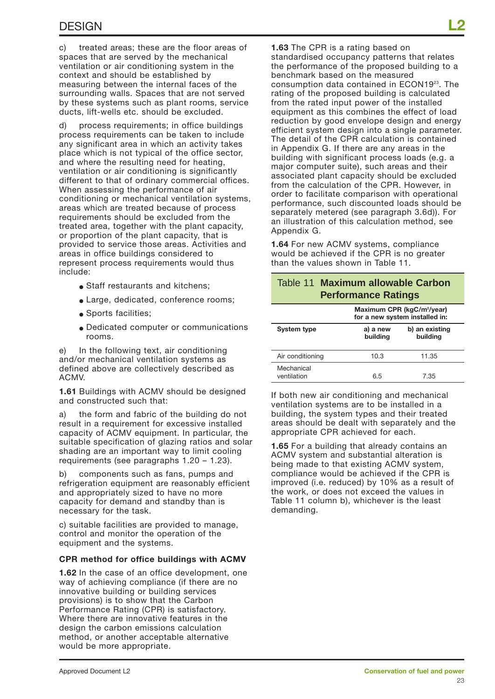c) treated areas; these are the floor areas of spaces that are served by the mechanical ventilation or air conditioning system in the context and should be established by measuring between the internal faces of the surrounding walls. Spaces that are not served by these systems such as plant rooms, service ducts, lift-wells etc. should be excluded.

process requirements; in office buildings process requirements can be taken to include any significant area in which an activity takes place which is not typical of the office sector, and where the resulting need for heating, ventilation or air conditioning is significantly different to that of ordinary commercial offices. When assessing the performance of air conditioning or mechanical ventilation systems, areas which are treated because of process requirements should be excluded from the treated area, together with the plant capacity, or proportion of the plant capacity, that is provided to service those areas. Activities and areas in office buildings considered to represent process requirements would thus include:

- Staff restaurants and kitchens;
- Large, dedicated, conference rooms;
- Sports facilities;
- Dedicated computer or communications rooms.

e) In the following text, air conditioning and/or mechanical ventilation systems as defined above are collectively described as ACMV.

**1.61** Buildings with ACMV should be designed and constructed such that:

a) the form and fabric of the building do not result in a requirement for excessive installed capacity of ACMV equipment. In particular, the suitable specification of glazing ratios and solar shading are an important way to limit cooling requirements (see paragraphs 1.20 – 1.23).

b) components such as fans, pumps and refrigeration equipment are reasonably efficient and appropriately sized to have no more capacity for demand and standby than is necessary for the task.

c) suitable facilities are provided to manage, control and monitor the operation of the equipment and the systems.

#### **CPR method for office buildings with ACMV**

**1.62** In the case of an office development, one way of achieving compliance (if there are no innovative building or building services provisions) is to show that the Carbon Performance Rating (CPR) is satisfactory. Where there are innovative features in the design the carbon emissions calculation method, or another acceptable alternative would be more appropriate.

**1.63** The CPR is a rating based on standardised occupancy patterns that relates the performance of the proposed building to a benchmark based on the measured consumption data contained in ECON1923. The rating of the proposed building is calculated from the rated input power of the installed equipment as this combines the effect of load reduction by good envelope design and energy efficient system design into a single parameter. The detail of the CPR calculation is contained in Appendix G. If there are any areas in the building with significant process loads (e.g. a major computer suite), such areas and their associated plant capacity should be excluded from the calculation of the CPR. However, in order to facilitate comparison with operational performance, such discounted loads should be separately metered (see paragraph 3.6d)). For an illustration of this calculation method, see Appendix G.

**1.64** For new ACMV systems, compliance would be achieved if the CPR is no greater than the values shown in Table 11.

### Table 11 **Maximum allowable Carbon Performance Ratings**

|                           | Maximum CPR (kgC/m <sup>2</sup> /year)<br>for a new system installed in: |                            |  |  |
|---------------------------|--------------------------------------------------------------------------|----------------------------|--|--|
| <b>System type</b>        | a) a new<br>building                                                     | b) an existing<br>building |  |  |
| Air conditioning          | 10.3                                                                     | 11.35                      |  |  |
| Mechanical<br>ventilation | 6.5                                                                      | 7.35                       |  |  |

If both new air conditioning and mechanical ventilation systems are to be installed in a building, the system types and their treated areas should be dealt with separately and the appropriate CPR achieved for each.

**1.65** For a building that already contains an ACMV system and substantial alteration is being made to that existing ACMV system, compliance would be achieved if the CPR is improved (i.e. reduced) by 10% as a result of the work, or does not exceed the values in Table 11 column b), whichever is the least demanding.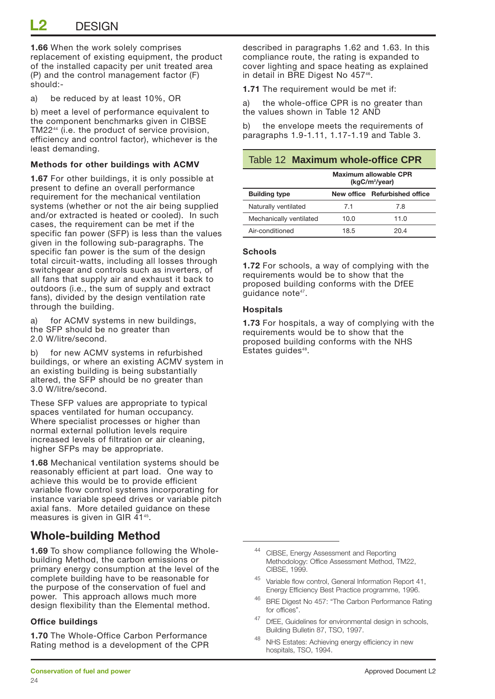**1.66** When the work solely comprises replacement of existing equipment, the product of the installed capacity per unit treated area (P) and the control management factor (F) should:-

a) be reduced by at least 10%, OR

b) meet a level of performance equivalent to the component benchmarks given in CIBSE TM2244 (i.e. the product of service provision, efficiency and control factor), whichever is the least demanding.

#### **Methods for other buildings with ACMV**

**1.67** For other buildings, it is only possible at present to define an overall performance requirement for the mechanical ventilation systems (whether or not the air being supplied and/or extracted is heated or cooled). In such cases, the requirement can be met if the specific fan power (SFP) is less than the values given in the following sub-paragraphs. The specific fan power is the sum of the design total circuit-watts, including all losses through switchgear and controls such as inverters, of all fans that supply air and exhaust it back to outdoors (i.e., the sum of supply and extract fans), divided by the design ventilation rate through the building.

a) for ACMV systems in new buildings, the SFP should be no greater than 2.0 W/litre/second.

b) for new ACMV systems in refurbished buildings, or where an existing ACMV system in an existing building is being substantially altered, the SFP should be no greater than 3.0 W/litre/second.

These SFP values are appropriate to typical spaces ventilated for human occupancy. Where specialist processes or higher than normal external pollution levels require increased levels of filtration or air cleaning, higher SFPs may be appropriate.

**1.68** Mechanical ventilation systems should be reasonably efficient at part load. One way to achieve this would be to provide efficient variable flow control systems incorporating for instance variable speed drives or variable pitch axial fans. More detailed guidance on these measures is given in GIR 41<sup>45</sup>.

## **Whole-building Method**

**1.69** To show compliance following the Wholebuilding Method, the carbon emissions or primary energy consumption at the level of the complete building have to be reasonable for the purpose of the conservation of fuel and power. This approach allows much more design flexibility than the Elemental method.

#### **Office buildings**

**1.70** The Whole-Office Carbon Performance Rating method is a development of the CPR described in paragraphs 1.62 and 1.63. In this compliance route, the rating is expanded to cover lighting and space heating as explained in detail in BRE Digest No 45746.

**1.71** The requirement would be met if:

a) the whole-office CPR is no greater than the values shown in Table 12 AND

b) the envelope meets the requirements of paragraphs 1.9-1.11, 1.17-1.19 and Table 3.

#### Table 12 **Maximum whole-office CPR**

|                         | Maximum allowable CPR<br>$(kqC/m^2/year)$ |                               |  |  |
|-------------------------|-------------------------------------------|-------------------------------|--|--|
| <b>Building type</b>    |                                           | New office Refurbished office |  |  |
| Naturally ventilated    | 7.1                                       | 7.8                           |  |  |
| Mechanically ventilated | 10.0                                      | 11.0                          |  |  |
| Air-conditioned         | 18.5                                      | 20 4                          |  |  |

#### **Schools**

**1.72** For schools, a way of complying with the requirements would be to show that the proposed building conforms with the DfEE guidance note47.

#### **Hospitals**

**1.73** For hospitals, a way of complying with the requirements would be to show that the proposed building conforms with the NHS Estates guides<sup>48</sup>.

- <sup>45</sup> Variable flow control, General Information Report 41, Energy Efficiency Best Practice programme, 1996.
- <sup>46</sup> BRE Digest No 457: "The Carbon Performance Rating for offices".
- <sup>47</sup> DfEE, Guidelines for environmental design in schools, Building Bulletin 87, TSO, 1997.
- 48 NHS Estates: Achieving energy efficiency in new hospitals, TSO, 1994.

<sup>44</sup> CIBSE, Energy Assessment and Reporting Methodology: Office Assessment Method, TM22, CIBSE, 1999.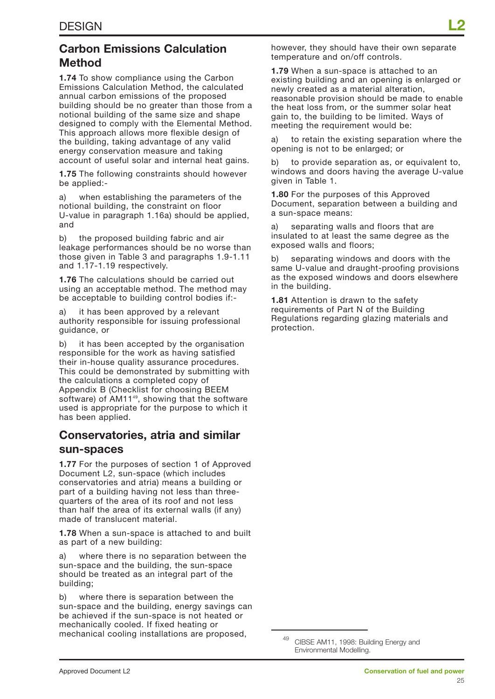## **Carbon Emissions Calculation Method**

**1.74** To show compliance using the Carbon Emissions Calculation Method, the calculated annual carbon emissions of the proposed building should be no greater than those from a notional building of the same size and shape designed to comply with the Elemental Method. This approach allows more flexible design of the building, taking advantage of any valid energy conservation measure and taking account of useful solar and internal heat gains.

**1.75** The following constraints should however be applied:-

a) when establishing the parameters of the notional building, the constraint on floor U-value in paragraph 1.16a) should be applied, and

b) the proposed building fabric and air leakage performances should be no worse than those given in Table 3 and paragraphs 1.9-1.11 and 1.17-1.19 respectively.

**1.76** The calculations should be carried out using an acceptable method. The method may be acceptable to building control bodies if:-

a) it has been approved by a relevant authority responsible for issuing professional guidance, or

b) it has been accepted by the organisation responsible for the work as having satisfied their in-house quality assurance procedures. This could be demonstrated by submitting with the calculations a completed copy of Appendix B (Checklist for choosing BEEM software) of AM11<sup>49</sup>, showing that the software used is appropriate for the purpose to which it has been applied.

# **Conservatories, atria and similar sun-spaces**

**1.77** For the purposes of section 1 of Approved Document L2, sun-space (which includes conservatories and atria) means a building or part of a building having not less than threequarters of the area of its roof and not less than half the area of its external walls (if any) made of translucent material.

**1.78** When a sun-space is attached to and built as part of a new building:

a) where there is no separation between the sun-space and the building, the sun-space should be treated as an integral part of the building;

b) where there is separation between the sun-space and the building, energy savings can be achieved if the sun-space is not heated or mechanically cooled. If fixed heating or mechanical cooling installations are proposed,

however, they should have their own separate temperature and on/off controls.

**1.79** When a sun-space is attached to an existing building and an opening is enlarged or newly created as a material alteration, reasonable provision should be made to enable the heat loss from, or the summer solar heat gain to, the building to be limited. Ways of meeting the requirement would be:

a) to retain the existing separation where the opening is not to be enlarged; or

b) to provide separation as, or equivalent to, windows and doors having the average U-value given in Table 1.

**1.80** For the purposes of this Approved Document, separation between a building and a sun-space means:

a) separating walls and floors that are insulated to at least the same degree as the exposed walls and floors;

b) separating windows and doors with the same U-value and draught-proofing provisions as the exposed windows and doors elsewhere in the building.

**1.81** Attention is drawn to the safety requirements of Part N of the Building Regulations regarding glazing materials and protection.

CIBSE AM11, 1998: Building Energy and Environmental Modelling.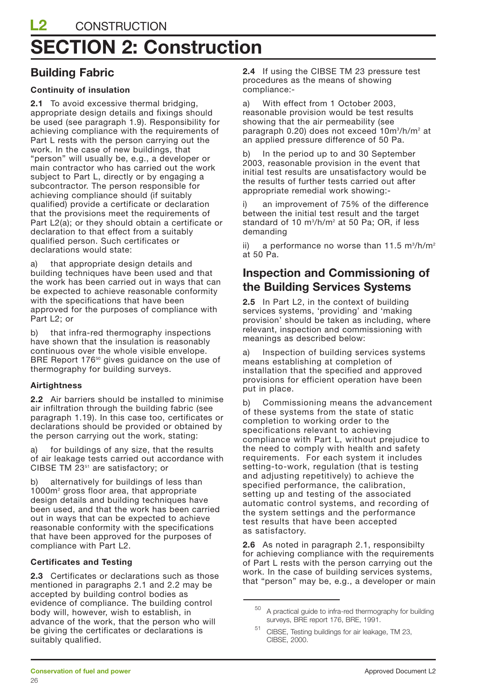# **SECTION 2: Construction**

# **Building Fabric**

## **Continuity of insulation**

**2.1** To avoid excessive thermal bridging, appropriate design details and fixings should be used (see paragraph 1.9). Responsibility for achieving compliance with the requirements of Part L rests with the person carrying out the work. In the case of new buildings, that "person" will usually be, e.g., a developer or main contractor who has carried out the work subject to Part L, directly or by engaging a subcontractor. The person responsible for achieving compliance should (if suitably qualified) provide a certificate or declaration that the provisions meet the requirements of Part L2(a); or they should obtain a certificate or declaration to that effect from a suitably qualified person. Such certificates or declarations would state:

a) that appropriate design details and building techniques have been used and that the work has been carried out in ways that can be expected to achieve reasonable conformity with the specifications that have been approved for the purposes of compliance with Part L2; or

b) that infra-red thermography inspections have shown that the insulation is reasonably continuous over the whole visible envelope. BRE Report 176<sup>50</sup> gives guidance on the use of thermography for building surveys.

## **Airtightness**

**2.2** Air barriers should be installed to minimise air infiltration through the building fabric (see paragraph 1.19). In this case too, certificates or declarations should be provided or obtained by the person carrying out the work, stating:

a) for buildings of any size, that the results of air leakage tests carried out accordance with CIBSE TM 2351 are satisfactory; or

b) alternatively for buildings of less than 1000m<sup>2</sup> gross floor area, that appropriate design details and building techniques have been used, and that the work has been carried out in ways that can be expected to achieve reasonable conformity with the specifications that have been approved for the purposes of compliance with Part L2.

## **Certificates and Testing**

**2.3** Certificates or declarations such as those mentioned in paragraphs 2.1 and 2.2 may be accepted by building control bodies as evidence of compliance. The building control body will, however, wish to establish, in advance of the work, that the person who will be giving the certificates or declarations is suitably qualified.

**2.4** If using the CIBSE TM 23 pressure test procedures as the means of showing compliance:-

a) With effect from 1 October 2003, reasonable provision would be test results showing that the air permeability (see paragraph 0.20) does not exceed 10m3/h/m<del>2</del> at an applied pressure difference of 50 Pa.

b) In the period up to and 30 September 2003, reasonable provision in the event that initial test results are unsatisfactory would be the results of further tests carried out after appropriate remedial work showing:-

an improvement of 75% of the difference between the initial test result and the target standard of 10 m<sup>3</sup>/h/m<sup>2</sup> at 50 Pa; OR, if less demanding

ii) a performance no worse than 11.5 m<sup>3</sup>/h/m<sup>2</sup> at 50 Pa.

# **Inspection and Commissioning of the Building Services Systems**

**2.5** In Part L2, in the context of building services systems, 'providing' and 'making provision' should be taken as including, where relevant, inspection and commissioning with meanings as described below:

a) Inspection of building services systems means establishing at completion of installation that the specified and approved provisions for efficient operation have been put in place.

b) Commissioning means the advancement of these systems from the state of static completion to working order to the specifications relevant to achieving compliance with Part L, without prejudice to the need to comply with health and safety requirements. For each system it includes setting-to-work, regulation (that is testing and adjusting repetitively) to achieve the specified performance, the calibration, setting up and testing of the associated automatic control systems, and recording of the system settings and the performance test results that have been accepted as satisfactory.

**2.6** As noted in paragraph 2.1, responsibilty for achieving compliance with the requirements of Part L rests with the person carrying out the work. In the case of building services systems, that "person" may be, e.g., a developer or main

<sup>50</sup> A practical guide to infra-red thermography for building surveys, BRE report 176, BRE, 1991.

<sup>51</sup> CIBSE, Testing buildings for air leakage, TM 23, CIBSE, 2000.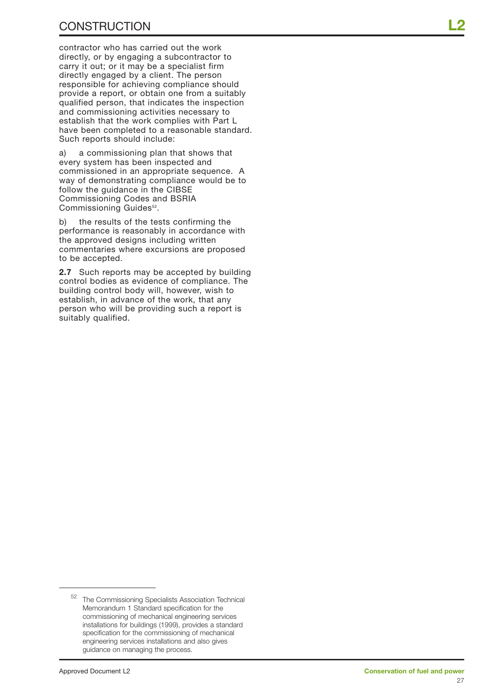contractor who has carried out the work directly, or by engaging a subcontractor to carry it out; or it may be a specialist firm directly engaged by a client. The person responsible for achieving compliance should provide a report, or obtain one from a suitably qualified person, that indicates the inspection and commissioning activities necessary to establish that the work complies with Part L have been completed to a reasonable standard. Such reports should include:

a) a commissioning plan that shows that every system has been inspected and commissioned in an appropriate sequence. A way of demonstrating compliance would be to follow the guidance in the CIBSE Commissioning Codes and BSRIA Commissioning Guides<sup>52</sup>.

b) the results of the tests confirming the performance is reasonably in accordance with the approved designs including written commentaries where excursions are proposed to be accepted.

**2.7** Such reports may be accepted by building control bodies as evidence of compliance. The building control body will, however, wish to establish, in advance of the work, that any person who will be providing such a report is suitably qualified.

<sup>52</sup> The Commissioning Specialists Association Technical Memorandum 1 Standard specification for the commissioning of mechanical engineering services installations for buildings (1999), provides a standard specification for the commissioning of mechanical engineering services installations and also gives guidance on managing the process.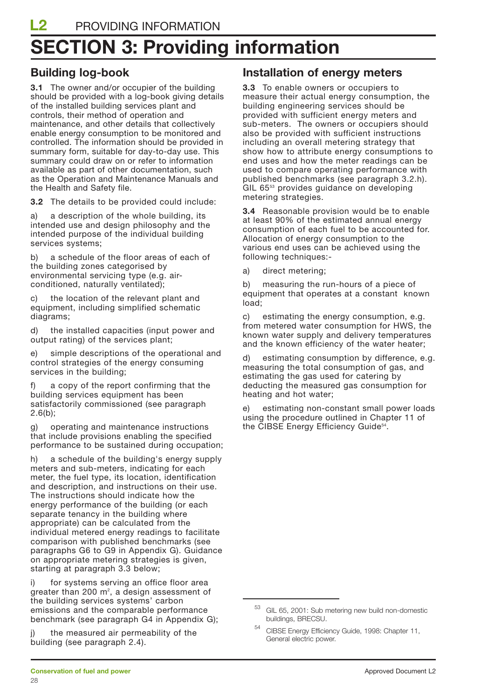# **SECTION 3: Providing information**

# **Building log-book**

**3.1** The owner and/or occupier of the building should be provided with a log-book giving details of the installed building services plant and controls, their method of operation and maintenance, and other details that collectively enable energy consumption to be monitored and controlled. The information should be provided in summary form, suitable for day-to-day use. This summary could draw on or refer to information available as part of other documentation, such as the Operation and Maintenance Manuals and the Health and Safety file.

**3.2** The details to be provided could include:

a) a description of the whole building, its intended use and design philosophy and the intended purpose of the individual building services systems;

b) a schedule of the floor areas of each of the building zones categorised by environmental servicing type (e.g. airconditioned, naturally ventilated);

c) the location of the relevant plant and equipment, including simplified schematic diagrams;

d) the installed capacities (input power and output rating) of the services plant;

e) simple descriptions of the operational and control strategies of the energy consuming services in the building;

a copy of the report confirming that the building services equipment has been satisfactorily commissioned (see paragraph 2.6(b);

g) operating and maintenance instructions that include provisions enabling the specified performance to be sustained during occupation;

h) a schedule of the building's energy supply meters and sub-meters, indicating for each meter, the fuel type, its location, identification and description, and instructions on their use. The instructions should indicate how the energy performance of the building (or each separate tenancy in the building where appropriate) can be calculated from the individual metered energy readings to facilitate comparison with published benchmarks (see paragraphs G6 to G9 in Appendix G). Guidance on appropriate metering strategies is given, starting at paragraph 3.3 below;

i) for systems serving an office floor area greater than 200 m², a design assessment of the building services systems' carbon emissions and the comparable performance benchmark (see paragraph G4 in Appendix G);

the measured air permeability of the building (see paragraph 2.4).

## **Installation of energy meters**

**3.3** To enable owners or occupiers to measure their actual energy consumption, the building engineering services should be provided with sufficient energy meters and sub-meters. The owners or occupiers should also be provided with sufficient instructions including an overall metering strategy that show how to attribute energy consumptions to end uses and how the meter readings can be used to compare operating performance with published benchmarks (see paragraph 3.2.h). GIL 65<sup>53</sup> provides guidance on developing metering strategies.

**3.4** Reasonable provision would be to enable at least 90% of the estimated annual energy consumption of each fuel to be accounted for. Allocation of energy consumption to the various end uses can be achieved using the following techniques:-

a) direct metering;

b) measuring the run-hours of a piece of equipment that operates at a constant known load;

c) estimating the energy consumption, e.g. from metered water consumption for HWS, the known water supply and delivery temperatures and the known efficiency of the water heater;

d) estimating consumption by difference, e.g. measuring the total consumption of gas, and estimating the gas used for catering by deducting the measured gas consumption for heating and hot water;

e) estimating non-constant small power loads using the procedure outlined in Chapter 11 of the CIBSE Energy Efficiency Guide<sup>54</sup>.

<sup>53</sup> GIL 65, 2001: Sub metering new build non-domestic buildings, BRECSU.

CIBSE Energy Efficiency Guide, 1998: Chapter 11, General electric power.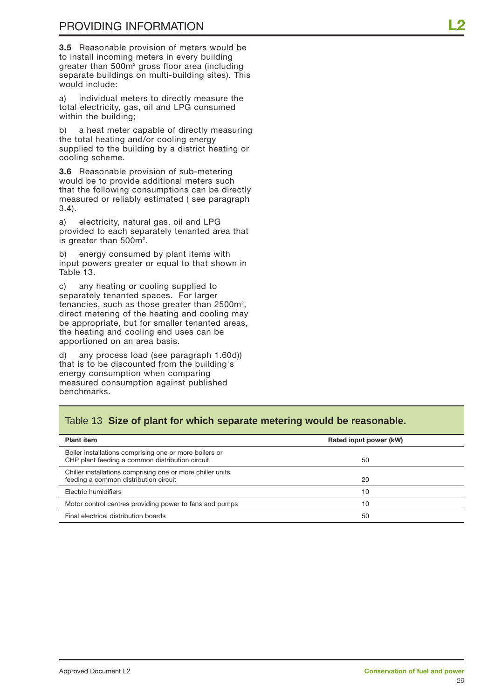**3.5** Reasonable provision of meters would be to install incoming meters in every building greater than 500m<sup>2</sup> gross floor area (including separate buildings on multi-building sites). This would include:

a) individual meters to directly measure the total electricity, gas, oil and LPG consumed within the building;

b) a heat meter capable of directly measuring the total heating and/or cooling energy supplied to the building by a district heating or cooling scheme.

**3.6** Reasonable provision of sub-metering would be to provide additional meters such that the following consumptions can be directly measured or reliably estimated ( see paragraph 3.4).

a) electricity, natural gas, oil and LPG provided to each separately tenanted area that is greater than  $500m^2$ .

b) energy consumed by plant items with input powers greater or equal to that shown in Table 13.

c) any heating or cooling supplied to separately tenanted spaces. For larger tenancies, such as those greater than  $2500$ m<sup>2</sup>, direct metering of the heating and cooling may be appropriate, but for smaller tenanted areas, the heating and cooling end uses can be apportioned on an area basis.

d) any process load (see paragraph 1.60d)) that is to be discounted from the building's energy consumption when comparing measured consumption against published benchmarks.

## Table 13 **Size of plant for which separate metering would be reasonable.**

| <b>Plant item</b>                                                                                          | Rated input power (kW) |
|------------------------------------------------------------------------------------------------------------|------------------------|
| Boiler installations comprising one or more boilers or<br>CHP plant feeding a common distribution circuit. | 50                     |
| Chiller installations comprising one or more chiller units<br>feeding a common distribution circuit        | 20                     |
| Electric humidifiers                                                                                       | 10                     |
| Motor control centres providing power to fans and pumps                                                    | 10                     |
| Final electrical distribution boards                                                                       | 50                     |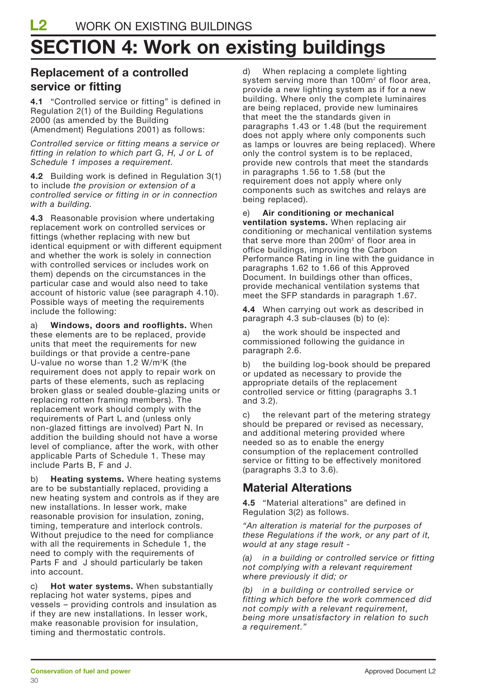# **SECTION 4: Work on existing buildings**

## **Replacement of a controlled service or fitting**

**4.1** "Controlled service or fitting" is defined in Regulation 2(1) of the Building Regulations 2000 (as amended by the Building (Amendment) Regulations 2001) as follows:

*Controlled service or fitting means a service or fitting in relation to which part G, H, J or L of Schedule 1 imposes a requirement.*

**4.2** Building work is defined in Regulation 3(1) to include *the provision or extension of a controlled service or fitting in or in connection with a building.*

**4.3** Reasonable provision where undertaking replacement work on controlled services or fittings (whether replacing with new but identical equipment or with different equipment and whether the work is solely in connection with controlled services or includes work on them) depends on the circumstances in the particular case and would also need to take account of historic value (see paragraph 4.10). Possible ways of meeting the requirements include the following:

a) **Windows, doors and rooflights.** When these elements are to be replaced, provide units that meet the requirements for new buildings or that provide a centre-pane U-value no worse than 1.2 W/m<sup>2</sup>K (the requirement does not apply to repair work on parts of these elements, such as replacing broken glass or sealed double-glazing units or replacing rotten framing members). The replacement work should comply with the requirements of Part L and (unless only non-glazed fittings are involved) Part N. In addition the building should not have a worse level of compliance, after the work, with other applicable Parts of Schedule 1. These may include Parts B, F and J.

b) **Heating systems.** Where heating systems are to be substantially replaced, providing a new heating system and controls as if they are new installations. In lesser work, make reasonable provision for insulation, zoning, timing, temperature and interlock controls. Without prejudice to the need for compliance with all the requirements in Schedule 1, the need to comply with the requirements of Parts F and J should particularly be taken into account.

c) **Hot water systems.** When substantially replacing hot water systems, pipes and vessels – providing controls and insulation as if they are new installations. In lesser work, make reasonable provision for insulation, timing and thermostatic controls.

d) When replacing a complete lighting system serving more than 100m<sup>2</sup> of floor area, provide a new lighting system as if for a new building. Where only the complete luminaires are being replaced, provide new luminaires that meet the the standards given in paragraphs 1.43 or 1.48 (but the requirement does not apply where only components such as lamps or louvres are being replaced). Where only the control system is to be replaced, provide new controls that meet the standards in paragraphs 1.56 to 1.58 (but the requirement does not apply where only components such as switches and relays are being replaced).

e) **Air conditioning or mechanical ventilation systems.** When replacing air conditioning or mechanical ventilation systems that serve more than 200m<sup>2</sup> of floor area in office buildings, improving the Carbon Performance Rating in line with the guidance in paragraphs 1.62 to 1.66 of this Approved Document. In buildings other than offices, provide mechanical ventilation systems that meet the SFP standards in paragraph 1.67.

**4.4** When carrying out work as described in paragraph 4.3 sub-clauses (b) to (e):

a) the work should be inspected and commissioned following the guidance in paragraph 2.6.

b) the building log-book should be prepared or updated as necessary to provide the appropriate details of the replacement controlled service or fitting (paragraphs 3.1 and 3.2).

c) the relevant part of the metering strategy should be prepared or revised as necessary, and additional metering provided where needed so as to enable the energy consumption of the replacement controlled service or fitting to be effectively monitored (paragraphs 3.3 to 3.6).

# **Material Alterations**

**4.5** "Material alterations" are defined in Regulation 3(2) as follows.

*"An alteration is material for the purposes of these Regulations if the work, or any part of it, would at any stage result -*

*(a) in a building or controlled service or fitting not complying with a relevant requirement where previously it did; or*

*(b) in a building or controlled service or fitting which before the work commenced did not comply with a relevant requirement, being more unsatisfactory in relation to such a requirement."*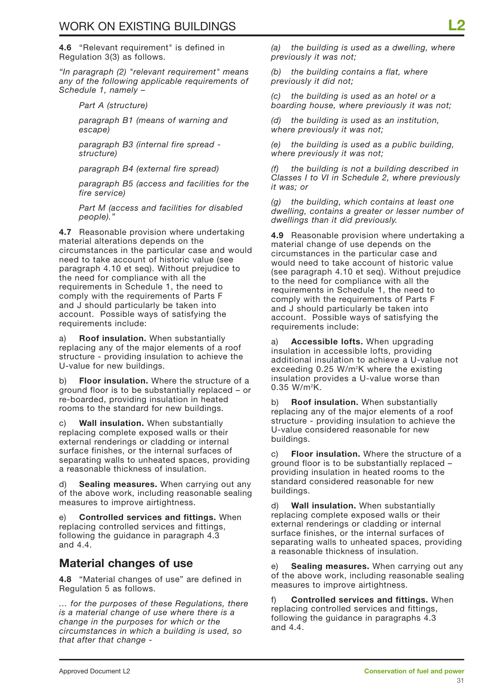**4.6** "Relevant requirement" is defined in Regulation 3(3) as follows.

*"In paragraph (2) "relevant requirement" means any of the following applicable requirements of Schedule 1, namely –*

*Part A (structure)*

*paragraph B1 (means of warning and escape)*

*paragraph B3 (internal fire spread structure)*

*paragraph B4 (external fire spread)*

*paragraph B5 (access and facilities for the fire service)*

*Part M (access and facilities for disabled people)."*

**4.7** Reasonable provision where undertaking material alterations depends on the circumstances in the particular case and would need to take account of historic value (see paragraph 4.10 et seq). Without prejudice to the need for compliance with all the requirements in Schedule 1, the need to comply with the requirements of Parts F and J should particularly be taken into account. Possible ways of satisfying the requirements include:

a) **Roof insulation.** When substantially replacing any of the major elements of a roof structure - providing insulation to achieve the U-value for new buildings.

b) **Floor insulation.** Where the structure of a ground floor is to be substantially replaced – or re-boarded, providing insulation in heated rooms to the standard for new buildings.

c) **Wall insulation.** When substantially replacing complete exposed walls or their external renderings or cladding or internal surface finishes, or the internal surfaces of separating walls to unheated spaces, providing a reasonable thickness of insulation.

d) **Sealing measures.** When carrying out any of the above work, including reasonable sealing measures to improve airtightness.

e) **Controlled services and fittings.** When replacing controlled services and fittings, following the guidance in paragraph 4.3 and 4.4.

## **Material changes of use**

**4.8** "Material changes of use" are defined in Regulation 5 as follows.

*… for the purposes of these Regulations, there is a material change of use where there is a change in the purposes for which or the circumstances in which a building is used, so that after that change -*

*(a) the building is used as a dwelling, where previously it was not;*

*(b) the building contains a flat, where previously it did not;*

*(c) the building is used as an hotel or a boarding house, where previously it was not;*

*(d) the building is used as an institution, where previously it was not;*

*(e) the building is used as a public building, where previously it was not;*

*(f) the building is not a building described in Classes I to VI in Schedule 2, where previously it was; or*

*(g) the building, which contains at least one dwelling, contains a greater or lesser number of dwellings than it did previously.*

**4.9** Reasonable provision where undertaking a material change of use depends on the circumstances in the particular case and would need to take account of historic value (see paragraph 4.10 et seq). Without prejudice to the need for compliance with all the requirements in Schedule 1, the need to comply with the requirements of Parts F and J should particularly be taken into account. Possible ways of satisfying the requirements include:

a) **Accessible lofts.** When upgrading insulation in accessible lofts, providing additional insulation to achieve a U-value not exceeding 0.25 W/m²K where the existing insulation provides a U-value worse than 0.35 W/m2 K.

b) **Roof insulation.** When substantially replacing any of the major elements of a roof structure - providing insulation to achieve the U-value considered reasonable for new buildings.

c) **Floor insulation.** Where the structure of a ground floor is to be substantially replaced – providing insulation in heated rooms to the standard considered reasonable for new buildings.

d) **Wall insulation.** When substantially replacing complete exposed walls or their external renderings or cladding or internal surface finishes, or the internal surfaces of separating walls to unheated spaces, providing a reasonable thickness of insulation.

e) **Sealing measures.** When carrying out any of the above work, including reasonable sealing measures to improve airtightness.

f) **Controlled services and fittings.** When replacing controlled services and fittings, following the guidance in paragraphs 4.3 and 4.4.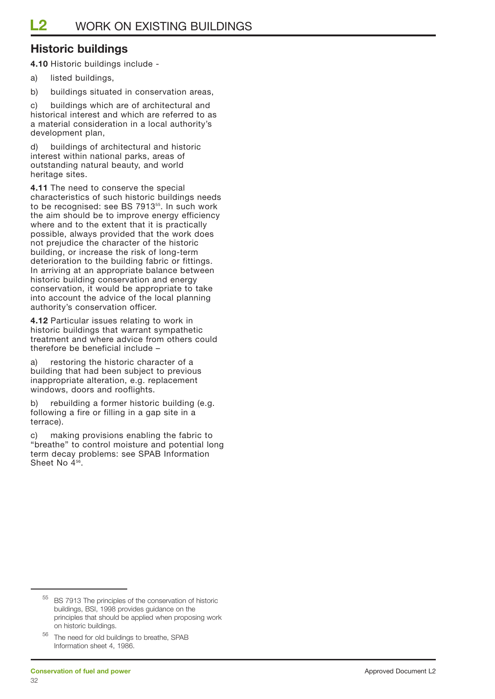# **Historic buildings**

**4.10** Historic buildings include -

a) listed buildings,

b) buildings situated in conservation areas,

c) buildings which are of architectural and historical interest and which are referred to as a material consideration in a local authority's development plan,

d) buildings of architectural and historic interest within national parks, areas of outstanding natural beauty, and world heritage sites.

**4.11** The need to conserve the special characteristics of such historic buildings needs to be recognised: see BS 7913<sup>55</sup>. In such work the aim should be to improve energy efficiency where and to the extent that it is practically possible, always provided that the work does not prejudice the character of the historic building, or increase the risk of long-term deterioration to the building fabric or fittings. In arriving at an appropriate balance between historic building conservation and energy conservation, it would be appropriate to take into account the advice of the local planning authority's conservation officer.

**4.12** Particular issues relating to work in historic buildings that warrant sympathetic treatment and where advice from others could therefore be beneficial include –

a) restoring the historic character of a building that had been subject to previous inappropriate alteration, e.g. replacement windows, doors and rooflights.

b) rebuilding a former historic building (e.g. following a fire or filling in a gap site in a terrace).

c) making provisions enabling the fabric to "breathe" to control moisture and potential long term decay problems: see SPAB Information Sheet No 4<sup>56</sup>.

<sup>55</sup> BS 7913 The principles of the conservation of historic buildings, BSI, 1998 provides guidance on the principles that should be applied when proposing work on historic buildings.

<sup>56</sup> The need for old buildings to breathe, SPAB Information sheet 4, 1986.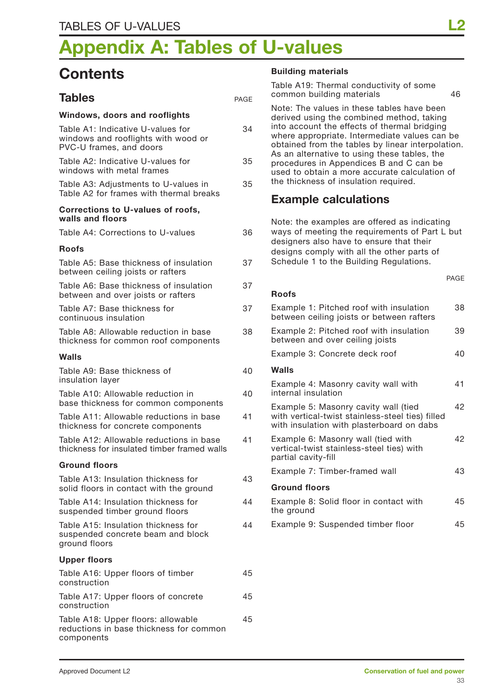# **Appendix A: Tables of U-values**

# **Contents**

| <b>Tables</b>                                                                                       | <b>PAGE</b> | common building mater                                                                                         |
|-----------------------------------------------------------------------------------------------------|-------------|---------------------------------------------------------------------------------------------------------------|
| Windows, doors and rooflights                                                                       |             | Note: The values in thes<br>derived using the comb                                                            |
| Table A1: Indicative U-values for<br>windows and rooflights with wood or<br>PVC-U frames, and doors | 34          | into account the effects<br>where appropriate. Inter<br>obtained from the table:<br>As an alternative to usir |
| Table A2: Indicative U-values for<br>windows with metal frames                                      | 35          | procedures in Appendic<br>used to obtain a more a                                                             |
| Table A3: Adjustments to U-values in<br>Table A2 for frames with thermal breaks                     | 35          | the thickness of insulati<br><b>Example calculat</b>                                                          |
| Corrections to U-values of roofs,<br>walls and floors                                               |             | Note: the examples are                                                                                        |
| Table A4: Corrections to U-values                                                                   | 36          | ways of meeting the rec                                                                                       |
| <b>Roofs</b>                                                                                        |             | designers also have to a<br>designs comply with all                                                           |
| Table A5: Base thickness of insulation<br>between ceiling joists or rafters                         | 37          | Schedule 1 to the Build                                                                                       |
| Table A6: Base thickness of insulation<br>between and over joists or rafters                        | 37          | <b>Roofs</b>                                                                                                  |
| Table A7: Base thickness for<br>continuous insulation                                               | 37          | Example 1: Pitched roof<br>between ceiling joists o                                                           |
| Table A8: Allowable reduction in base<br>thickness for common roof components                       | 38          | Example 2: Pitched roof<br>between and over ceilin                                                            |
| Walls                                                                                               |             | Example 3: Concrete de                                                                                        |
| Table A9: Base thickness of                                                                         | 40          | Walls                                                                                                         |
| insulation layer<br>Table A10: Allowable reduction in                                               | 40          | Example 4: Masonry cay<br>internal insulation                                                                 |
| base thickness for common components                                                                |             | Example 5: Masonry cay                                                                                        |
| Table A11: Allowable reductions in base<br>thickness for concrete components                        | 41          | with vertical-twist stainl<br>with insulation with plas                                                       |
| Table A12: Allowable reductions in base<br>thickness for insulated timber framed walls              | 41          | Example 6: Masonry wa<br>vertical-twist stainless-s<br>partial cavity-fill                                    |
| <b>Ground floors</b>                                                                                |             | Example 7: Timber-fram                                                                                        |
| Table A13: Insulation thickness for                                                                 | 43          | <b>Ground floors</b>                                                                                          |
| solid floors in contact with the ground<br>Table A14: Insulation thickness for                      | 44          | Example 8: Solid floor in                                                                                     |
| suspended timber ground floors                                                                      |             | the ground                                                                                                    |
| Table A15: Insulation thickness for<br>suspended concrete beam and block<br>ground floors           | 44          | Example 9: Suspended                                                                                          |
| <b>Upper floors</b>                                                                                 |             |                                                                                                               |
| Table A16: Upper floors of timber<br>construction                                                   | 45          |                                                                                                               |
| Table A17: Upper floors of concrete<br>construction                                                 | 45          |                                                                                                               |
| Table A18: Upper floors: allowable<br>reductions in base thickness for common<br>components         | 45          |                                                                                                               |

### **Building materials**

| Table A19: Thermal conductivity of some<br>common building materials                                                                                                                                                                                                                                                                                                                                                               | 46   |
|------------------------------------------------------------------------------------------------------------------------------------------------------------------------------------------------------------------------------------------------------------------------------------------------------------------------------------------------------------------------------------------------------------------------------------|------|
| Note: The values in these tables have been<br>derived using the combined method, taking<br>into account the effects of thermal bridging<br>where appropriate. Intermediate values can be<br>obtained from the tables by linear interpolation.<br>As an alternative to using these tables, the<br>procedures in Appendices B and C can be<br>used to obtain a more accurate calculation of<br>the thickness of insulation required. |      |
| <b>Example calculations</b>                                                                                                                                                                                                                                                                                                                                                                                                        |      |
| Note: the examples are offered as indicating<br>ways of meeting the requirements of Part L but<br>designers also have to ensure that their<br>designs comply with all the other parts of<br>Schedule 1 to the Building Regulations.                                                                                                                                                                                                |      |
|                                                                                                                                                                                                                                                                                                                                                                                                                                    | PAGF |
| <b>Roofs</b>                                                                                                                                                                                                                                                                                                                                                                                                                       |      |
| Example 1: Pitched roof with insulation<br>between ceiling joists or between rafters                                                                                                                                                                                                                                                                                                                                               | 38   |
| Example 2: Pitched roof with insulation<br>between and over ceiling joists                                                                                                                                                                                                                                                                                                                                                         | 39   |
| Example 3: Concrete deck roof                                                                                                                                                                                                                                                                                                                                                                                                      | 40   |
| <b>Walls</b>                                                                                                                                                                                                                                                                                                                                                                                                                       |      |
| Example 4: Masonry cavity wall with<br>internal insulation                                                                                                                                                                                                                                                                                                                                                                         | 41   |
| Example 5: Masonry cavity wall (tied<br>with vertical-twist stainless-steel ties) filled<br>with insulation with plasterboard on dabs                                                                                                                                                                                                                                                                                              | 42   |
| Example 6: Masonry wall (tied with<br>vertical-twist stainless-steel ties) with<br>partial cavity-fill                                                                                                                                                                                                                                                                                                                             | 42   |
| Example 7: Timber-framed wall                                                                                                                                                                                                                                                                                                                                                                                                      | 43   |
| <b>Ground floors</b>                                                                                                                                                                                                                                                                                                                                                                                                               |      |
| Example 8: Solid floor in contact with<br>the ground                                                                                                                                                                                                                                                                                                                                                                               | 45   |
| Example 9: Suspended timber floor                                                                                                                                                                                                                                                                                                                                                                                                  | 45   |
|                                                                                                                                                                                                                                                                                                                                                                                                                                    |      |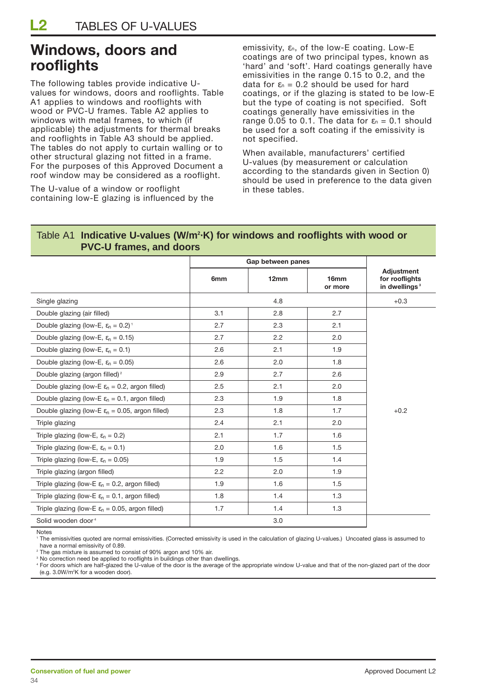# **Windows, doors and rooflights**

The following tables provide indicative Uvalues for windows, doors and rooflights. Table A1 applies to windows and rooflights with wood or PVC-U frames. Table A2 applies to windows with metal frames, to which (if applicable) the adjustments for thermal breaks and rooflights in Table A3 should be applied. The tables do not apply to curtain walling or to other structural glazing not fitted in a frame. For the purposes of this Approved Document a roof window may be considered as a rooflight.

The U-value of a window or rooflight containing low-E glazing is influenced by the emissivity, εn, of the low-E coating. Low-E coatings are of two principal types, known as 'hard' and 'soft'. Hard coatings generally have emissivities in the range 0.15 to 0.2, and the data for  $\varepsilon_n = 0.2$  should be used for hard coatings, or if the glazing is stated to be low-E but the type of coating is not specified. Soft coatings generally have emissivities in the range 0.05 to 0.1. The data for  $\varepsilon_n = 0.1$  should be used for a soft coating if the emissivity is not specified.

When available, manufacturers' certified U-values (by measurement or calculation according to the standards given in Section 0) should be used in preference to the data given in these tables.

## Table A1 Indicative U-values (W/m<sup>2</sup>·K) for windows and rooflights with wood or **PVC-U frames, and doors**

|                                                             | Gap between panes |      |                             |                                                           |
|-------------------------------------------------------------|-------------------|------|-----------------------------|-----------------------------------------------------------|
|                                                             | 6mm               | 12mm | 16 <sub>mm</sub><br>or more | Adjustment<br>for rooflights<br>in dwellings <sup>3</sup> |
| Single glazing                                              |                   | 4.8  |                             | $+0.3$                                                    |
| Double glazing (air filled)                                 | 3.1               | 2.8  | 2.7                         |                                                           |
| Double glazing (low-E, $\varepsilon_n = 0.2$ ) <sup>1</sup> | 2.7               | 2.3  | 2.1                         |                                                           |
| Double glazing (low-E, $\varepsilon_n = 0.15$ )             | 2.7               | 2.2  | 2.0                         |                                                           |
| Double glazing (low-E, $\varepsilon_n = 0.1$ )              | 2.6               | 2.1  | 1.9                         |                                                           |
| Double glazing (low-E, $\varepsilon_n = 0.05$ )             | 2.6               | 2.0  | 1.8                         |                                                           |
| Double glazing (argon filled) <sup>2</sup>                  | 2.9               | 2.7  | 2.6                         |                                                           |
| Double glazing (low-E $\varepsilon_n$ = 0.2, argon filled)  | 2.5               | 2.1  | 2.0                         |                                                           |
| Double glazing (low-E $\varepsilon_n = 0.1$ , argon filled) | 2.3               | 1.9  | 1.8                         |                                                           |
| Double glazing (low-E $\varepsilon_n$ = 0.05, argon filled) | 2.3               | 1.8  | 1.7                         | $+0.2$                                                    |
| Triple glazing                                              | 2.4               | 2.1  | 2.0                         |                                                           |
| Triple glazing (low-E, $\varepsilon_n = 0.2$ )              | 2.1               | 1.7  | 1.6                         |                                                           |
| Triple glazing (low-E, $\varepsilon_n = 0.1$ )              | 2.0               | 1.6  | 1.5                         |                                                           |
| Triple glazing (low-E, $\varepsilon_n = 0.05$ )             | 1.9               | 1.5  | 1.4                         |                                                           |
| Triple glazing (argon filled)                               | 2.2               | 2.0  | 1.9                         |                                                           |
| Triple glazing (low-E $\varepsilon_n$ = 0.2, argon filled)  | 1.9               | 1.6  | 1.5                         |                                                           |
| Triple glazing (low-E $\varepsilon_n = 0.1$ , argon filled) | 1.8               | 1.4  | 1.3                         |                                                           |
| Triple glazing (low-E $\varepsilon_n$ = 0.05, argon filled) | 1.7               | 1.4  | 1.3                         |                                                           |
| Solid wooden door <sup>4</sup>                              |                   | 3.0  |                             |                                                           |

Notes

<sup>1</sup> The emissivities quoted are normal emissivities. (Corrected emissivity is used in the calculation of glazing U-values.) Uncoated glass is assumed to have a normal emissivity of 0.89.

<sup>2</sup> The gas mixture is assumed to consist of 90% argon and 10% air.

<sup>3</sup> No correction need be applied to rooflights in buildings other than dwellings.

<sup>4</sup> For doors which are half-glazed the U-value of the door is the average of the appropriate window U-value and that of the non-glazed part of the door (e.g. 3.0W/m2 K for a wooden door).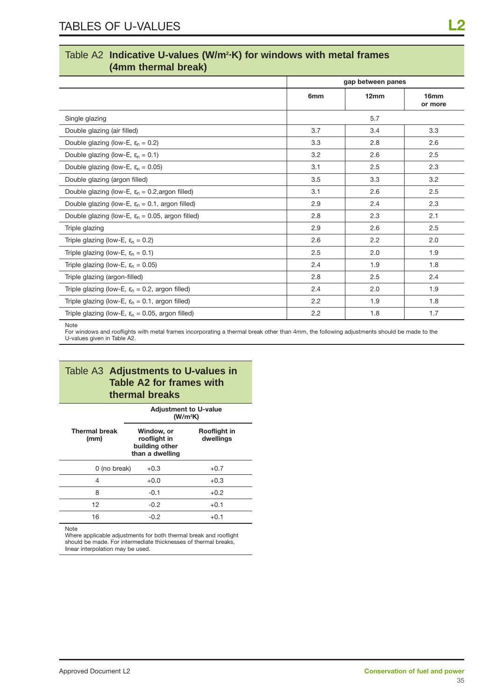### Table A2 **Indicative U-values (W/m2 ·K) for windows with metal frames (4mm thermal break)**

|                                                               |                 | gap between panes |                 |  |
|---------------------------------------------------------------|-----------------|-------------------|-----------------|--|
|                                                               | 6 <sub>mm</sub> | 12mm              | 16mm<br>or more |  |
| Single glazing                                                |                 | 5.7               |                 |  |
| Double glazing (air filled)                                   | 3.7             | 3.4               | 3.3             |  |
| Double glazing (low-E, $\varepsilon_n = 0.2$ )                | 3.3             | 2.8               | 2.6             |  |
| Double glazing (low-E, $\varepsilon_n = 0.1$ )                | 3.2             | 2.6               | 2.5             |  |
| Double glazing (low-E, $\varepsilon_n = 0.05$ )               | 3.1             | 2.5               | 2.3             |  |
| Double glazing (argon filled)                                 | 3.5             | 3.3               | 3.2             |  |
| Double glazing (low-E, $\varepsilon_n = 0.2$ , argon filled)  | 3.1             | 2.6               | 2.5             |  |
| Double glazing (low-E, $\varepsilon_n = 0.1$ , argon filled)  | 2.9             | 2.4               | 2.3             |  |
| Double glazing (low-E, $\varepsilon_n$ = 0.05, argon filled)  | 2.8             | 2.3               | 2.1             |  |
| Triple glazing                                                | 2.9             | 2.6               | 2.5             |  |
| Triple glazing (low-E, $\varepsilon_n = 0.2$ )                | 2.6             | 2.2               | 2.0             |  |
| Triple glazing (low-E, $\varepsilon_n = 0.1$ )                | 2.5             | 2.0               | 1.9             |  |
| Triple glazing (low-E, $\varepsilon_n = 0.05$ )               | 2.4             | 1.9               | 1.8             |  |
| Triple glazing (argon-filled)                                 | 2.8             | 2.5               | 2.4             |  |
| Triple glazing (low-E, $\varepsilon_n = 0.2$ , argon filled)  | 2.4             | 2.0               | 1.9             |  |
| Triple glazing (low-E, $\varepsilon_n = 0.1$ , argon filled)  | 2.2             | 1.9               | 1.8             |  |
| Triple glazing (low-E, $\varepsilon_n = 0.05$ , argon filled) | 2.2             | 1.8               | 1.7             |  |

#### Note

For windows and rooflights with metal frames incorporating a thermal break other than 4mm, the following adjustments should be made to the U-values given in Table A2.

## Table A3 **Adjustments to U-values in Table A2 for frames with thermal breaks**

|                              |                                                                 | <b>Adjustment to U-value</b><br>(W/m <sup>2</sup> K) |  |
|------------------------------|-----------------------------------------------------------------|------------------------------------------------------|--|
| <b>Thermal break</b><br>(mm) | Window, or<br>rooflight in<br>building other<br>than a dwelling | Rooflight in<br>dwellings                            |  |
| 0 (no break)                 | $+0.3$                                                          | $+0.7$                                               |  |
| 4                            | $+0.0$                                                          | $+0.3$                                               |  |
| 8                            | $-0.1$                                                          | $+0.2$                                               |  |
| 12                           | $-0.2$                                                          | $+0.1$                                               |  |
| 16                           | $-0.2$                                                          | $+0.1$                                               |  |

Note

Where applicable adjustments for both thermal break and rooflight should be made. For intermediate thicknesses of thermal breaks, linear interpolation may be used.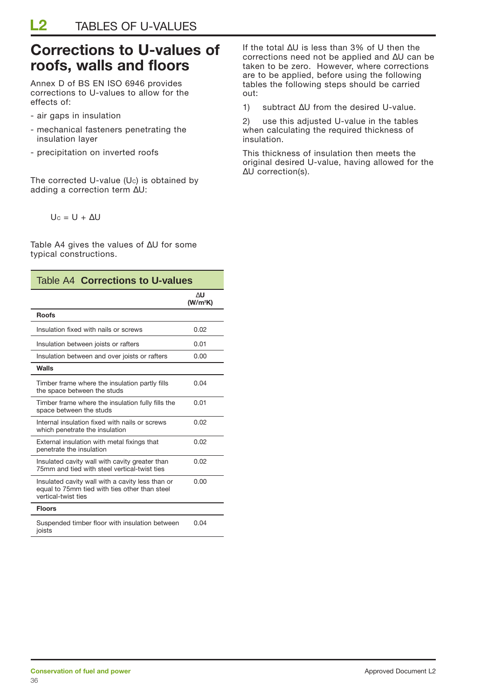# **Corrections to U-values of roofs, walls and floors**

Annex D of BS EN ISO 6946 provides corrections to U-values to allow for the effects of:

- air gaps in insulation
- mechanical fasteners penetrating the insulation layer
- precipitation on inverted roofs

The corrected U-value (Uc) is obtained by adding a correction term ∆U:

 $U_c = U + \Delta U$ 

Table A4 gives the values of ∆U for some typical constructions.

| Table A4 Corrections to U-values                                                                                         |                            |  |
|--------------------------------------------------------------------------------------------------------------------------|----------------------------|--|
|                                                                                                                          | ΛU<br>(W/m <sup>2</sup> K) |  |
| <b>Roofs</b>                                                                                                             |                            |  |
| Insulation fixed with nails or screws                                                                                    | 0.02                       |  |
| Insulation between joists or rafters                                                                                     | 0.01                       |  |
| Insulation between and over joists or rafters                                                                            | 0.00                       |  |
| Walls                                                                                                                    |                            |  |
| Timber frame where the insulation partly fills<br>the space between the studs                                            | 0.04                       |  |
| Timber frame where the insulation fully fills the<br>space between the studs                                             | 0.01                       |  |
| Internal insulation fixed with nails or screws<br>which penetrate the insulation                                         | 0.02                       |  |
| External insulation with metal fixings that<br>penetrate the insulation                                                  | 0.02                       |  |
| Insulated cavity wall with cavity greater than<br>75mm and tied with steel vertical-twist ties                           | 0.02                       |  |
| Insulated cavity wall with a cavity less than or<br>equal to 75mm tied with ties other than steel<br>vertical-twist ties | 0.00                       |  |
| <b>Floors</b>                                                                                                            |                            |  |
| Suspended timber floor with insulation between<br>joists                                                                 | 0.04                       |  |

If the total ∆U is less than 3% of U then the corrections need not be applied and ∆U can be taken to be zero. However, where corrections are to be applied, before using the following tables the following steps should be carried out:

1) subtract ∆U from the desired U-value.

2) use this adjusted U-value in the tables when calculating the required thickness of insulation.

This thickness of insulation then meets the original desired U-value, having allowed for the ∆U correction(s).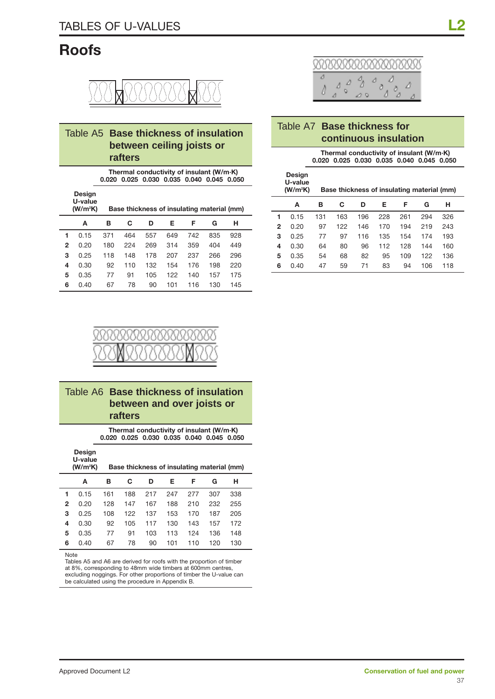# **Roofs**



### Table A5 **Base thickness of insulation between ceiling joists or rafters**

**Thermal conductivity of insulant (W/m·K) 0.020 0.025 0.030 0.035 0.040 0.045 0.050**

|   | Design<br>U-value<br>(W/m <sup>2</sup> K) |     | Base thickness of insulating material (mm) |     |     |     |     |     |
|---|-------------------------------------------|-----|--------------------------------------------|-----|-----|-----|-----|-----|
|   | А                                         | в   | C                                          | D   | Е   | F   | G   | н   |
| 1 | 0.15                                      | 371 | 464                                        | 557 | 649 | 742 | 835 | 928 |
| 2 | 0.20                                      | 180 | 224                                        | 269 | 314 | 359 | 404 | 449 |
| 3 | 0.25                                      | 118 | 148                                        | 178 | 207 | 237 | 266 | 296 |
| 4 | 0.30                                      | 92  | 110                                        | 132 | 154 | 176 | 198 | 220 |
| 5 | 0.35                                      | 77  | 91                                         | 105 | 122 | 140 | 157 | 175 |
| 6 | 0.40                                      | 67  | 78                                         | 90  | 101 | 116 | 130 | 145 |



### Table A7 **Base thickness for continuous insulation**

|   |                                           | 0.020 |     |     | 0.025 0.030 0.035 0.040 0.045 0.050        |     |     |     |
|---|-------------------------------------------|-------|-----|-----|--------------------------------------------|-----|-----|-----|
|   | Design<br>U-value<br>(W/m <sup>2</sup> K) |       |     |     | Base thickness of insulating material (mm) |     |     |     |
|   | A                                         | в     | C   | D   | Е                                          | F   | G   | н   |
| 1 | 0.15                                      | 131   | 163 | 196 | 228                                        | 261 | 294 | 326 |
| 2 | 0.20                                      | 97    | 122 | 146 | 170                                        | 194 | 219 | 243 |
| 3 | 0.25                                      | 77    | 97  | 116 | 135                                        | 154 | 174 | 193 |
| 4 | 0.30                                      | 64    | 80  | 96  | 112                                        | 128 | 144 | 160 |
| 5 | 0.35                                      | 54    | 68  | 82  | 95                                         | 109 | 122 | 136 |
| 6 | 0.40                                      | 47    | 59  | 71  | 83                                         | 94  | 106 | 118 |

**Thermal conductivity of insulant (W/m·K)** 



#### Table A6 **Base thickness of insulation between and over joists or rafters**

**Thermal conductivity of insulant (W/m·K) 0.020 0.025 0.030 0.035 0.040 0.045 0.050**

|   | Design<br>U-value<br>(W/m <sup>2</sup> K) | Base thickness of insulating material (mm) |     |     |     |     |     |     |  |
|---|-------------------------------------------|--------------------------------------------|-----|-----|-----|-----|-----|-----|--|
|   | A                                         | в                                          | C   | D   | Е   | F   | G   | н   |  |
| 1 | 0.15                                      | 161                                        | 188 | 217 | 247 | 277 | 307 | 338 |  |
| 2 | 0.20                                      | 128                                        | 147 | 167 | 188 | 210 | 232 | 255 |  |
| 3 | 0.25                                      | 108                                        | 122 | 137 | 153 | 170 | 187 | 205 |  |
| 4 | 0.30                                      | 92                                         | 105 | 117 | 130 | 143 | 157 | 172 |  |
| 5 | 0.35                                      | 77                                         | 91  | 103 | 113 | 124 | 136 | 148 |  |
| 6 | 0.40                                      | 67                                         | 78  | 90  | 101 | 110 | 120 | 130 |  |

Note

Tables A5 and A6 are derived for roofs with the proportion of timber at 8%, corresponding to 48mm wide timbers at 600mm centres, excluding noggings. For other proportions of timber the U-value can be calculated using the procedure in Appendix B.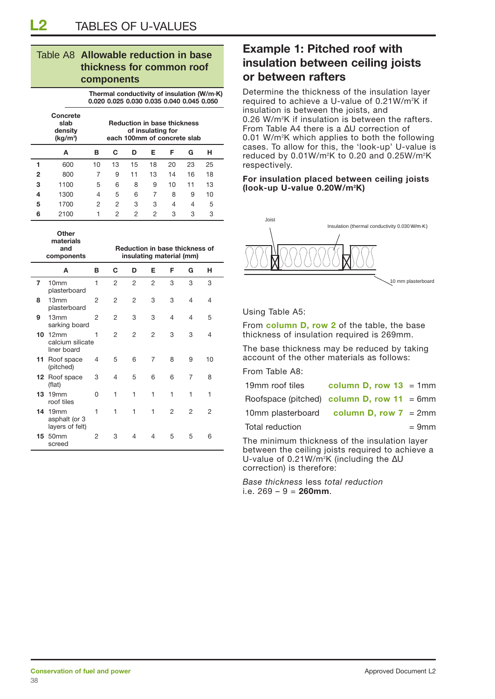### Table A8 **Allowable reduction in base thickness for common roof components**

**Thermal conductivity of insulation (W/m·K) 0.020 0.025 0.030 0.035 0.040 0.045 0.050**

|   | Concrete<br>slab<br>density<br>(kg/m <sup>3</sup> ) |    |    |    | <b>Reduction in base thickness</b><br>of insulating for<br>each 100mm of concrete slab |    |    |    |  |
|---|-----------------------------------------------------|----|----|----|----------------------------------------------------------------------------------------|----|----|----|--|
|   | А                                                   | в  | C. | D  | Е                                                                                      | F  | G  | н  |  |
|   | 600                                                 | 10 | 13 | 15 | 18                                                                                     | 20 | 23 | 25 |  |
| 2 | 800                                                 | 7  | 9  | 11 | 13                                                                                     | 14 | 16 | 18 |  |
| 3 | 1100                                                | 5  | 6  | 8  | 9                                                                                      | 10 | 11 | 13 |  |
| 4 | 1300                                                | 4  | 5  | 6  | 7                                                                                      | 8  | 9  | 10 |  |
| 5 | 1700                                                | 2  | 2  | 3  | 3                                                                                      | 4  | 4  | 5  |  |
| 6 | 2100                                                |    | 2  | 2  | 2                                                                                      | 3  | З  | 3  |  |

|     | Other<br>materials<br>and<br>components               |   |                |                | <b>Reduction in base thickness of</b><br>insulating material (mm) |                |   |    |  |
|-----|-------------------------------------------------------|---|----------------|----------------|-------------------------------------------------------------------|----------------|---|----|--|
|     | A                                                     | в | C              | D              | Е                                                                 | F              | G | н  |  |
| 7   | 10 <sub>mm</sub><br>plasterboard                      | 1 | $\overline{2}$ | $\overline{2}$ | $\overline{c}$                                                    | 3              | 3 | 3  |  |
| 8   | 13mm<br>plasterboard                                  | 2 | $\overline{2}$ | $\overline{2}$ | 3                                                                 | 3              | 4 | 4  |  |
| 9   | 13mm<br>sarking board                                 | 2 | 2              | 3              | 3                                                                 | 4              | 4 | 5  |  |
|     | $10, 12 \text{mm}$<br>calcium silicate<br>liner board | 1 | $\mathfrak{p}$ | $\mathfrak{p}$ | 2                                                                 | 3              | 3 | 4  |  |
| 11. | Roof space<br>(pitched)                               | 4 | 5              | 6              | 7                                                                 | 8              | 9 | 10 |  |
| 12. | Roof space<br>(flat)                                  | 3 | 4              | 5              | 6                                                                 | 6              | 7 | 8  |  |
| 13  | 19 <sub>mm</sub><br>roof tiles                        | 0 | 1              | 1              | 1                                                                 | 1              | 1 | 1  |  |
| 14  | 19 <sub>mm</sub><br>asphalt (or 3<br>layers of felt)  | 1 | 1              | 1              | 1                                                                 | $\overline{2}$ | 2 | 2  |  |
| 15  | 50 <sub>mm</sub><br>screed                            | 2 | 3              | 4              | $\overline{4}$                                                    | 5              | 5 | 6  |  |

### **Example 1: Pitched roof with insulation between ceiling joists or between rafters**

Determine the thickness of the insulation layer required to achieve a U-value of 0.21W/m<sup>2</sup>K if insulation is between the joists, and 0.26 W/m2 K if insulation is between the rafters. From Table A4 there is a ∆U correction of 0.01 W/m<sup>2</sup>K which applies to both the following cases. To allow for this, the 'look-up' U-value is reduced by  $0.01 \text{W/m}^2$ K to 0.20 and 0.25W/m<sup>2</sup>K respectively.

#### **For insulation placed between ceiling joists (look-up U-value 0.20W/m2 K)**



#### Using Table A5:

From **column D, row 2** of the table, the base thickness of insulation required is 269mm.

The base thickness may be reduced by taking account of the other materials as follows:

From Table A8:

| 19mm roof tiles                               | column D, row $13 = 1$ mm |          |
|-----------------------------------------------|---------------------------|----------|
| Roofspace (pitched) column D, row $11 = 6$ mm |                           |          |
| 10mm plasterboard column D, row $7 = 2$ mm    |                           |          |
| Total reduction                               |                           | $= 9$ mm |

The minimum thickness of the insulation layer between the ceiling joists required to achieve a U-value of 0.21W/m<sup>2</sup>K (including the ∆U correction) is therefore:

*Base thickness* less *total reduction* i.e. 269 – 9 = **260mm**.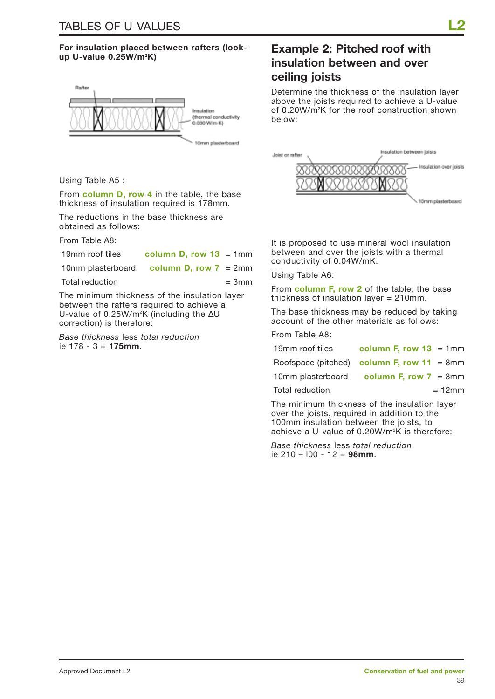#### **For insulation placed between rafters (lookup U-value 0.25W/m2 K)**



Using Table A5 :

From **column D, row 4** in the table, the base thickness of insulation required is 178mm.

The reductions in the base thickness are obtained as follows:

From Table A8:

| 19mm roof tiles | column D, row $13 = 1$ mm |
|-----------------|---------------------------|
|-----------------|---------------------------|

10mm plasterboard **column D, row 7** = 2mm

 $Total reduction = 3mm$ 

The minimum thickness of the insulation layer between the rafters required to achieve a U-value of 0.25W/m<sup>2</sup>K (including the ∆U correction) is therefore:

*Base thickness* less *total reduction* ie 178 - 3 = **175mm**.

### **Example 2: Pitched roof with insulation between and over ceiling joists**

Determine the thickness of the insulation layer above the joists required to achieve a U-value of 0.20W/m2 K for the roof construction shown below:



It is proposed to use mineral wool insulation between and over the joists with a thermal conductivity of 0.04W/mK.

Using Table A6:

From **column F, row 2** of the table, the base thickness of insulation layer = 210mm.

The base thickness may be reduced by taking account of the other materials as follows:

From Table A8:

| 19mm roof tiles | column F, row $13 = 1$ mm                     |
|-----------------|-----------------------------------------------|
|                 | Roofspace (pitched) column F, row 11 = 8mm    |
|                 | 10mm plasterboard column $F$ , row $7 = 3$ mm |
| Total reduction | $= 12$ mm                                     |

The minimum thickness of the insulation layer over the joists, required in addition to the 100mm insulation between the joists, to achieve a U-value of 0.20W/m2 K is therefore:

*Base thickness* less *total reduction* ie 210 – l00 - 12 = **98mm**.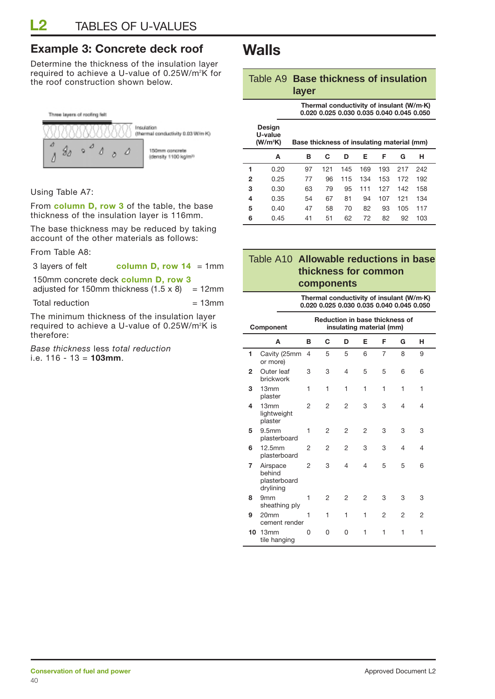### **Example 3: Concrete deck roof**

Determine the thickness of the insulation layer required to achieve a U-value of 0.25W/m2 K for the roof construction shown below.



Using Table A7:

From **column D, row 3** of the table, the base thickness of the insulation layer is 116mm.

The base thickness may be reduced by taking account of the other materials as follows:

From Table A8:

3 layers of felt **column D, row 14** = 1mm

150mm concrete deck **column D, row 3**

adjusted for 150mm thickness  $(1.5 \times 8)$  = 12mm

Total reduction  $= 13$ mm

The minimum thickness of the insulation layer required to achieve a U-value of 0.25W/m2 K is therefore:

*Base thickness* less *total reduction*  i.e. 116 - 13 = **103mm**.

# **Walls**

### Table A9 **Base thickness of insulation layer**

**Thermal conductivity of insulant (W/m·K) 0.020 0.025 0.030 0.035 0.040 0.045 0.050**

|   | Design<br>U-value<br>(W/m <sup>2</sup> K) | Base thickness of insulating material (mm) |     |     |     |     |     |     |
|---|-------------------------------------------|--------------------------------------------|-----|-----|-----|-----|-----|-----|
|   | A                                         | в                                          | C   | D   | Е   | F   | G   | н   |
| 1 | 0.20                                      | 97                                         | 121 | 145 | 169 | 193 | 217 | 242 |
| 2 | 0.25                                      | 77                                         | 96  | 115 | 134 | 153 | 172 | 192 |
| 3 | 0.30                                      | 63                                         | 79  | 95  | 111 | 127 | 142 | 158 |
| 4 | 0.35                                      | 54                                         | 67  | 81  | 94  | 107 | 121 | 134 |
| 5 | 0.40                                      | 47                                         | 58  | 70  | 82  | 93  | 105 | 117 |
| 6 | 0.45                                      | 41                                         | 51  | 62  | 72  | 82  | 92  | 103 |

### Table A10 **Allowable reductions in base thickness for common components**

|    | Thermal conductivity of insulant (W/m·K)<br>0.020 0.025 0.030 0.035 0.040 0.045 0.050 |   |                                                                   |          |   |   |   |   |  |  |
|----|---------------------------------------------------------------------------------------|---|-------------------------------------------------------------------|----------|---|---|---|---|--|--|
|    | Component                                                                             |   | <b>Reduction in base thickness of</b><br>insulating material (mm) |          |   |   |   |   |  |  |
|    | A                                                                                     | в | C                                                                 | D        | Е | F | G | н |  |  |
| 1  | Cavity (25mm<br>or more)                                                              | 4 | 5                                                                 | 5        | 6 | 7 | 8 | 9 |  |  |
| 2  | Outer leaf<br>brickwork                                                               | 3 | 3                                                                 | 4        | 5 | 5 | 6 | 6 |  |  |
| 3  | 13mm<br>plaster                                                                       | 1 | 1                                                                 | 1        | 1 | 1 | 1 | 1 |  |  |
| 4  | 13mm<br>lightweight<br>plaster                                                        | 2 | 2                                                                 | 2        | 3 | 3 | 4 | 4 |  |  |
| 5  | 9.5 <sub>mm</sub><br>plasterboard                                                     | 1 | 2                                                                 | 2        | 2 | 3 | 3 | 3 |  |  |
| 6  | 12.5mm<br>plasterboard                                                                | 2 | 2                                                                 | 2        | 3 | 3 | 4 | 4 |  |  |
| 7  | Airspace<br>hehind<br>plasterboard<br>drylining                                       | 2 | 3                                                                 | 4        | 4 | 5 | 5 | 6 |  |  |
| 8  | 9mm<br>sheathing ply                                                                  | 1 | 2                                                                 | 2        | 2 | 3 | 3 | 3 |  |  |
| 9  | 20mm<br>cement render                                                                 | 1 | 1                                                                 | 1        | 1 | 2 | 2 | 2 |  |  |
| 10 | 13 <sub>mm</sub><br>tile hanging                                                      | 0 | 0                                                                 | $\Omega$ | 1 | 1 | 1 | 1 |  |  |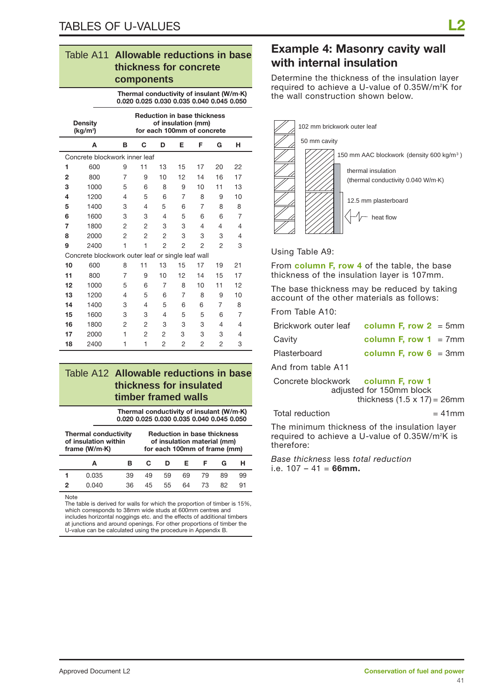| Table A11 Allowable reductions in base<br>thickness for concrete |
|------------------------------------------------------------------|
|                                                                  |
| components                                                       |
|                                                                  |

|                                                                                                                                  |                                                   | Thermal conductivity of insulant (W/m·K)<br>0.020 0.025 0.030 0.035 0.040 0.045 0.050 |                |                |                |                |    |    |  |
|----------------------------------------------------------------------------------------------------------------------------------|---------------------------------------------------|---------------------------------------------------------------------------------------|----------------|----------------|----------------|----------------|----|----|--|
| <b>Reduction in base thickness</b><br>of insulation (mm)<br><b>Density</b><br>(kg/m <sup>3</sup> )<br>for each 100mm of concrete |                                                   |                                                                                       |                |                |                |                |    |    |  |
|                                                                                                                                  | A                                                 | в                                                                                     | C              | D              | Е              | F              | G  | н  |  |
|                                                                                                                                  | Concrete blockwork inner leaf                     |                                                                                       |                |                |                |                |    |    |  |
| 1                                                                                                                                | 600                                               | 9                                                                                     | 11             | 13             | 15             | 17             | 20 | 22 |  |
| $\mathbf{2}$                                                                                                                     | 800                                               | 7                                                                                     | 9              | 10             | 12             | 14             | 16 | 17 |  |
| 3                                                                                                                                | 1000                                              | 5                                                                                     | 6              | 8              | 9              | 10             | 11 | 13 |  |
| 4                                                                                                                                | 1200                                              | 4                                                                                     | 5              | 6              | 7              | 8              | 9  | 10 |  |
| 5                                                                                                                                | 1400                                              | 3                                                                                     | $\overline{4}$ | 5              | 6              | $\overline{7}$ | 8  | 8  |  |
| 6                                                                                                                                | 1600                                              | 3                                                                                     | 3              | 4              | 5              | 6              | 6  | 7  |  |
| 7                                                                                                                                | 1800                                              | 2                                                                                     | $\overline{2}$ | 3              | 3              | 4              | 4  | 4  |  |
| 8                                                                                                                                | 2000                                              | 2                                                                                     | $\overline{2}$ | 2              | 3              | 3              | 3  | 4  |  |
| 9                                                                                                                                | 2400                                              | 1                                                                                     | 1              | $\overline{2}$ | $\overline{2}$ | $\overline{2}$ | 2  | 3  |  |
|                                                                                                                                  | Concrete blockwork outer leaf or single leaf wall |                                                                                       |                |                |                |                |    |    |  |
| 10                                                                                                                               | 600                                               | 8                                                                                     | 11             | 13             | 15             | 17             | 19 | 21 |  |
| 11                                                                                                                               | 800                                               | 7                                                                                     | 9              | 10             | 12             | 14             | 15 | 17 |  |
| 12                                                                                                                               | 1000                                              | 5                                                                                     | 6              | 7              | 8              | 10             | 11 | 12 |  |
| 13                                                                                                                               | 1200                                              | 4                                                                                     | 5              | 6              | 7              | 8              | 9  | 10 |  |
| 14                                                                                                                               | 1400                                              | 3                                                                                     | 4              | 5              | 6              | 6              | 7  | 8  |  |
| 15                                                                                                                               | 1600                                              | 3                                                                                     | 3              | 4              | 5              | 5              | 6  | 7  |  |
| 16                                                                                                                               | 1800                                              | 2                                                                                     | $\overline{2}$ | 3              | 3              | 3              | 4  | 4  |  |
| 17                                                                                                                               | 2000                                              | 1                                                                                     | $\overline{2}$ | 2              | 3              | 3              | 3  | 4  |  |
| 18                                                                                                                               | 2400                                              | 1                                                                                     | 1              | 2              | 2              | 2              | 2  | 3  |  |

### Table A12 **Allowable reductions in base thickness for insulated timber framed walls**

**Thermal conductivity of insulant (W/m·K) 0.020 0.025 0.030 0.035 0.040 0.045 0.050**

| <b>Thermal conductivity</b><br>of insulation within<br>frame $(W/m·K)$ |       |    | <b>Reduction in base thickness</b><br>of insulation material (mm)<br>for each 100mm of frame (mm) |    |    |     |    |    |
|------------------------------------------------------------------------|-------|----|---------------------------------------------------------------------------------------------------|----|----|-----|----|----|
|                                                                        | А     | R  | c                                                                                                 |    | F. |     |    |    |
|                                                                        | 0.035 | 39 | 49                                                                                                | 59 | 69 | 79  | 89 | 99 |
| 2                                                                      |       | 36 | 45                                                                                                | 55 | 64 | 73. | 82 | 91 |

Note

The table is derived for walls for which the proportion of timber is 15%, which corresponds to 38mm wide studs at 600mm centres and includes horizontal noggings etc. and the effects of additional timbers at junctions and around openings. For other proportions of timber the U-value can be calculated using the procedure in Appendix B.

### **Example 4: Masonry cavity wall with internal insulation**

Determine the thickness of the insulation layer required to achieve a U-value of 0.35W/m2 K for the wall construction shown below.



Using Table A9:

From **column F, row 4** of the table, the base thickness of the insulation layer is 107mm.

The base thickness may be reduced by taking account of the other materials as follows:

From Table A10:

| Brickwork outer leaf                                           | column F, row $2 = 5$ mm |  |
|----------------------------------------------------------------|--------------------------|--|
| Cavity                                                         | column F, row $1 = 7$ mm |  |
| Plasterboard                                                   | column F, row $6 = 3$ mm |  |
| And from table A11                                             |                          |  |
| Concrete blockwork column F, row 1<br>adjusted for 150mm block |                          |  |

thickness  $(1.5 \times 17) = 26$ mm

 $Total reduction = 41mm$ 

The minimum thickness of the insulation layer required to achieve a U-value of 0.35W/m2 K is therefore:

*Base thickness* less *total reduction*  i.e.  $107 - 41 = 66$ mm.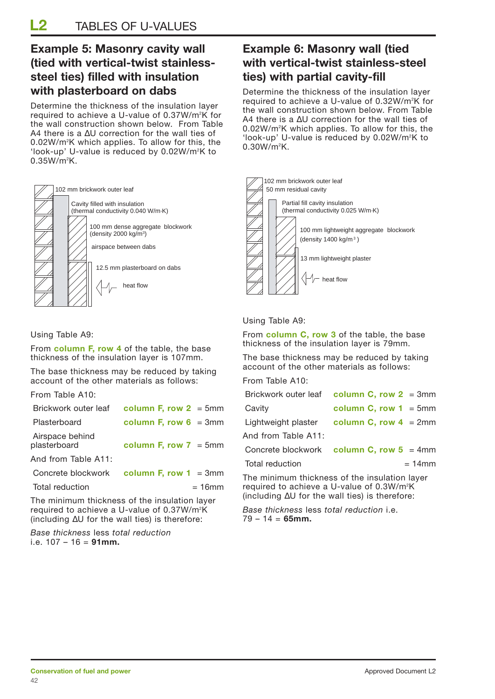### **Example 5: Masonry cavity wall (tied with vertical-twist stainlesssteel ties) filled with insulation with plasterboard on dabs**

Determine the thickness of the insulation layer required to achieve a U-value of 0.37W/m<sup>2</sup>K for the wall construction shown below. From Table A4 there is a ∆U correction for the wall ties of 0.02W/m<sup>2</sup>K which applies. To allow for this, the 'look-up' U-value is reduced by 0.02W/m<sup>2</sup>K to 0.35W/m2 K.



#### Using Table A9:

From **column F, row 4** of the table, the base thickness of the insulation layer is 107mm.

The base thickness may be reduced by taking account of the other materials as follows:

From Table A10:

| Brickwork outer leaf                        | column F, row $2 = 5$ mm |           |
|---------------------------------------------|--------------------------|-----------|
| Plasterboard                                | column F, row $6 = 3$ mm |           |
| Airspace behind<br>plasterboard             | column F, row $7 = 5$ mm |           |
| And from Table A11:                         |                          |           |
| Concrete blockwork column F, row $1 = 3$ mm |                          |           |
| Total reduction                             |                          | $= 16$ mm |
|                                             |                          |           |

The minimum thickness of the insulation layer required to achieve a U-value of 0.37W/m2 K (including ∆U for the wall ties) is therefore:

*Base thickness* less *total reduction*  i.e. 107 – 16 = **91mm.**

### **Example 6: Masonry wall (tied with vertical-twist stainless-steel ties) with partial cavity-fill**

Determine the thickness of the insulation layer required to achieve a U-value of 0.32W/m<sup>2</sup>K for the wall construction shown below. From Table A4 there is a ∆U correction for the wall ties of 0.02W/m<sup>2</sup>K which applies. To allow for this, the 'look-up' U-value is reduced by 0.02W/m2 K to 0.30W/m2 K.



#### Using Table A9:

From **column C, row 3** of the table, the base thickness of the insulation layer is 79mm.

The base thickness may be reduced by taking account of the other materials as follows:

From Table A10:

| Brickwork outer leaf column C, row $2 = 3$ mm |                          |           |
|-----------------------------------------------|--------------------------|-----------|
| Cavity                                        | column C, row $1 = 5$ mm |           |
| Lightweight plaster column C, row $4 = 2$ mm  |                          |           |
| And from Table A11:                           |                          |           |
| Concrete blockwork column C, row $5 = 4$ mm   |                          |           |
| Total reduction                               |                          | $= 14$ mm |
|                                               |                          |           |

The minimum thickness of the insulation layer required to achieve a U-value of 0.3W/m2 K (including ∆U for the wall ties) is therefore:

*Base thickness* less *total reduction* i.e.  $79 - 14 = 65$ mm.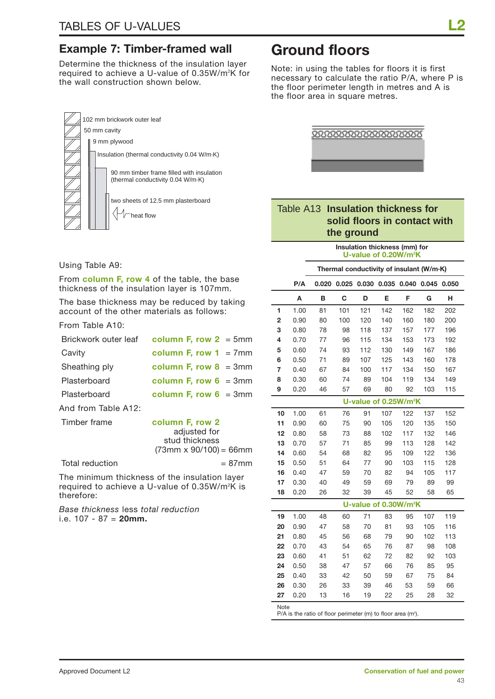Determine the thickness of the insulation layer required to achieve a U-value of 0.35W/m2 K for the wall construction shown below.

| 9 mm plywood                                                                   |  |  |  |  |  |  |  |  |  |
|--------------------------------------------------------------------------------|--|--|--|--|--|--|--|--|--|
| Insulation (thermal conductivity 0.04 W/m·K)                                   |  |  |  |  |  |  |  |  |  |
| 90 mm timber frame filled with insulation<br>(thermal conductivity 0.04 W/m·K) |  |  |  |  |  |  |  |  |  |
| two sheets of 12.5 mm plasterboard                                             |  |  |  |  |  |  |  |  |  |
|                                                                                |  |  |  |  |  |  |  |  |  |

# **Ground floors**

Note: in using the tables for floors it is first necessary to calculate the ratio P/A, where P is the floor perimeter length in metres and A is the floor area in square metres.

|  |  | 18888888888888888888 |  |
|--|--|----------------------|--|
|  |  |                      |  |
|  |  |                      |  |
|  |  |                      |  |

### Table A13 **Insulation thickness for solid floors in contact with the ground**

**Insulation thickness (mm) for U-value of 0.20W/m2 K**

|                |      |    |     |     |     | Thermal conductivity of insulant (W/m·K)  |     |     |  |  |
|----------------|------|----|-----|-----|-----|-------------------------------------------|-----|-----|--|--|
|                | P/A  |    |     |     |     | 0.020 0.025 0.030 0.035 0.040 0.045 0.050 |     |     |  |  |
|                | A    | B  | C   | D   | Е   | F                                         | G   | н   |  |  |
| 1              | 1.00 | 81 | 101 | 121 | 142 | 162                                       | 182 | 202 |  |  |
| $\overline{2}$ | 0.90 | 80 | 100 | 120 | 140 | 160                                       | 180 | 200 |  |  |
| 3              | 0.80 | 78 | 98  | 118 | 137 | 157                                       | 177 | 196 |  |  |
| 4              | 0.70 | 77 | 96  | 115 | 134 | 153                                       | 173 | 192 |  |  |
| 5              | 0.60 | 74 | 93  | 112 | 130 | 149                                       | 167 | 186 |  |  |
| 6              | 0.50 | 71 | 89  | 107 | 125 | 143                                       | 160 | 178 |  |  |
| 7              | 0.40 | 67 | 84  | 100 | 117 | 134                                       | 150 | 167 |  |  |
| 8              | 0.30 | 60 | 74  | 89  | 104 | 119                                       | 134 | 149 |  |  |
| 9              | 0.20 | 46 | 57  | 69  | 80  | 92                                        | 103 | 115 |  |  |
|                |      |    |     |     |     | U-value of 0.25W/m <sup>2</sup> K         |     |     |  |  |
| 10             | 1.00 | 61 | 76  | 91  | 107 | 122                                       | 137 | 152 |  |  |
| 11             | 0.90 | 60 | 75  | 90  | 105 | 120                                       | 135 | 150 |  |  |
| 12             | 0.80 | 58 | 73  | 88  | 102 | 117                                       | 132 | 146 |  |  |
| 13             | 0.70 | 57 | 71  | 85  | 99  | 113                                       | 128 | 142 |  |  |
| 14             | 0.60 | 54 | 68  | 82  | 95  | 109                                       | 122 | 136 |  |  |
| 15             | 0.50 | 51 | 64  | 77  | 90  | 103                                       | 115 | 128 |  |  |
| 16             | 0.40 | 47 | 59  | 70  | 82  | 94                                        | 105 | 117 |  |  |
| 17             | 0.30 | 40 | 49  | 59  | 69  | 79                                        | 89  | 99  |  |  |
| 18             | 0.20 | 26 | 32  | 39  | 45  | 52                                        | 58  | 65  |  |  |
|                |      |    |     |     |     | U-value of 0.30W/m <sup>2</sup> K         |     |     |  |  |
| 19             | 1.00 | 48 | 60  | 71  | 83  | 95                                        | 107 | 119 |  |  |
| 20             | 0.90 | 47 | 58  | 70  | 81  | 93                                        | 105 | 116 |  |  |
| 21             | 0.80 | 45 | 56  | 68  | 79  | 90                                        | 102 | 113 |  |  |
| 22             | 0.70 | 43 | 54  | 65  | 76  | 87                                        | 98  | 108 |  |  |
| 23             | 0.60 | 41 | 51  | 62  | 72  | 82                                        | 92  | 103 |  |  |
| 24             | 0.50 | 38 | 47  | 57  | 66  | 76                                        | 85  | 95  |  |  |
| 25             | 0.40 | 33 | 42  | 50  | 59  | 67                                        | 75  | 84  |  |  |
| 26             | 0.30 | 26 | 33  | 39  | 46  | 53                                        | 59  | 66  |  |  |
| 27             | 0.20 | 13 | 16  | 19  | 22  | 25                                        | 28  | 32  |  |  |

P/A is the ratio of floor perimeter (m) to floor area (m<sup>2</sup>).

Note

#### Using Table A9:

From **column F, row 4** of the table, the base thickness of the insulation layer is 107mm.

The base thickness may be reduced by taking account of the other materials as follows:

#### From Table A10:

| Brickwork outer leaf | column F, row $2 = 5$ mm                                                           |  |
|----------------------|------------------------------------------------------------------------------------|--|
| Cavity               | column F, row $1 = 7$ mm                                                           |  |
| Sheathing ply        | column F, row $8 = 3$ mm                                                           |  |
| Plasterboard         | column F, row $6 = 3$ mm                                                           |  |
| Plasterboard         | column F, row $6 = 3$ mm                                                           |  |
| And from Table A12:  |                                                                                    |  |
| Timber frame         | column F, row 2<br>adjusted for<br>stud thickness<br>$(73mm \times 90/100) = 66mm$ |  |
|                      |                                                                                    |  |

 $Total reduction = 87mm$ 

The minimum thickness of the insulation layer required to achieve a U-value of  $0.35W/m^2K$  is therefore:

*Base thickness* less *total reduction* i.e. 107 - 87 = **20mm.**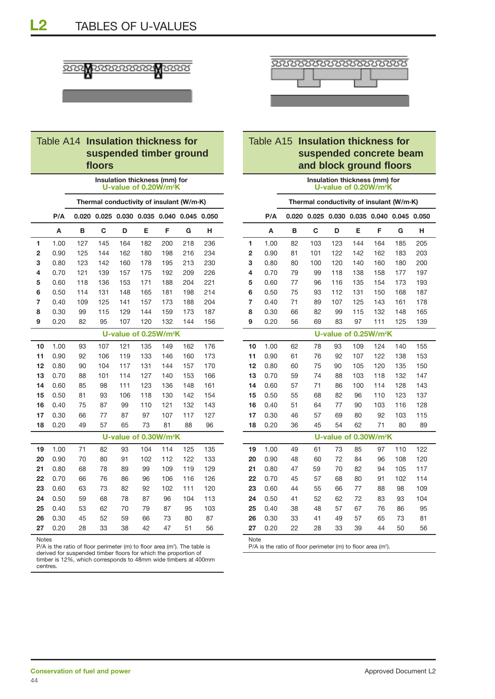| 88888888 | 9995 |
|----------|------|
|          |      |
|          |      |
|          |      |

| Table A14 Insulation thickness for<br>suspended timber ground<br>floors |                                          |                                                                              |       |                                   |             |       |       |       |  |  |
|-------------------------------------------------------------------------|------------------------------------------|------------------------------------------------------------------------------|-------|-----------------------------------|-------------|-------|-------|-------|--|--|
| Insulation thickness (mm) for                                           |                                          |                                                                              |       |                                   |             |       |       |       |  |  |
| U-value of 0.20W/m <sup>2</sup> K                                       |                                          |                                                                              |       |                                   |             |       |       |       |  |  |
|                                                                         | Thermal conductivity of insulant (W/m·K) |                                                                              |       |                                   |             |       |       |       |  |  |
|                                                                         | P/A                                      | 0.020                                                                        | 0.025 |                                   | 0.030 0.035 | 0.040 | 0.045 | 0.050 |  |  |
|                                                                         | A                                        | в                                                                            | С     | D                                 | Е           | F     | G     | н     |  |  |
| 1                                                                       | 1.00                                     | 127                                                                          | 145   | 164                               | 182         | 200   | 218   | 236   |  |  |
| 2                                                                       | 0.90                                     | 125                                                                          | 144   | 162                               | 180         | 198   | 216   | 234   |  |  |
| 3                                                                       | 0.80                                     | 123                                                                          | 142   | 160                               | 178         | 195   | 213   | 230   |  |  |
| 4                                                                       | 0.70                                     | 121                                                                          | 139   | 157                               | 175         | 192   | 209   | 226   |  |  |
| 5                                                                       | 0.60                                     | 118                                                                          | 136   | 153                               | 171         | 188   | 204   | 221   |  |  |
| 6                                                                       | 0.50                                     | 114                                                                          | 131   | 148                               | 165         | 181   | 198   | 214   |  |  |
| 7                                                                       | 0.40                                     | 109                                                                          | 125   | 141                               | 157         | 173   | 188   | 204   |  |  |
| 8                                                                       | 0.30                                     | 99                                                                           | 115   | 129                               | 144         | 159   | 173   | 187   |  |  |
| 9                                                                       | 0.20                                     | 82                                                                           | 95    | 107                               | 120         | 132   | 144   | 156   |  |  |
|                                                                         | U-value of 0.25W/m <sup>2</sup> K        |                                                                              |       |                                   |             |       |       |       |  |  |
| 10                                                                      | 1.00                                     | 93                                                                           | 107   | 121                               | 135         | 149   | 162   | 176   |  |  |
| 11                                                                      | 0.90                                     | 92                                                                           | 106   | 119                               | 133         | 146   | 160   | 173   |  |  |
| 12                                                                      | 0.80                                     | 90                                                                           | 104   | 117                               | 131         | 144   | 157   | 170   |  |  |
| 13                                                                      | 0.70                                     | 88                                                                           | 101   | 114                               | 127         | 140   | 153   | 166   |  |  |
| 14                                                                      | 0.60                                     | 85                                                                           | 98    | 111                               | 123         | 136   | 148   | 161   |  |  |
| 15                                                                      | 0.50                                     | 81                                                                           | 93    | 106                               | 118         | 130   | 142   | 154   |  |  |
| 16                                                                      | 0.40                                     | 75                                                                           | 87    | 99                                | 110         | 121   | 132   | 143   |  |  |
| 17                                                                      | 0.30                                     | 66                                                                           | 77    | 87                                | 97          | 107   | 117   | 127   |  |  |
| 18                                                                      | 0.20                                     | 49                                                                           | 57    | 65                                | 73          | 81    | 88    | 96    |  |  |
|                                                                         |                                          |                                                                              |       | U-value of 0.30W/m <sup>2</sup> K |             |       |       |       |  |  |
| 19                                                                      | 1.00                                     | 71                                                                           | 82    | 93                                | 104         | 114   | 125   | 135   |  |  |
| 20                                                                      | 0.90                                     | 70                                                                           | 80    | 91                                | 102         | 112   | 122   | 133   |  |  |
| 21                                                                      | 0.80                                     | 68                                                                           | 78    | 89                                | 99          | 109   | 119   | 129   |  |  |
| 22                                                                      | 0.70                                     | 66                                                                           | 76    | 86                                | 96          | 106   | 116   | 126   |  |  |
| 23                                                                      | 0.60                                     | 63                                                                           | 73    | 82                                | 92          | 102   | 111   | 120   |  |  |
| 24                                                                      | 0.50                                     | 59                                                                           | 68    | 78                                | 87          | 96    | 104   | 113   |  |  |
| 25                                                                      | 0.40                                     | 53                                                                           | 62    | 70                                | 79          | 87    | 95    | 103   |  |  |
| 26                                                                      | 0.30                                     | 45                                                                           | 52    | 59                                | 66          | 73    | 80    | 87    |  |  |
| 27                                                                      | 0.20                                     | 28                                                                           | 33    | 38                                | 42          | 47    | 51    | 56    |  |  |
| <b>Notes</b>                                                            |                                          | P/A is the ratio of floor perimeter (m) to floor area ( $m2$ ). The table is |       |                                   |             |       |       |       |  |  |

derived for suspended timber floors for which the proportion of timber is 12%, which corresponds to 48mm wide timbers at 400mm centres.

#### Table A15 **Insulation thickness for suspended concrete beam and block ground floors**

#### **Insulation thickness (mm) for U-value of 0.20W/m2 K**

|      | Thermal conductivity of insulant (W/m·K) |    |     |                                           |     |     |     |     |  |  |
|------|------------------------------------------|----|-----|-------------------------------------------|-----|-----|-----|-----|--|--|
|      | P/A                                      |    |     | 0.020 0.025 0.030 0.035 0.040 0.045 0.050 |     |     |     |     |  |  |
|      | A                                        | в  | С   | D                                         | Е   | F   | G   | н   |  |  |
| 1    | 1.00                                     | 82 | 103 | 123                                       | 144 | 164 | 185 | 205 |  |  |
| 2    | 0.90                                     | 81 | 101 | 122                                       | 142 | 162 | 183 | 203 |  |  |
| 3    | 0.80                                     | 80 | 100 | 120                                       | 140 | 160 | 180 | 200 |  |  |
| 4    | 0.70                                     | 79 | 99  | 118                                       | 138 | 158 | 177 | 197 |  |  |
| 5    | 0.60                                     | 77 | 96  | 116                                       | 135 | 154 | 173 | 193 |  |  |
| 6    | 0.50                                     | 75 | 93  | 112                                       | 131 | 150 | 168 | 187 |  |  |
| 7    | 0.40                                     | 71 | 89  | 107                                       | 125 | 143 | 161 | 178 |  |  |
| 8    | 0.30                                     | 66 | 82  | 99                                        | 115 | 132 | 148 | 165 |  |  |
| 9    | 0.20                                     | 56 | 69  | 83                                        | 97  | 111 | 125 | 139 |  |  |
|      |                                          |    |     | U-value of 0.25W/m <sup>2</sup> K         |     |     |     |     |  |  |
| 10   | 1.00                                     | 62 | 78  | 93                                        | 109 | 124 | 140 | 155 |  |  |
| 11   | 0.90                                     | 61 | 76  | 92                                        | 107 | 122 | 138 | 153 |  |  |
| 12   | 0.80                                     | 60 | 75  | 90                                        | 105 | 120 | 135 | 150 |  |  |
| 13   | 0.70                                     | 59 | 74  | 88                                        | 103 | 118 | 132 | 147 |  |  |
| 14   | 0.60                                     | 57 | 71  | 86                                        | 100 | 114 | 128 | 143 |  |  |
| 15   | 0.50                                     | 55 | 68  | 82                                        | 96  | 110 | 123 | 137 |  |  |
| 16   | 0.40                                     | 51 | 64  | 77                                        | 90  | 103 | 116 | 128 |  |  |
| 17   | 0.30                                     | 46 | 57  | 69                                        | 80  | 92  | 103 | 115 |  |  |
| 18   | 0.20                                     | 36 | 45  | 54                                        | 62  | 71  | 80  | 89  |  |  |
|      |                                          |    |     | U-value of 0.30W/m <sup>2</sup> K         |     |     |     |     |  |  |
| 19   | 1.00                                     | 49 | 61  | 73                                        | 85  | 97  | 110 | 122 |  |  |
| 20   | 0.90                                     | 48 | 60  | 72                                        | 84  | 96  | 108 | 120 |  |  |
| 21   | 0.80                                     | 47 | 59  | 70                                        | 82  | 94  | 105 | 117 |  |  |
| 22   | 0.70                                     | 45 | 57  | 68                                        | 80  | 91  | 102 | 114 |  |  |
| 23   | 0.60                                     | 44 | 55  | 66                                        | 77  | 88  | 98  | 109 |  |  |
| 24   | 0.50                                     | 41 | 52  | 62                                        | 72  | 83  | 93  | 104 |  |  |
| 25   | 0.40                                     | 38 | 48  | 57                                        | 67  | 76  | 86  | 95  |  |  |
| 26   | 0.30                                     | 33 | 41  | 49                                        | 57  | 65  | 73  | 81  |  |  |
| 27   | 0.20                                     | 22 | 28  | 33                                        | 39  | 44  | 50  | 56  |  |  |
| Note |                                          |    |     |                                           |     |     |     |     |  |  |

 $P/A$  is the ratio of floor perimeter (m) to floor area (m<sup>2</sup>).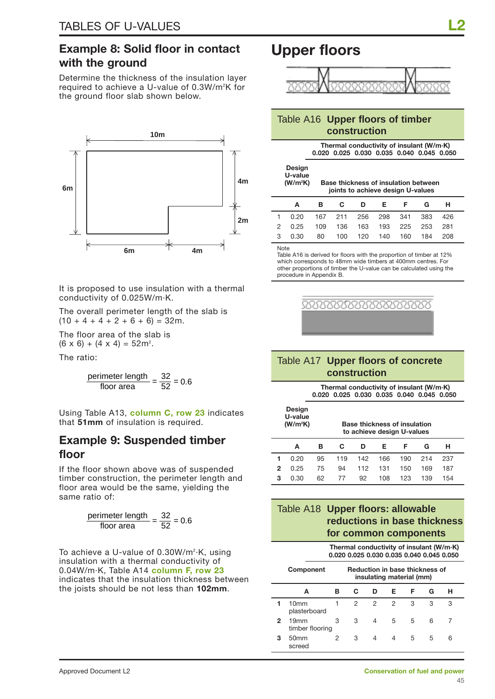### **Example 8: Solid floor in contact with the ground**

Determine the thickness of the insulation layer required to achieve a U-value of 0.3W/m<sup>2</sup>K for the ground floor slab shown below.



It is proposed to use insulation with a thermal conductivity of 0.025W/m·K.

The overall perimeter length of the slab is  $(10 + 4 + 4 + 2 + 6 + 6) = 32m$ .

The floor area of the slab is  $(6 \times 6) + (4 \times 4) = 52 \text{m}^2$ .

The ratio:

 $\frac{\text{perimeter length}}{\text{floor area}} = \frac{32}{52} = 0.6$ floor area

Using Table A13, **column C, row 23** indicates that **51mm** of insulation is required.

### **Example 9: Suspended timber floor**

If the floor shown above was of suspended timber construction, the perimeter length and floor area would be the same, yielding the same ratio of:

$$
\frac{\text{perimeter length}}{\text{floor area}} = \frac{32}{52} = 0.6
$$

To achieve a U-value of 0.30W/m²·K, using insulation with a thermal conductivity of 0.04W/m·K, Table A14 **column F, row 23** indicates that the insulation thickness between the joists should be not less than **102mm**.

## **Upper floors**



### Table A16 **Upper floors of timber construction**

|        | Thermal conductivity of insulant $(W/m·K)$ |  |  |                                           |  |  |  |  |  |
|--------|--------------------------------------------|--|--|-------------------------------------------|--|--|--|--|--|
|        |                                            |  |  | 0.020 0.025 0.030 0.035 0.040 0.045 0.050 |  |  |  |  |  |
| Docian |                                            |  |  |                                           |  |  |  |  |  |

| резійн  |  |
|---------|--|
| U-value |  |

| (W/m²K) | Base thickness of insulation between<br>joints to achieve design U-values |  |
|---------|---------------------------------------------------------------------------|--|
|         |                                                                           |  |

|                                           | A B C D E F G |  |  |  |  |
|-------------------------------------------|---------------|--|--|--|--|
| 1 0.20 167 211 256 298 341 383 426        |               |  |  |  |  |
| 2 0.25 109 136 163 193 225 253 281        |               |  |  |  |  |
| 3  0.30  80  100  120  140  160  184  208 |               |  |  |  |  |

Note

Table A16 is derived for floors with the proportion of timber at 12% which corresponds to 48mm wide timbers at 400mm centres. For other proportions of timber the U-value can be calculated using the procedure in Appendix B.

888888888888888888888

### Table A17 **Upper floors of concrete construction**

**Thermal conductivity of insulant (W/m·K) 0.020 0.025 0.030 0.035 0.040 0.045 0.050**

|   | Design<br>U-value<br>(W/m <sup>2</sup> K) |    | <b>Base thickness of insulation</b><br>to achieve design U-values |     |     |     |     |     |  |
|---|-------------------------------------------|----|-------------------------------------------------------------------|-----|-----|-----|-----|-----|--|
|   | A                                         | в  | С                                                                 | D   | Е   | F   | G   | н   |  |
| 1 | 0.20                                      | 95 | 119                                                               | 142 | 166 | 190 | 214 | 237 |  |
| 2 | 0.25                                      | 75 | 94                                                                | 112 | 131 | 150 | 169 | 187 |  |
| 3 | 0.30                                      | 62 | 77                                                                | 92  | 108 | 123 | 139 | 154 |  |

### Table A18 **Upper floors: allowable reductions in base thickness for common components**

| Thermal conductivity of insulant (W/m·K)  |  |
|-------------------------------------------|--|
| 0.020 0.025 0.030 0.035 0.040 0.045 0.050 |  |

|   | Component                  |   |               |               | <b>Reduction in base thickness of</b><br>insulating material (mm) |    |   |   |
|---|----------------------------|---|---------------|---------------|-------------------------------------------------------------------|----|---|---|
|   | A                          | в | C.            | D             | F.                                                                | F. | G | н |
|   | 10mm<br>plasterboard       |   | $\mathcal{P}$ | $\mathcal{P}$ | $\mathcal{P}$                                                     | 3  | 3 | З |
| 2 | 19mm<br>timber flooring    | 3 | 3             | 4             | 5                                                                 | 5  | 6 |   |
| з | 50 <sub>mm</sub><br>screed | 2 | 3             | 4             | 4                                                                 | 5  | 5 | 6 |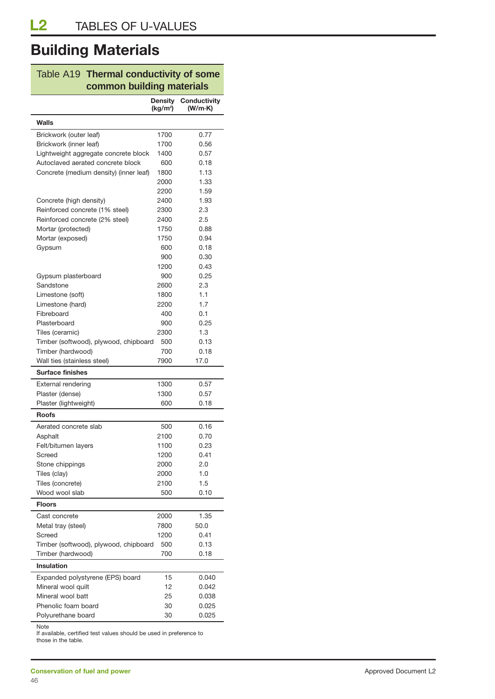# **Building Materials**

### Table A19 **Thermal conductivity of some common building materials**

|                                                        | Density<br>(kg/m <sup>2</sup> ) | Conductivity<br>(W/m·K) |
|--------------------------------------------------------|---------------------------------|-------------------------|
| Walls                                                  |                                 |                         |
| Brickwork (outer leaf)                                 | 1700                            | 0.77                    |
| Brickwork (inner leaf)                                 | 1700                            | 0.56                    |
| Lightweight aggregate concrete block                   | 1400                            | 0.57                    |
| Autoclaved aerated concrete block                      | 600                             | 0.18                    |
| Concrete (medium density) (inner leaf)                 | 1800                            | 1.13                    |
|                                                        | 2000                            | 1.33                    |
|                                                        | 2200                            | 1.59                    |
| Concrete (high density)                                | 2400                            | 1.93                    |
| Reinforced concrete (1% steel)                         | 2300                            | 2.3                     |
| Reinforced concrete (2% steel)                         | 2400                            | 2.5                     |
| Mortar (protected)                                     | 1750                            | 0.88                    |
| Mortar (exposed)                                       | 1750                            | 0.94                    |
| Gypsum                                                 | 600                             | 0.18                    |
|                                                        | 900                             | 0.30                    |
|                                                        | 1200                            | 0.43                    |
| Gypsum plasterboard                                    | 900                             | 0.25                    |
| Sandstone                                              | 2600                            | 2.3                     |
| Limestone (soft)                                       | 1800                            | 1.1                     |
| Limestone (hard)                                       | 2200                            | 1.7                     |
| Fibreboard                                             | 400                             | 0.1                     |
| Plasterboard                                           | 900                             | 0.25                    |
| Tiles (ceramic)                                        | 2300                            | 1.3                     |
| Timber (softwood), plywood, chipboard                  | 500                             | 0.13                    |
| Timber (hardwood)                                      | 700<br>7900                     | 0.18<br>17.0            |
| Wall ties (stainless steel)<br><b>Surface finishes</b> |                                 |                         |
| External rendering                                     | 1300                            | 0.57                    |
| Plaster (dense)                                        | 1300                            | 0.57                    |
| Plaster (lightweight)                                  | 600                             | 0.18                    |
| <b>Roofs</b>                                           |                                 |                         |
| Aerated concrete slab                                  | 500                             | 0.16                    |
| Asphalt                                                | 2100                            | 0.70                    |
| Felt/bitumen layers                                    | 1100                            | 0.23                    |
| Screed                                                 | 1200                            | 0.41                    |
| Stone chippings                                        | 2000                            | 2.0                     |
| Tiles (clay)                                           | 2000                            | 1.0                     |
| Tiles (concrete)                                       | 2100                            | 1.5                     |
| Wood wool slab                                         | 500                             | 0.10                    |
| <b>Floors</b>                                          |                                 |                         |
| Cast concrete                                          | 2000                            | 1.35                    |
| Metal tray (steel)                                     | 7800                            | 50.0                    |
| Screed                                                 | 1200                            | 0.41                    |
| Timber (softwood), plywood, chipboard                  | 500                             | 0.13                    |
| Timber (hardwood)                                      | 700                             | 0.18                    |
| <b>Insulation</b>                                      |                                 |                         |
| Expanded polystyrene (EPS) board                       | 15                              | 0.040                   |
| Mineral wool quilt                                     | 12                              | 0.042                   |
| Mineral wool batt                                      | 25                              | 0.038                   |
| Phenolic foam board                                    | 30                              | 0.025                   |
| Polyurethane board                                     | 30                              | 0.025                   |

Note

If available, certified test values should be used in preference to those in the table.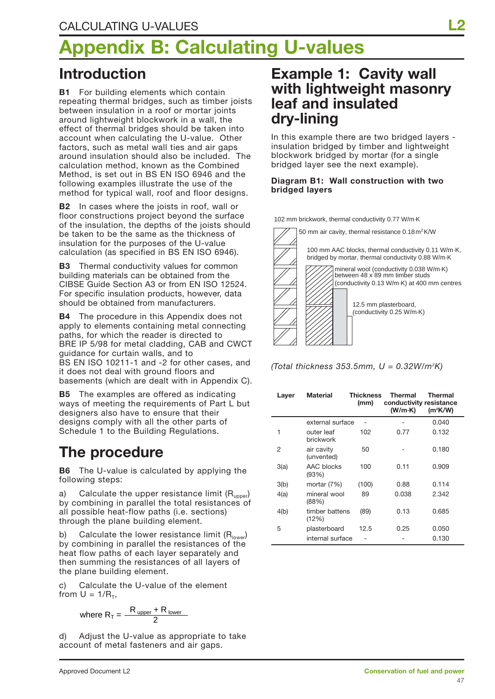# **Appendix B: Calculating U-values**

# **Introduction**

**B1** For building elements which contain repeating thermal bridges, such as timber joists between insulation in a roof or mortar joints around lightweight blockwork in a wall, the effect of thermal bridges should be taken into account when calculating the U-value. Other factors, such as metal wall ties and air gaps around insulation should also be included. The calculation method, known as the Combined Method, is set out in BS EN ISO 6946 and the following examples illustrate the use of the method for typical wall, roof and floor designs.

**B2** In cases where the joists in roof, wall or floor constructions project beyond the surface of the insulation, the depths of the joists should be taken to be the same as the thickness of insulation for the purposes of the U-value calculation (as specified in BS EN ISO 6946).

**B3** Thermal conductivity values for common building materials can be obtained from the CIBSE Guide Section A3 or from EN ISO 12524. For specific insulation products, however, data should be obtained from manufacturers.

**B4** The procedure in this Appendix does not apply to elements containing metal connecting paths, for which the reader is directed to BRE IP 5/98 for metal cladding, CAB and CWCT guidance for curtain walls, and to BS EN ISO 10211-1 and -2 for other cases, and it does not deal with ground floors and basements (which are dealt with in Appendix C).

**B5** The examples are offered as indicating ways of meeting the requirements of Part L but designers also have to ensure that their designs comply with all the other parts of Schedule 1 to the Building Regulations.

# **The procedure**

**B6** The U-value is calculated by applying the following steps:

a) Calculate the upper resistance limit  $(R_{upper})$ by combining in parallel the total resistances of all possible heat-flow paths (i.e. sections) through the plane building element.

b) Calculate the lower resistance limit  $(R<sub>lower</sub>)$ by combining in parallel the resistances of the heat flow paths of each layer separately and then summing the resistances of all layers of the plane building element.

c) Calculate the U-value of the element from  $U = 1/R<sub>T</sub>$ ,

where 
$$
R_T = \frac{R_{\text{upper}} + R_{\text{lower}}}{2}
$$

d) Adjust the U-value as appropriate to take account of metal fasteners and air gaps.

## **Example 1: Cavity wall with lightweight masonry leaf and insulated dry-lining**

In this example there are two bridged layers insulation bridged by timber and lightweight blockwork bridged by mortar (for a single bridged layer see the next example).

#### **Diagram B1: Wall construction with two bridged layers**

102 mm brickwork, thermal conductivity 0.77 W/m·K





| Layer | <b>Material</b>                | Thickness<br>(mm) | <b>Thermal</b><br>conductivity resistance<br>(W/m·K) | <b>Thermal</b><br>$(m^2K/W)$ |
|-------|--------------------------------|-------------------|------------------------------------------------------|------------------------------|
|       | external surface               |                   |                                                      | 0.040                        |
| 1     | outer leaf<br><b>brickwork</b> | 102               | 0.77                                                 | 0.132                        |
| 2     | air cavity<br>(unvented)       | 50                |                                                      | 0.180                        |
| 3(a)  | AAC blocks<br>(93%)            | 100               | 0.11                                                 | 0.909                        |
| 3(b)  | mortar $(7%)$                  | (100)             | 0.88                                                 | 0.114                        |
| 4(a)  | mineral wool<br>(88%)          | 89                | 0.038                                                | 2.342                        |
| 4(b)  | timber battens<br>(12%)        | (89)              | 0.13                                                 | 0.685                        |
| 5     | plasterboard                   | 12.5              | 0.25                                                 | 0.050                        |
|       | internal surface               |                   |                                                      | 0.130                        |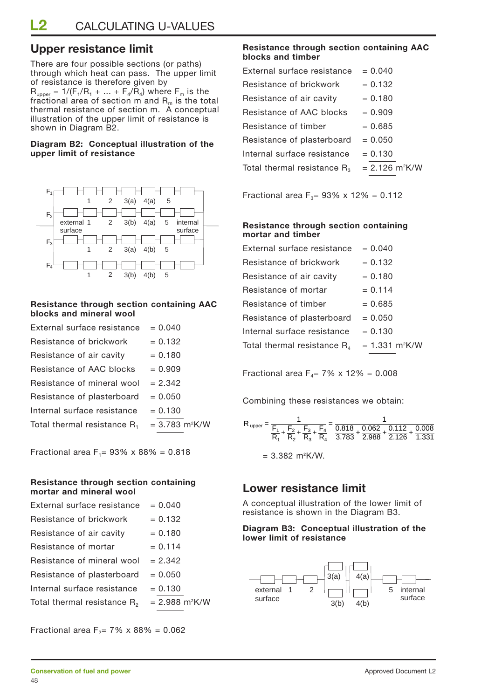### **Upper resistance limit**

There are four possible sections (or paths) through which heat can pass. The upper limit of resistance is therefore given by  $R_{upper} = 1/(F_1/R_1 + ... + F_4/R_4)$  where  $F_m$  is the fractional area of section  $m$  and  $R_m$  is the total thermal resistance of section m. A conceptual illustration of the upper limit of resistance is shown in Diagram B2.

#### **Diagram B2: Conceptual illustration of the upper limit of resistance**



#### **Resistance through section containing AAC blocks and mineral wool**

| External surface resistance    | $= 0.040$                    |
|--------------------------------|------------------------------|
| Resistance of brickwork        | $= 0.132$                    |
| Resistance of air cavity       | $= 0.180$                    |
| Resistance of AAC blocks       | $= 0.909$                    |
| Resistance of mineral wool     | $= 2.342$                    |
| Resistance of plasterboard     | $= 0.050$                    |
| Internal surface resistance    | $= 0.130$                    |
| Total thermal resistance $R_1$ | $= 3.783$ m <sup>2</sup> K/W |
|                                |                              |

Fractional area  $F_1 = 93\% \times 88\% = 0.818$ 

#### **Resistance through section containing mortar and mineral wool**

| External surface resistance             | $= 0.040$                    |
|-----------------------------------------|------------------------------|
| Resistance of brickwork                 | $= 0.132$                    |
| Resistance of air cavity                | $= 0.180$                    |
| Resistance of mortar                    | $= 0.114$                    |
| Resistance of mineral wool              | $= 2.342$                    |
| Resistance of plasterboard              | $= 0.050$                    |
| Internal surface resistance             | $= 0.130$                    |
| Total thermal resistance R <sub>2</sub> | $= 2.988$ m <sup>2</sup> K/W |
|                                         |                              |

Fractional area F<sub>2</sub>= 7% x 88% = 0.062

#### **Resistance through section containing AAC blocks and timber**

| External surface resistance      | $= 0.040$                    |
|----------------------------------|------------------------------|
| Resistance of brickwork          | $= 0.132$                    |
| Resistance of air cavity         | $= 0.180$                    |
| Resistance of AAC blocks         | $= 0.909$                    |
| Resistance of timber             | $= 0.685$                    |
| Resistance of plasterboard       | $= 0.050$                    |
| Internal surface resistance      | $= 0.130$                    |
| Total thermal resistance $R_{3}$ | $= 2.126$ m <sup>2</sup> K/W |
|                                  |                              |

Fractional area  $F_3 = 93\% \times 12\% = 0.112$ 

#### **Resistance through section containing mortar and timber**

| External surface resistance    | $= 0.040$                        |
|--------------------------------|----------------------------------|
| Resistance of brickwork        | $= 0.132$                        |
| Resistance of air cavity       | $= 0.180$                        |
| Resistance of mortar           | $= 0.114$                        |
| Resistance of timber           | $= 0.685$                        |
| Resistance of plasterboard     | $= 0.050$                        |
| Internal surface resistance    | $= 0.130$                        |
| Total thermal resistance $R_4$ | $= 1.331 \text{ m}^2 \text{K/W}$ |
|                                |                                  |

Fractional area  $F_4$  = 7% x 12% = 0.008

Combining these resistances we obtain:

$$
R_{upper} = \frac{1}{\frac{F_1}{R_1} + \frac{F_2}{R_2} + \frac{F_3}{R_3} + \frac{F_4}{R_4}} = \frac{1}{\frac{0.818}{3.783} + \frac{0.062}{2.988} + \frac{0.112}{2.126} + \frac{0.008}{1.331}}
$$
  
= 3.382 m<sup>2</sup>K/W.

### **Lower resistance limit**

A conceptual illustration of the lower limit of resistance is shown in the Diagram B3.

#### **Diagram B3: Conceptual illustration of the lower limit of resistance**

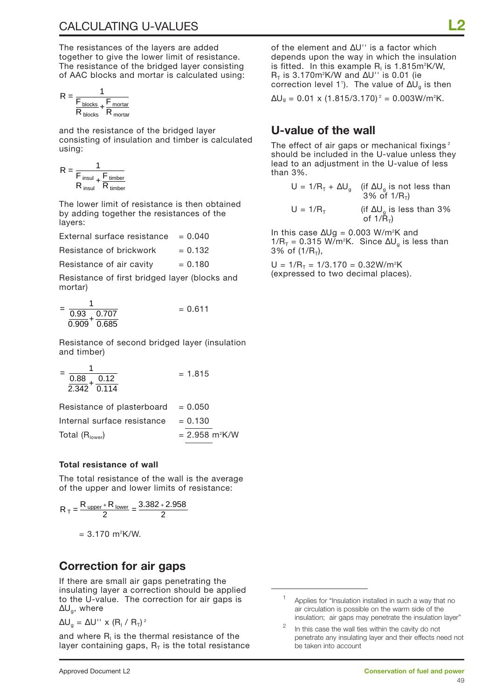The resistances of the layers are added together to give the lower limit of resistance. The resistance of the bridged layer consisting of AAC blocks and mortar is calculated using:

$$
R = \frac{1}{\frac{F_{\text{blocks}}}{R_{\text{blocks}}} + \frac{F_{\text{mortar}}}{R_{\text{mortar}}}}
$$

and the resistance of the bridged layer consisting of insulation and timber is calculated using:

$$
R = \frac{1}{F_{insul} + \frac{F_{timber}}{R_{imber}}}
$$

The lower limit of resistance is then obtained by adding together the resistances of the layers:

External surface resistance  $= 0.040$ 

Resistance of brickwork  $= 0.132$ 

Resistance of air cavity  $= 0.180$ 

Resistance of first bridged layer (blocks and mortar)

|                    |            | $= 0.611$ |
|--------------------|------------|-----------|
|                    | 0.93 0.707 |           |
| $0.909 \div 0.685$ |            |           |

Resistance of second bridged layer (insulation and timber)

$$
=\frac{1}{\frac{0.88}{2.342} + \frac{0.12}{0.114}} = 1.815
$$

| Resistance of plasterboard $= 0.050$ |                              |
|--------------------------------------|------------------------------|
| Internal surface resistance          | $= 0.130$                    |
| Total $(Rlower)$                     | $= 2.958$ m <sup>2</sup> K/W |

#### **Total resistance of wall**

The total resistance of the wall is the average of the upper and lower limits of resistance:

$$
R_{T} = \frac{R_{\text{ upper}} + R_{\text{ lower}}}{2} = \frac{3.382 + 2.958}{2}
$$

 $= 3.170 \text{ m}^2 \text{K/W}.$ 

### **Correction for air gaps**

If there are small air gaps penetrating the insulating layer a correction should be applied to the U-value. The correction for air gaps is  $\Delta U_{\alpha}$ , where

 $\Delta U_{\text{g}} = \Delta U^{\text{H}} \times (R_{\text{I}} / R_{\text{T}})^2$ 

and where  $R<sub>i</sub>$  is the thermal resistance of the layer containing gaps,  $R<sub>T</sub>$  is the total resistance of the element and ∆U'' is a factor which depends upon the way in which the insulation is fitted. In this example R<sub>i</sub> is 1.815m²K/W, R<sub>T</sub> is 3.170m²K/W and ∆U'' is 0.01 (ie correction level 1'). The value of  $\Delta \mathsf{U}_{\mathsf{g}}$  is then

 $\Delta$ U $_{9}$  = 0.01 x (1.815/3.170)<sup>2</sup> = 0.003W/m<sup>2</sup>K.

### **U-value of the wall**

The effect of air gaps or mechanical fixings $2$ should be included in the U-value unless they lead to an adjustment in the U-value of less than 3%.

$$
U = 1/R_{T} + \Delta U_{g}
$$
 (if  $\Delta U_{g}$  is not less than 3% of 1/R<sub>T</sub>)

 $U = 1/R_T$  (if  $\Delta U_g$  is less than 3% of  $1/\tilde{R}_{T}$ )

In this case  $\Delta Ug = 0.003$  W/m<sup>2</sup>K and 1/R<sub>T</sub> = 0.315 W/m<sup>2</sup>K. Since ∆U<sub>g</sub> is less than 3% of  $(1/R_{\tau})$ ,

 $U = 1/R_T = 1/3.170 = 0.32W/m^2K$ (expressed to two decimal places).

Applies for "Insulation installed in such a way that no air circulation is possible on the warm side of the insulation; air gaps may penetrate the insulation layer"

In this case the wall ties within the cavity do not penetrate any insulating layer and their effects need not be taken into account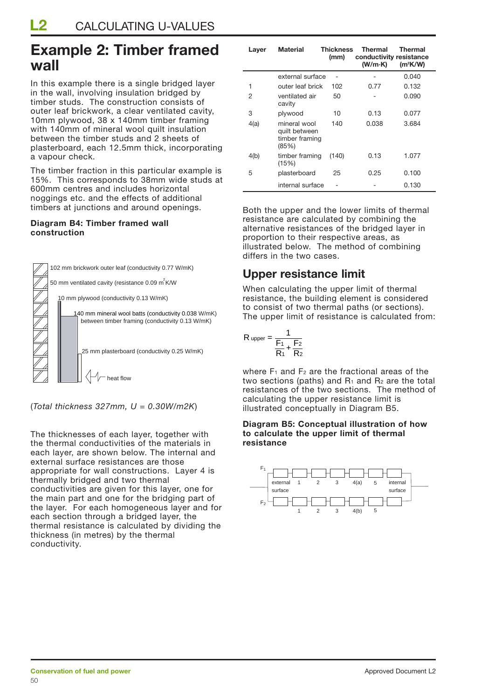## **Example 2: Timber framed wall**

In this example there is a single bridged layer in the wall, involving insulation bridged by timber studs. The construction consists of outer leaf brickwork, a clear ventilated cavity, 10mm plywood, 38 x 140mm timber framing with 140mm of mineral wool quilt insulation between the timber studs and 2 sheets of plasterboard, each 12.5mm thick, incorporating a vapour check.

The timber fraction in this particular example is 15%. This corresponds to 38mm wide studs at 600mm centres and includes horizontal noggings etc. and the effects of additional timbers at junctions and around openings.

#### **Diagram B4: Timber framed wall construction**

![](_page_49_Figure_5.jpeg)

(*Total thickness 327mm, U = 0.30W/m2K*)

The thicknesses of each layer, together with the thermal conductivities of the materials in each layer, are shown below. The internal and external surface resistances are those appropriate for wall constructions. Layer 4 is thermally bridged and two thermal conductivities are given for this layer, one for the main part and one for the bridging part of the layer. For each homogeneous layer and for each section through a bridged layer, the thermal resistance is calculated by dividing the thickness (in metres) by the thermal conductivity.

| Layer | <b>Material</b>                                          | Thickness<br>(mm) | <b>Thermal</b><br>conductivity resistance<br>(W/m·K) | Thermal<br>$(m^2K/W)$ |
|-------|----------------------------------------------------------|-------------------|------------------------------------------------------|-----------------------|
|       | external surface                                         |                   |                                                      | 0.040                 |
| 1     | outer leaf brick                                         | 102               | 0.77                                                 | 0.132                 |
| 2     | ventilated air<br>cavity                                 | 50                |                                                      | 0.090                 |
| 3     | plywood                                                  | 10                | 0.13                                                 | 0.077                 |
| 4(a)  | mineral wool<br>quilt between<br>timber framing<br>(85%) | 140               | 0.038                                                | 3.684                 |
| 4(b)  | timber framing<br>(15%)                                  | (140)             | 0.13                                                 | 1.077                 |
| 5     | plasterboard                                             | 25                | 0.25                                                 | 0.100                 |
|       | internal surface                                         |                   |                                                      | 0.130                 |

Both the upper and the lower limits of thermal resistance are calculated by combining the alternative resistances of the bridged layer in proportion to their respective areas, as illustrated below. The method of combining differs in the two cases.

### **Upper resistance limit**

When calculating the upper limit of thermal resistance, the building element is considered to consist of two thermal paths (or sections). The upper limit of resistance is calculated from:

$$
R_{\text{ upper}} = \frac{1}{\frac{F_1}{R_1} + \frac{F_2}{R_2}}
$$

where  $F_1$  and  $F_2$  are the fractional areas of the two sections (paths) and  $R_1$  and  $R_2$  are the total resistances of the two sections. The method of calculating the upper resistance limit is illustrated conceptually in Diagram B5.

#### **Diagram B5: Conceptual illustration of how to calculate the upper limit of thermal resistance**

![](_page_49_Figure_15.jpeg)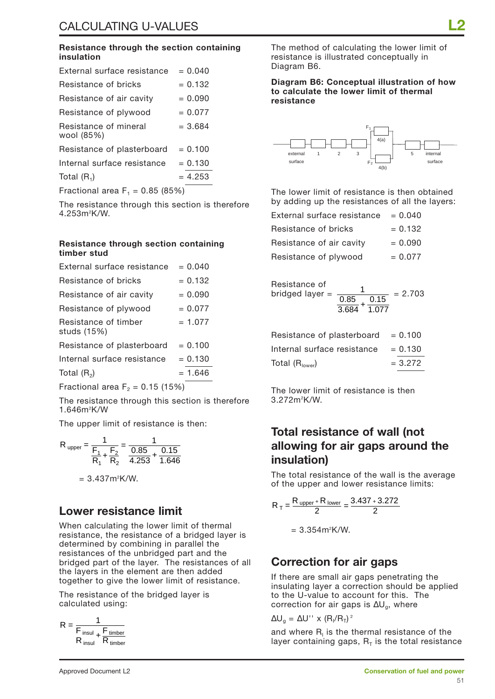#### **Resistance through the section containing insulation**

| External surface resistance         | $= 0.040$ |  |  |
|-------------------------------------|-----------|--|--|
| Resistance of bricks                | $= 0.132$ |  |  |
| Resistance of air cavity            | $= 0.090$ |  |  |
| Resistance of plywood               | $= 0.077$ |  |  |
| Resistance of mineral<br>wool (85%) | $= 3.684$ |  |  |
| Resistance of plasterboard          | $= 0.100$ |  |  |
| Internal surface resistance         | $= 0.130$ |  |  |
| Total $(R_1)$                       | $= 4.253$ |  |  |
| Fractional area $F_1 = 0.85$ (85%)  |           |  |  |

The resistance through this section is therefore 4.253m2 K/W.

#### **Resistance through section containing timber stud**

| External surface resistance         | $= 0.040$ |
|-------------------------------------|-----------|
| Resistance of bricks                | $= 0.132$ |
| Resistance of air cavity            | $= 0.090$ |
| Resistance of plywood               | $= 0.077$ |
| Resistance of timber<br>studs (15%) | $= 1.077$ |
| Resistance of plasterboard          | $= 0.100$ |
| Internal surface resistance         | $= 0.130$ |
| Total $(R_2)$                       | $= 1.646$ |
|                                     |           |

Fractional area  $F<sub>2</sub> = 0.15$  (15%)

The resistance through this section is therefore 1.646m2 K/W

The upper limit of resistance is then:

$$
R_{\text{upper}} = \frac{1}{\frac{F_1}{R_1} + \frac{F_2}{R_2}} = \frac{1}{\frac{0.85}{4.253} + \frac{0.15}{1.646}}
$$

$$
= 3.437 \text{ m}^2 \text{K/W}.
$$

### **Lower resistance limit**

When calculating the lower limit of thermal resistance, the resistance of a bridged layer is determined by combining in parallel the resistances of the unbridged part and the bridged part of the layer. The resistances of all the layers in the element are then added together to give the lower limit of resistance.

The resistance of the bridged layer is calculated using:

$$
R = \frac{1}{F_{insul} + \frac{F_{timber}}{R_{timber}}}
$$

The method of calculating the lower limit of resistance is illustrated conceptually in Diagram B6.

**Diagram B6: Conceptual illustration of how to calculate the lower limit of thermal resistance**

![](_page_50_Figure_16.jpeg)

The lower limit of resistance is then obtained by adding up the resistances of all the layers:

| External surface resistance | $= 0.040$ |
|-----------------------------|-----------|
| Resistance of bricks        | $= 0.132$ |
| Resistance of air cavity    | $= 0.090$ |
| Resistance of plywood       | $= 0.077$ |

Resistance of  
bridged layer = 
$$
\frac{1}{\frac{0.85}{3.684} + \frac{0.15}{1.077}}
$$
 = 2.703

| Resistance of plasterboard  | $= 0.100$ |
|-----------------------------|-----------|
| Internal surface resistance | $= 0.130$ |
| Total (R <sub>lower</sub> ) | $= 3.272$ |

The lower limit of resistance is then 3.272m2 K/W.

### **Total resistance of wall (not allowing for air gaps around the insulation)**

The total resistance of the wall is the average of the upper and lower resistance limits:

$$
R_T = \frac{R_{\text{ upper}} + R_{\text{ lower}}}{2} = \frac{3.437 + 3.272}{2}
$$

$$
= 3.354 \text{m}^2 \text{K/W}.
$$

### **Correction for air gaps**

If there are small air gaps penetrating the insulating layer a correction should be applied to the U-value to account for this. The correction for air gaps is  $\Delta U_q$ , where

 $\Delta$ U $_{g}$  =  $\Delta$ U'' x (R<sub>I</sub>/R<sub>T</sub>)<sup>2</sup>

and where  $R<sub>i</sub>$  is the thermal resistance of the layer containing gaps,  $R<sub>T</sub>$  is the total resistance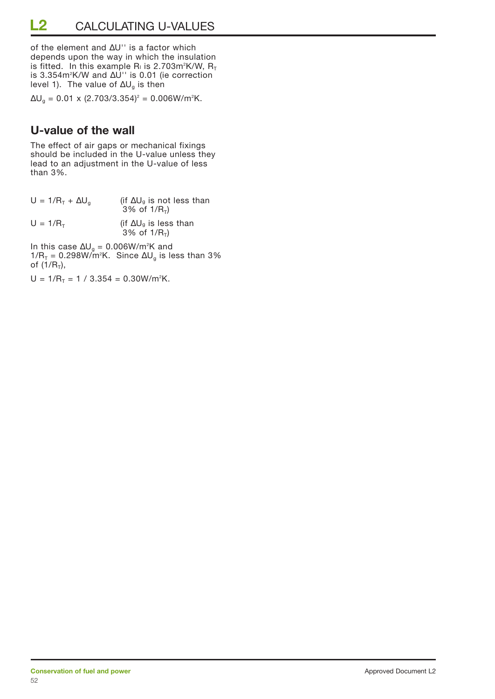of the element and ∆U'' is a factor which depends upon the way in which the insulation is fitted. In this example Rı is 2.703m²K/W, R $_{\rm \scriptscriptstyle T}$ is 3.354m2 K/W and ∆U'' is 0.01 (ie correction level 1). The value of  $\Delta U_{q}$  is then

 $\Delta$ U $_{\rm g}$  = 0.01 x (2.703/3.354) $^{\rm 2}$  = 0.006W/m $^{\rm 2}$ K.

### **U-value of the wall**

The effect of air gaps or mechanical fixings should be included in the U-value unless they lead to an adjustment in the U-value of less than 3%.

| $U = 1/R_T + \Delta U_a$ | (if $\Delta U_g$ is not less than<br>3% of $1/R_{\tau}$ ) |
|--------------------------|-----------------------------------------------------------|
| $U = 1/Rr$               | (if $\Delta U_{g}$ is less than<br>3% of $1/R_{T}$ )      |

In this case  $\Delta U_g = 0.006 W/m^2K$  and 1/R<sub>T</sub> = 0.298W/m²K. Since ∆U<sub>g</sub> is less than 3% of  $(1/R_{T})$ ,

 $U = 1/R_T = 1 / 3.354 = 0.30 W/m^2K$ .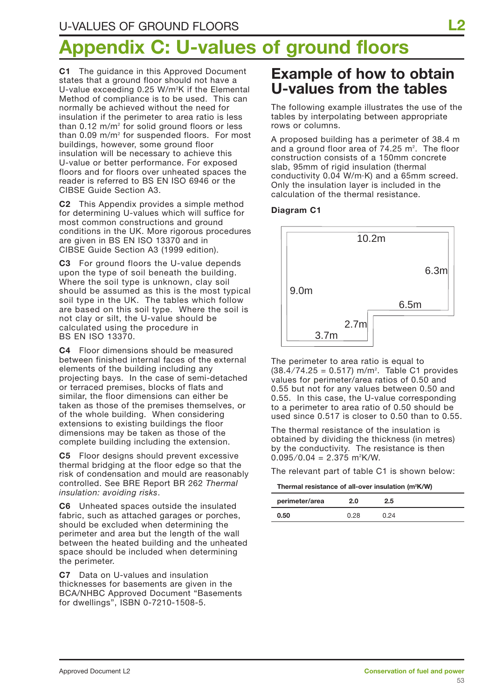# **Appendix C: U-values of ground floors**

**C1** The guidance in this Approved Document states that a ground floor should not have a U-value exceeding 0.25 W/m<sup>2</sup>K if the Elemental Method of compliance is to be used. This can normally be achieved without the need for insulation if the perimeter to area ratio is less than  $0.12$  m/m<sup>2</sup> for solid ground floors or less than 0.09 m/m<sup>2</sup> for suspended floors. For most buildings, however, some ground floor insulation will be necessary to achieve this U-value or better performance. For exposed floors and for floors over unheated spaces the reader is referred to BS EN ISO 6946 or the CIBSE Guide Section A3.

**C2** This Appendix provides a simple method for determining U-values which will suffice for most common constructions and ground conditions in the UK. More rigorous procedures are given in BS EN ISO 13370 and in CIBSE Guide Section A3 (1999 edition).

**C3** For ground floors the U-value depends upon the type of soil beneath the building. Where the soil type is unknown, clay soil should be assumed as this is the most typical soil type in the UK. The tables which follow are based on this soil type. Where the soil is not clay or silt, the U-value should be calculated using the procedure in BS EN ISO 13370.

**C4** Floor dimensions should be measured between finished internal faces of the external elements of the building including any projecting bays. In the case of semi-detached or terraced premises, blocks of flats and similar, the floor dimensions can either be taken as those of the premises themselves, or of the whole building. When considering extensions to existing buildings the floor dimensions may be taken as those of the complete building including the extension.

**C5** Floor designs should prevent excessive thermal bridging at the floor edge so that the risk of condensation and mould are reasonably controlled. See BRE Report BR 262 *Thermal insulation: avoiding risks*.

**C6** Unheated spaces outside the insulated fabric, such as attached garages or porches, should be excluded when determining the perimeter and area but the length of the wall between the heated building and the unheated space should be included when determining the perimeter.

**C7** Data on U-values and insulation thicknesses for basements are given in the BCA/NHBC Approved Document "Basements for dwellings", ISBN 0-7210-1508-5.

## **Example of how to obtain U-values from the tables**

The following example illustrates the use of the tables by interpolating between appropriate rows or columns.

A proposed building has a perimeter of 38.4 m and a ground floor area of 74.25 m<sup>2</sup>. The floor construction consists of a 150mm concrete slab, 95mm of rigid insulation (thermal conductivity  $0.04$  W/m $\cdot$ K) and a 65mm screed. Only the insulation layer is included in the calculation of the thermal resistance.

#### **Diagram C1**

![](_page_52_Figure_13.jpeg)

The perimeter to area ratio is equal to  $(38.4/74.25 = 0.517)$  m/m<sup>2</sup>. Table C1 provides values for perimeter/area ratios of 0.50 and 0.55 but not for any values between 0.50 and 0.55. In this case, the U-value corresponding to a perimeter to area ratio of 0.50 should be used since 0.517 is closer to 0.50 than to 0.55.

The thermal resistance of the insulation is obtained by dividing the thickness (in metres) by the conductivity. The resistance is then  $0.095/0.04 = 2.375 \text{ m}^2 \text{K/W}.$ 

The relevant part of table C1 is shown below:

| Thermal resistance of all-over insulation (m <sup>2</sup> K/W) |      |         |  |
|----------------------------------------------------------------|------|---------|--|
| perimeter/area                                                 | 2.0  | $2.5\,$ |  |
| 0.50                                                           | በ 28 | 0.24    |  |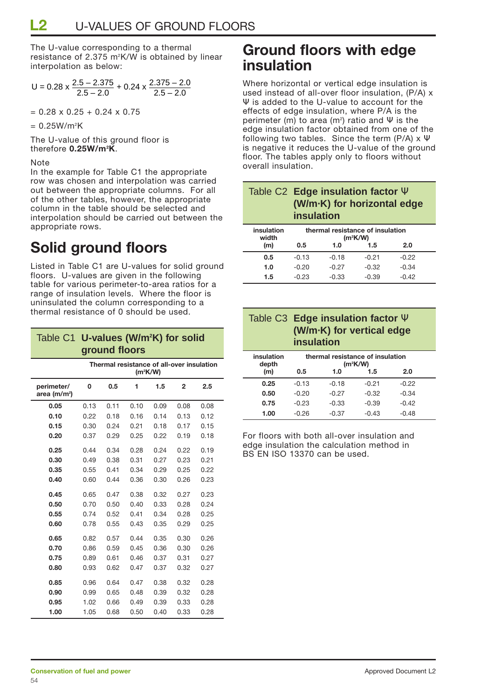The U-value corresponding to a thermal resistance of 2.375 m2 K/W is obtained by linear interpolation as below:

$$
U = 0.28 \times \frac{2.5 - 2.375}{2.5 - 2.0} + 0.24 \times \frac{2.375 - 2.0}{2.5 - 2.0}
$$

 $= 0.28 \times 0.25 + 0.24 \times 0.75$ 

 $= 0.25W/m<sup>2</sup>K$ 

The U-value of this ground floor is therefore **0.25W/m2 K**.

#### Note

In the example for Table C1 the appropriate row was chosen and interpolation was carried out between the appropriate columns. For all of the other tables, however, the appropriate column in the table should be selected and interpolation should be carried out between the appropriate rows.

# **Solid ground floors**

Listed in Table C1 are U-values for solid ground floors. U-values are given in the following table for various perimeter-to-area ratios for a range of insulation levels. Where the floor is uninsulated the column corresponding to a thermal resistance of 0 should be used.

| Table C1                               | U-values (W/m <sup>2</sup> K) for solid |                                                         |      |      |                |      |
|----------------------------------------|-----------------------------------------|---------------------------------------------------------|------|------|----------------|------|
|                                        | ground floors                           |                                                         |      |      |                |      |
|                                        |                                         | Thermal resistance of all-over insulation<br>$(m^2K/W)$ |      |      |                |      |
| perimeter/<br>area (m/m <sup>2</sup> ) | 0                                       | 0.5                                                     | 1    | 1.5  | $\overline{2}$ | 2.5  |
| 0.05                                   | 0.13                                    | 0.11                                                    | 0.10 | 0.09 | 0.08           | 0.08 |
| 0.10                                   | 0.22                                    | 0.18                                                    | 0.16 | 0.14 | 0.13           | 0.12 |
| 0.15                                   | 0.30                                    | 0.24                                                    | 0.21 | 0.18 | 0.17           | 0.15 |
| 0.20                                   | 0.37                                    | 0.29                                                    | 0.25 | 0.22 | 0.19           | 0.18 |
| 0.25                                   | 0.44                                    | 0.34                                                    | 0.28 | 0.24 | 0.22           | 0.19 |
| 0.30                                   | 0.49                                    | 0.38                                                    | 0.31 | 0.27 | 0.23           | 0.21 |
| 0.35                                   | 0.55                                    | 0.41                                                    | 0.34 | 0.29 | 0.25           | 0.22 |
| 0.40                                   | 0.60                                    | 0.44                                                    | 0.36 | 0.30 | 0.26           | 0.23 |
| 0.45                                   | 0.65                                    | 0.47                                                    | 0.38 | 0.32 | 0.27           | 0.23 |
| 0.50                                   | 0.70                                    | 0.50                                                    | 0.40 | 0.33 | 0.28           | 0.24 |
| 0.55                                   | 0.74                                    | 0.52                                                    | 0.41 | 0.34 | 0.28           | 0.25 |
| 0.60                                   | 0.78                                    | 0.55                                                    | 0.43 | 0.35 | 0.29           | 0.25 |
| 0.65                                   | 0.82                                    | 0.57                                                    | 0.44 | 0.35 | 0.30           | 0.26 |
| 0.70                                   | 0.86                                    | 0.59                                                    | 0.45 | 0.36 | 0.30           | 0.26 |
| 0.75                                   | 0.89                                    | 0.61                                                    | 0.46 | 0.37 | 0.31           | 0.27 |
| 0.80                                   | 0.93                                    | 0.62                                                    | 0.47 | 0.37 | 0.32           | 0.27 |
| 0.85                                   | 0.96                                    | 0.64                                                    | 0.47 | 0.38 | 0.32           | 0.28 |
| 0.90                                   | 0.99                                    | 0.65                                                    | 0.48 | 0.39 | 0.32           | 0.28 |
| 0.95                                   | 1.02                                    | 0.66                                                    | 0.49 | 0.39 | 0.33           | 0.28 |
| 1.00                                   | 1.05                                    | 0.68                                                    | 0.50 | 0.40 | 0.33           | 0.28 |

## **Ground floors with edge insulation**

Where horizontal or vertical edge insulation is used instead of all-over floor insulation, (P/A) x Ψ is added to the U-value to account for the effects of edge insulation, where P/A is the perimeter (m) to area (m<sup>2</sup>) ratio and Ψ is the edge insulation factor obtained from one of the following two tables. Since the term (P/A) x Ψ is negative it reduces the U-value of the ground floor. The tables apply only to floors without overall insulation.

|                     | Table C2 Edge insulation factor $\Psi$<br>(W/m·K) for horizontal edge<br>insulation |         |         |         |
|---------------------|-------------------------------------------------------------------------------------|---------|---------|---------|
| insulation<br>width | thermal resistance of insulation<br>$(m^2K/W)$                                      |         |         |         |
| (m)                 | 0.5                                                                                 | 1.0     | 1.5     | 2.0     |
| 0.5                 | $-0.13$                                                                             | $-0.18$ | $-0.21$ | $-0.22$ |
| 1.0                 | $-0.20$                                                                             | $-0.27$ | $-0.32$ | $-0.34$ |
| 1.5                 | $-0.23$                                                                             | $-0.33$ | $-0.39$ | $-0.42$ |

| Table C3 Edge insulation factor $\Psi$ |
|----------------------------------------|
| (W/m-K) for vertical edge              |
| insulation                             |

| insulation<br>depth | thermal resistance of insulation<br>$(m^2K/W)$ |                   |         |         |  |  |  |  |  |
|---------------------|------------------------------------------------|-------------------|---------|---------|--|--|--|--|--|
| (m)                 | 0.5                                            | 2.0<br>1.0<br>1.5 |         |         |  |  |  |  |  |
| 0.25                | $-0.13$                                        | $-0.18$           | $-0.21$ | $-0.22$ |  |  |  |  |  |
| 0.50                | $-0.20$                                        | $-0.27$           | $-0.32$ | $-0.34$ |  |  |  |  |  |
| 0.75                | $-0.23$                                        | $-0.33$           | $-0.39$ | $-0.42$ |  |  |  |  |  |
| 1.00                | $-0.26$                                        | $-0.37$           | $-0.43$ | $-0.48$ |  |  |  |  |  |

For floors with both all-over insulation and edge insulation the calculation method in BS EN ISO 13370 can be used.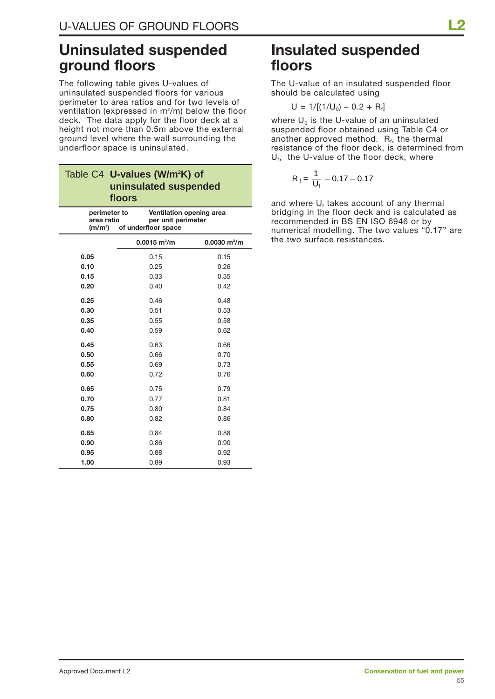## **Uninsulated suspended ground floors**

The following table gives U-values of uninsulated suspended floors for various perimeter to area ratios and for two levels of ventilation (expressed in  $m^2/m$ ) below the floor deck. The data apply for the floor deck at a height not more than 0.5m above the external ground level where the wall surrounding the underfloor space is uninsulated.

### Table C4 **U-values (W/m2 K) of uninsulated suspended floors**

| perimeter to        | Ventilation opening area |
|---------------------|--------------------------|
| area ratio          | per unit perimeter       |
| (m/m <sup>2</sup> ) | of underfloor space      |

|      | $0.0015 \text{ m}^2/\text{m}$ | $0.0030$ m <sup>2</sup> /m |
|------|-------------------------------|----------------------------|
| 0.05 | 0.15                          | 0.15                       |
| 0.10 | 0.25                          | 0.26                       |
| 0.15 | 0.33                          | 0.35                       |
| 0.20 | 0.40                          | 0.42                       |
| 0.25 | 0.46                          | 0.48                       |
| 0.30 | 0.51                          | 0.53                       |
| 0.35 | 0.55                          | 0.58                       |
| 0.40 | 0.59                          | 0.62                       |
| 0.45 | 0.63                          | 0.66                       |
| 0.50 | 0.66                          | 0.70                       |
| 0.55 | 0.69                          | 0.73                       |
| 0.60 | 0.72                          | 0.76                       |
| 0.65 | 0.75                          | 0.79                       |
| 0.70 | 0.77                          | 0.81                       |
| 0.75 | 0.80                          | 0.84                       |
| 0.80 | 0.82                          | 0.86                       |
| 0.85 | 0.84                          | 0.88                       |
| 0.90 | 0.86                          | 0.90                       |
| 0.95 | 0.88                          | 0.92                       |
| 1.00 | 0.89                          | 0.93                       |

## **Insulated suspended floors**

The U-value of an insulated suspended floor should be calculated using

 $U = 1/[(1/U_0) - 0.2 + R_f]$ 

where  $U_0$  is the U-value of an uninsulated suspended floor obtained using Table C4 or another approved method.  $R_f$ , the thermal resistance of the floor deck, is determined from  $U_f$ , the U-value of the floor deck, where

$$
R_f = \frac{1}{U_f} - 0.17 - 0.17
$$

and where  $U_f$  takes account of any thermal bridging in the floor deck and is calculated as recommended in BS EN ISO 6946 or by numerical modelling. The two values "0.17" are the two surface resistances.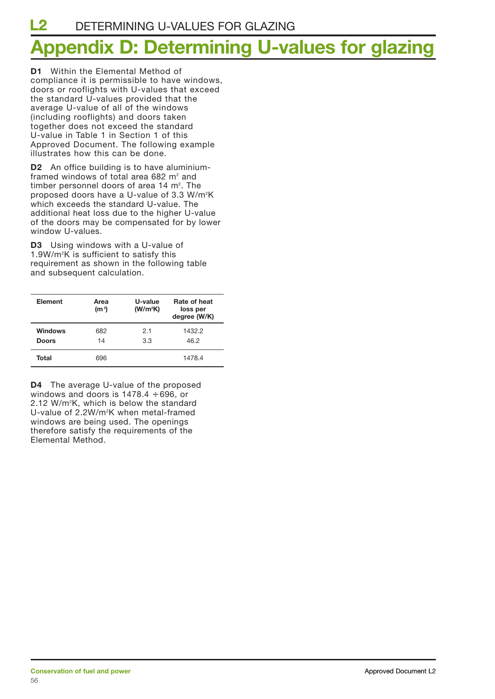# **Appendix D: Determining U-values for glazing**

**D1** Within the Elemental Method of compliance it is permissible to have windows, doors or rooflights with U-values that exceed the standard U-values provided that the average U-value of all of the windows (including rooflights) and doors taken together does not exceed the standard U-value in Table 1 in Section 1 of this Approved Document. The following example illustrates how this can be done.

**D2** An office building is to have aluminiumframed windows of total area 682  $m<sup>2</sup>$  and timber personnel doors of area 14 m². The proposed doors have a U-value of 3.3 W/m<sup>2</sup>K which exceeds the standard U-value. The additional heat loss due to the higher U-value of the doors may be compensated for by lower window U-values.

**D3** Using windows with a U-value of 1.9W/m<sup>2</sup>K is sufficient to satisfy this requirement as shown in the following table and subsequent calculation.

| Element        | Area<br>(m <sup>2</sup> ) | U-value<br>(W/m <sup>2</sup> K) | Rate of heat<br>loss per<br>degree (W/K) |
|----------------|---------------------------|---------------------------------|------------------------------------------|
| <b>Windows</b> | 682                       | 2.1                             | 1432.2                                   |
| <b>Doors</b>   | 14                        | 3.3                             | 46.2                                     |
| Total          | 696                       |                                 | 1478.4                                   |

**D4** The average U-value of the proposed windows and doors is  $1478.4 \div 696$ , or 2.12 W/m2 K, which is below the standard U-value of 2.2W/m2 K when metal-framed windows are being used. The openings therefore satisfy the requirements of the Elemental Method.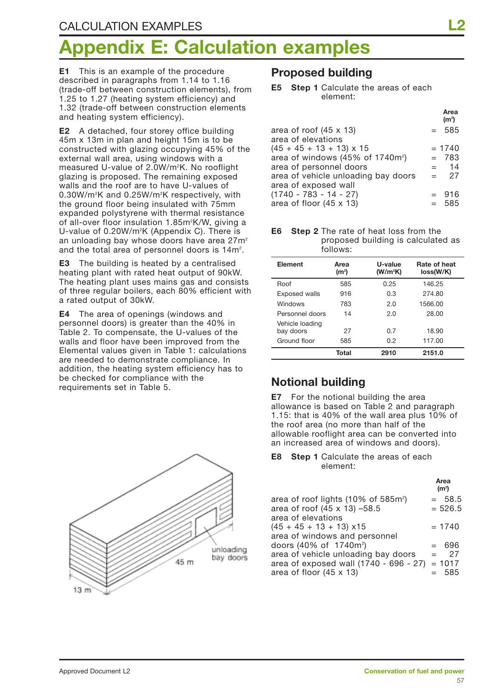# **Appendix E: Calculation examples**

**E1** This is an example of the procedure described in paragraphs from 1.14 to 1.16 (trade-off between construction elements), from 1.25 to 1.27 (heating system efficiency) and 1.32 (trade-off between construction elements and heating system efficiency).

**E2** A detached, four storey office building 45m x 13m in plan and height 15m is to be constructed with glazing occupying 45% of the external wall area, using windows with a measured U-value of 2.0W/m<sup>2</sup>K. No rooflight glazing is proposed. The remaining exposed walls and the roof are to have U-values of 0.30W/m<sup>2</sup>K and 0.25W/m<sup>2</sup>K respectively, with the ground floor being insulated with 75mm expanded polystyrene with thermal resistance of all-over floor insulation 1.85m<sup>2</sup>K/W, giving a U-value of 0.20W/m<sup>2</sup>K (Appendix C). There is an unloading bay whose doors have area 27m<sup>2</sup> and the total area of personnel doors is  $14m^2$ .

**E3** The building is heated by a centralised heating plant with rated heat output of 90kW. The heating plant uses mains gas and consists of three regular boilers, each 80% efficient with a rated output of 30kW.

**E4** The area of openings (windows and personnel doors) is greater than the 40% in Table 2. To compensate, the U-values of the walls and floor have been improved from the Elemental values given in Table 1: calculations are needed to demonstrate compliance. In addition, the heating system efficiency has to be checked for compliance with the requirements set in Table 5.

![](_page_56_Figure_6.jpeg)

### **Proposed building**

**E5 Step 1** Calculate the areas of each element:

|                                              |         | Area<br>(m <sup>2</sup> ) |
|----------------------------------------------|---------|---------------------------|
| area of roof $(45 \times 13)$                |         | $= 585$                   |
| area of elevations                           |         |                           |
| $(45 + 45 + 13 + 13) \times 15$              |         | $= 1740$                  |
| area of windows (45% of 1740m <sup>2</sup> ) |         | $= 783$                   |
| area of personnel doors                      |         | $= 14$                    |
| area of vehicle unloading bay doors          | $=$ $-$ | 27                        |
| area of exposed wall                         |         |                           |
| $(1740 - 783 - 14 - 27)$                     |         | $= 916$                   |
| area of floor $(45 \times 13)$               |         | $= 585$                   |

**E6 Step 2** The rate of heat loss from the proposed building is calculated as follows:

| Element                      | Area<br>(m <sup>2</sup> ) | U-value<br>(W/m <sup>2</sup> K) | <b>Rate of heat</b><br>loss(W/K) |
|------------------------------|---------------------------|---------------------------------|----------------------------------|
| Roof                         | 585                       | 0.25                            | 146.25                           |
| <b>Exposed walls</b>         | 916                       | 0.3                             | 274.80                           |
| Windows                      | 783                       | 2.0                             | 1566.00                          |
| Personnel doors              | 14                        | 2.0                             | 28.00                            |
| Vehicle loading<br>bay doors | 27                        | 0.7                             | 18.90                            |
| Ground floor                 | 585                       | 0.2                             | 117.00                           |
|                              | Total                     | 2910                            | 2151.0                           |

### **Notional building**

**E7** For the notional building the area allowance is based on Table 2 and paragraph 1.15: that is 40% of the wall area plus 10% of the roof area (no more than half of the allowable rooflight area can be converted into an increased area of windows and doors).

**Step 1** Calculate the areas of each element:

|                                                 | (m <sup>2</sup> ) |
|-------------------------------------------------|-------------------|
| area of roof lights (10% of 585m <sup>2</sup> ) | $= 58.5$          |
| area of roof (45 x 13) -58.5                    | $= 526.5$         |
| area of elevations                              |                   |
| $(45 + 45 + 13 + 13)$ x15                       | $= 1740$          |
| area of windows and personnel                   |                   |
| doors (40% of 1740m <sup>2</sup> )              | $= 696$           |
| area of vehicle unloading bay doors             | 27<br>$=$         |
| area of exposed wall (1740 - 696 - 27)          | $= 1017$          |
| area of floor $(45 \times 13)$                  | 585               |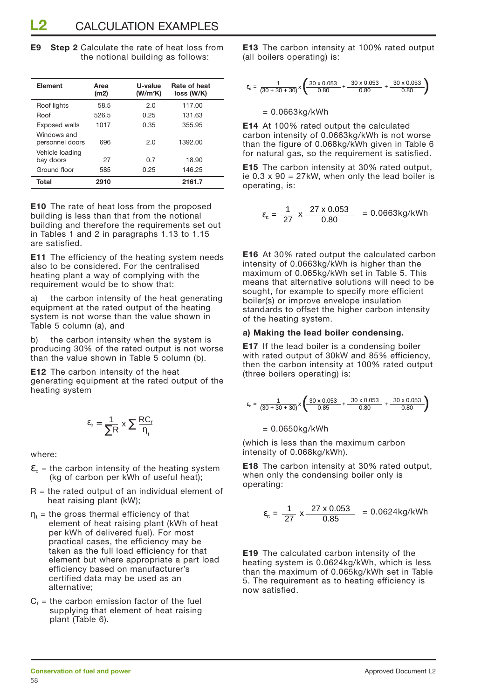| <b>E9</b> Step 2 Calculate the rate of heat loss from |
|-------------------------------------------------------|
| the notional building as follows:                     |

| Element                        | Area<br>(m2) | U-value<br>(W/m <sup>2</sup> K) | Rate of heat<br>loss (W/K) |
|--------------------------------|--------------|---------------------------------|----------------------------|
| Roof lights                    | 58.5         | 2.0                             | 117.00                     |
| Roof                           | 526.5        | 0.25                            | 131.63                     |
| <b>Exposed walls</b>           | 1017         | 0.35                            | 355.95                     |
| Windows and<br>personnel doors | 696          | 2.0                             | 1392.00                    |
| Vehicle loading<br>bay doors   | 27           | 0.7                             | 18.90                      |
| Ground floor                   | 585          | 0.25                            | 146.25                     |
| Total                          | 2910         |                                 | 2161.7                     |

**E10** The rate of heat loss from the proposed building is less than that from the notional building and therefore the requirements set out in Tables 1 and 2 in paragraphs 1.13 to 1.15 are satisfied.

**E11** The efficiency of the heating system needs also to be considered. For the centralised heating plant a way of complying with the requirement would be to show that:

a) the carbon intensity of the heat generating equipment at the rated output of the heating system is not worse than the value shown in Table 5 column (a), and

b) the carbon intensity when the system is producing 30% of the rated output is not worse than the value shown in Table 5 column (b).

**E12** The carbon intensity of the heat generating equipment at the rated output of the heating system

$$
\epsilon_c = \frac{1}{\sum R} \; x \; \sum \frac{R C_f}{\eta_t}
$$

where:

- $\mathcal{E}_c$  = the carbon intensity of the heating system (kg of carbon per kWh of useful heat);
- $R =$  the rated output of an individual element of heat raising plant (kW);
- $\eta_t$  = the gross thermal efficiency of that element of heat raising plant (kWh of heat per kWh of delivered fuel). For most practical cases, the efficiency may be taken as the full load efficiency for that element but where appropriate a part load efficiency based on manufacturer's certified data may be used as an alternative;
- $C_f$  = the carbon emission factor of the fuel supplying that element of heat raising plant (Table 6).

**E13** The carbon intensity at 100% rated output (all boilers operating) is:

$$
\varepsilon_{\rm c} = \frac{1}{(30 + 30 + 30)} \times \left( \frac{30 \times 0.053}{0.80} + \frac{30 \times 0.053}{0.80} + \frac{30 \times 0.053}{0.80} \right)
$$

= 0.0663kg/kWh

**E14** At 100% rated output the calculated carbon intensity of 0.0663kg/kWh is not worse than the figure of 0.068kg/kWh given in Table 6 for natural gas, so the requirement is satisfied.

**E15** The carbon intensity at 30% rated output, ie  $0.3 \times 90 = 27$  kW, when only the lead boiler is operating, is:

$$
\varepsilon_{\rm c} = \frac{1}{27} \times \frac{27 \times 0.053}{0.80} = 0.0663 \, \text{kg/kWh}
$$

**E16** At 30% rated output the calculated carbon intensity of 0.0663kg/kWh is higher than the maximum of 0.065kg/kWh set in Table 5. This means that alternative solutions will need to be sought, for example to specify more efficient boiler(s) or improve envelope insulation standards to offset the higher carbon intensity of the heating system.

#### **a) Making the lead boiler condensing.**

**E17** If the lead boiler is a condensing boiler with rated output of 30kW and 85% efficiency, then the carbon intensity at 100% rated output (three boilers operating) is:

$$
\varepsilon_c = \frac{1}{(30 + 30 + 30)} \times \left( \frac{30 \times 0.053}{0.85} + \frac{30 \times 0.053}{0.80} + \frac{30 \times 0.053}{0.80} \right)
$$

 $= 0.0650kg/kWh$ 

(which is less than the maximum carbon intensity of 0.068kg/kWh).

**E18** The carbon intensity at 30% rated output, when only the condensing boiler only is operating:

$$
\varepsilon_c = \frac{1}{27} \times \frac{27 \times 0.053}{0.85} = 0.0624 \text{kg/kWh}
$$

**E19** The calculated carbon intensity of the heating system is 0.0624kg/kWh, which is less than the maximum of 0.065kg/kWh set in Table 5. The requirement as to heating efficiency is now satisfied.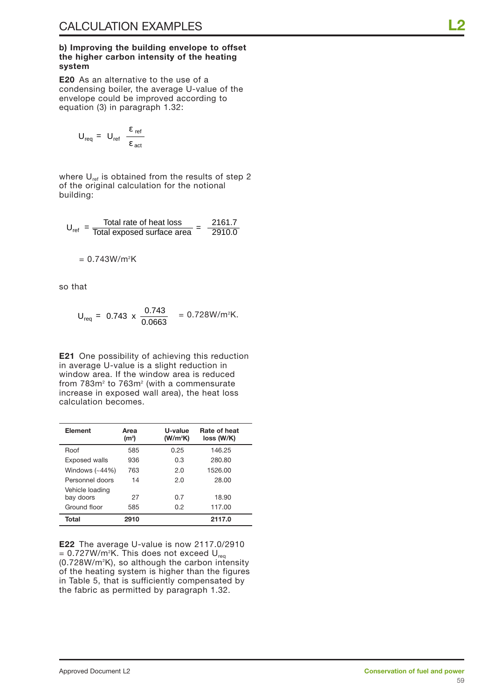#### **b) Improving the building envelope to offset the higher carbon intensity of the heating system**

**E20** As an alternative to the use of a condensing boiler, the average U-value of the envelope could be improved according to equation (3) in paragraph 1.32:

$$
U_{\text{req}} = U_{\text{ref}} \frac{\varepsilon_{\text{ref}}}{\varepsilon_{\text{act}}}
$$

where  $U_{ref}$  is obtained from the results of step 2 of the original calculation for the notional building:

$$
U_{ref} = \frac{\text{Total rate of heat loss}}{\text{Total exposed surface area}} = \frac{2161.7}{2910.0}
$$

$$
= 0.743 W/m^2K
$$

so that

$$
U_{\text{req}} = 0.743 \times \frac{0.743}{0.0663} = 0.728W/m^2K.
$$

**E21** One possibility of achieving this reduction in average U-value is a slight reduction in window area. If the window area is reduced from 783m<sup>2</sup> to 763m<sup>2</sup> (with a commensurate increase in exposed wall area), the heat loss calculation becomes.

| <b>Element</b>       | Area<br>(m <sup>2</sup> ) | U-value<br>(W/m <sup>2</sup> K) | <b>Rate of heat</b><br>loss (W/K) |
|----------------------|---------------------------|---------------------------------|-----------------------------------|
| Roof                 | 585                       | 0.25                            | 146.25                            |
| <b>Exposed walls</b> | 936                       | 0.3                             | 280.80                            |
| Windows $(-44%)$     | 763                       | 2.0                             | 1526.00                           |
| Personnel doors      | 14                        | 2.0                             | 28.00                             |
| Vehicle loading      |                           |                                 |                                   |
| bay doors            | 27                        | 0.7                             | 18.90                             |
| Ground floor         | 585                       | 0.2                             | 117.00                            |
| Total                | 2910                      |                                 | 2117.0                            |

**E22** The average U-value is now 2117.0/2910 = 0.727W/m²K. This does not exceed  $\sf{U}_{\sf{req}}$ (0.728W/m2 K), so although the carbon intensity of the heating system is higher than the figures in Table 5, that is sufficiently compensated by the fabric as permitted by paragraph 1.32.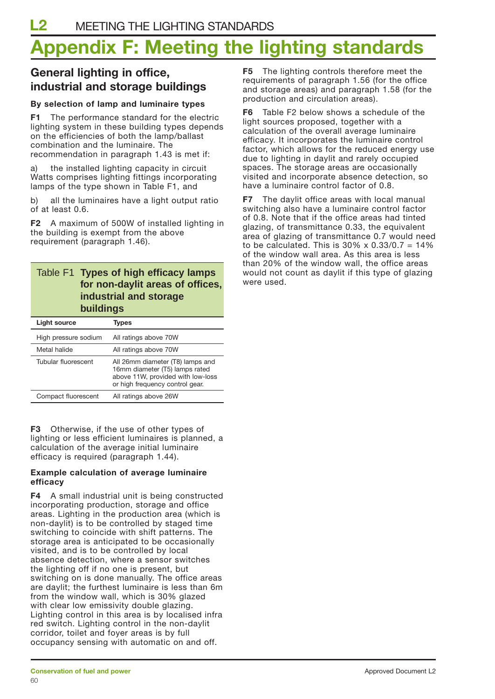# **Appendix F: Meeting the lighting standards**

### **General lighting in office, industrial and storage buildings**

#### **By selection of lamp and luminaire types**

**F1** The performance standard for the electric lighting system in these building types depends on the efficiencies of both the lamp/ballast combination and the luminaire. The recommendation in paragraph 1.43 is met if:

a) the installed lighting capacity in circuit Watts comprises lighting fittings incorporating lamps of the type shown in Table F1, and

b) all the luminaires have a light output ratio of at least 0.6.

**F2** A maximum of 500W of installed lighting in the building is exempt from the above requirement (paragraph 1.46).

### Table F1 **Types of high efficacy lamps for non-daylit areas of offices, industrial and storage buildings**

| <b>Light source</b>  | Types                                                                                                                                      |
|----------------------|--------------------------------------------------------------------------------------------------------------------------------------------|
| High pressure sodium | All ratings above 70W                                                                                                                      |
| Metal halide         | All ratings above 70W                                                                                                                      |
| Tubular fluorescent  | All 26mm diameter (T8) lamps and<br>16mm diameter (T5) lamps rated<br>above 11W, provided with low-loss<br>or high frequency control gear. |
| Compact fluorescent  | All ratings above 26W                                                                                                                      |

**F3** Otherwise, if the use of other types of lighting or less efficient luminaires is planned, a calculation of the average initial luminaire efficacy is required (paragraph 1.44).

#### **Example calculation of average luminaire efficacy**

**F4** A small industrial unit is being constructed incorporating production, storage and office areas. Lighting in the production area (which is non-daylit) is to be controlled by staged time switching to coincide with shift patterns. The storage area is anticipated to be occasionally visited, and is to be controlled by local absence detection, where a sensor switches the lighting off if no one is present, but switching on is done manually. The office areas are daylit; the furthest luminaire is less than 6m from the window wall, which is 30% glazed with clear low emissivity double glazing. Lighting control in this area is by localised infra red switch. Lighting control in the non-daylit corridor, toilet and foyer areas is by full occupancy sensing with automatic on and off.

**F5** The lighting controls therefore meet the requirements of paragraph 1.56 (for the office and storage areas) and paragraph 1.58 (for the production and circulation areas).

**F6** Table F2 below shows a schedule of the light sources proposed, together with a calculation of the overall average luminaire efficacy. It incorporates the luminaire control factor, which allows for the reduced energy use due to lighting in daylit and rarely occupied spaces. The storage areas are occasionally visited and incorporate absence detection, so have a luminaire control factor of 0.8.

**F7** The daylit office areas with local manual switching also have a luminaire control factor of 0.8. Note that if the office areas had tinted glazing, of transmittance 0.33, the equivalent area of glazing of transmittance 0.7 would need to be calculated. This is  $30\% \times 0.33/0.7 = 14\%$ of the window wall area. As this area is less than 20% of the window wall, the office areas would not count as daylit if this type of glazing were used.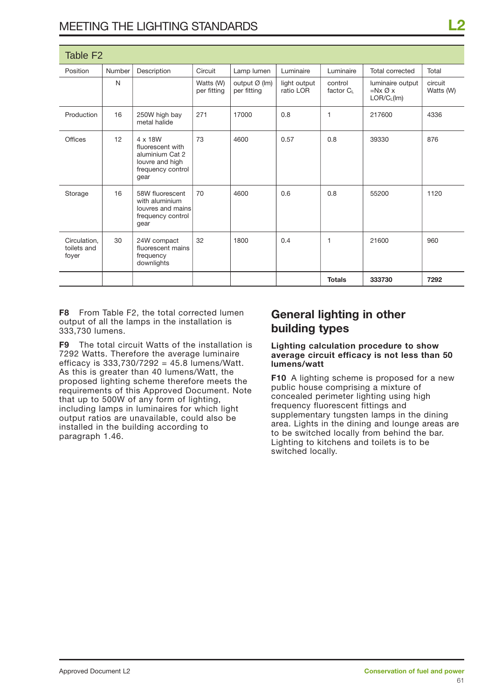| Table F <sub>2</sub>                 |        |                                                                                                       |                          |                                          |                           |                     |                                                                    |                      |
|--------------------------------------|--------|-------------------------------------------------------------------------------------------------------|--------------------------|------------------------------------------|---------------------------|---------------------|--------------------------------------------------------------------|----------------------|
| Position                             | Number | Description                                                                                           | Circuit                  | Lamp lumen                               | Luminaire                 | Luminaire           | <b>Total corrected</b>                                             | Total                |
|                                      | N      |                                                                                                       | Watts (W)<br>per fitting | output $\varnothing$ (lm)<br>per fitting | light output<br>ratio LOR | control<br>factor C | luminaire output<br>$=Nx \varnothing x$<br>LOR/C <sub>L</sub> (Im) | circuit<br>Watts (W) |
| Production                           | 16     | 250W high bay<br>metal halide                                                                         | 271                      | 17000                                    | 0.8                       | $\overline{1}$      | 217600                                                             | 4336                 |
| Offices                              | 12     | $4 \times 18W$<br>fluorescent with<br>aluminium Cat 2<br>louvre and high<br>frequency control<br>gear | 73                       | 4600                                     | 0.57                      | 0.8                 | 39330                                                              | 876                  |
| Storage                              | 16     | 58W fluorescent<br>with aluminium<br>louvres and mains<br>frequency control<br>gear                   | 70                       | 4600                                     | 0.6                       | 0.8                 | 55200                                                              | 1120                 |
| Circulation,<br>toilets and<br>foyer | 30     | 24W compact<br>fluorescent mains<br>frequency<br>downlights                                           | 32                       | 1800                                     | 0.4                       | 1                   | 21600                                                              | 960                  |
|                                      |        |                                                                                                       |                          |                                          |                           | <b>Totals</b>       | 333730                                                             | 7292                 |

**F8** From Table F2, the total corrected lumen output of all the lamps in the installation is 333,730 lumens.

**F9** The total circuit Watts of the installation is 7292 Watts. Therefore the average luminaire efficacy is 333,730/7292 = 45.8 lumens/Watt. As this is greater than 40 lumens/Watt, the proposed lighting scheme therefore meets the requirements of this Approved Document. Note that up to 500W of any form of lighting, including lamps in luminaires for which light output ratios are unavailable, could also be installed in the building according to paragraph 1.46.

### **General lighting in other building types**

**Lighting calculation procedure to show average circuit efficacy is not less than 50 lumens/watt**

**F10** A lighting scheme is proposed for a new public house comprising a mixture of concealed perimeter lighting using high frequency fluorescent fittings and supplementary tungsten lamps in the dining area. Lights in the dining and lounge areas are to be switched locally from behind the bar. Lighting to kitchens and toilets is to be switched locally.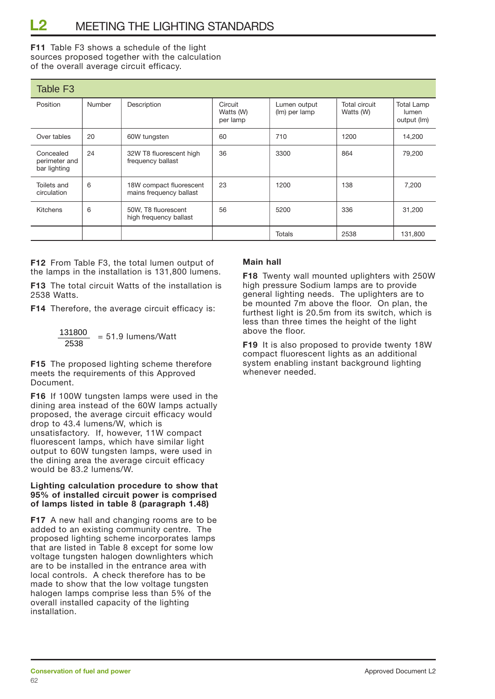#### **F11** Table F3 shows a schedule of the light sources proposed together with the calculation of the overall average circuit efficacy.

| Table F <sub>3</sub>                       |        |                                                    |                                  |                               |                            |                                           |
|--------------------------------------------|--------|----------------------------------------------------|----------------------------------|-------------------------------|----------------------------|-------------------------------------------|
| Position                                   | Number | Description                                        | Circuit<br>Watts (W)<br>per lamp | Lumen output<br>(lm) per lamp | Total circuit<br>Watts (W) | <b>Total Lamp</b><br>lumen<br>output (Im) |
| Over tables                                | 20     | 60W tungsten                                       | 60                               | 710                           | 1200                       | 14,200                                    |
| Concealed<br>perimeter and<br>bar lighting | 24     | 32W T8 fluorescent high<br>frequency ballast       | 36                               | 3300                          | 864                        | 79,200                                    |
| Toilets and<br>circulation                 | 6      | 18W compact fluorescent<br>mains frequency ballast | 23                               | 1200                          | 138                        | 7,200                                     |
| Kitchens                                   | 6      | 50W, T8 fluorescent<br>high frequency ballast      | 56                               | 5200                          | 336                        | 31,200                                    |
|                                            |        |                                                    |                                  | <b>Totals</b>                 | 2538                       | 131,800                                   |

**F12** From Table F3, the total lumen output of the lamps in the installation is 131,800 lumens.

**F13** The total circuit Watts of the installation is 2538 Watts.

**F14** Therefore, the average circuit efficacy is:

$$
\frac{131800}{2538} = 51.9
$$
 lumens/Watt

**F15** The proposed lighting scheme therefore meets the requirements of this Approved Document.

**F16** If 100W tungsten lamps were used in the dining area instead of the 60W lamps actually proposed, the average circuit efficacy would drop to 43.4 lumens/W, which is unsatisfactory. If, however, 11W compact fluorescent lamps, which have similar light output to 60W tungsten lamps, were used in the dining area the average circuit efficacy would be 83.2 lumens/W.

#### **Lighting calculation procedure to show that 95% of installed circuit power is comprised of lamps listed in table 8 (paragraph 1.48)**

**F17** A new hall and changing rooms are to be added to an existing community centre. The proposed lighting scheme incorporates lamps that are listed in Table 8 except for some low voltage tungsten halogen downlighters which are to be installed in the entrance area with local controls. A check therefore has to be made to show that the low voltage tungsten halogen lamps comprise less than 5% of the overall installed capacity of the lighting installation.

#### **Main hall**

**F18** Twenty wall mounted uplighters with 250W high pressure Sodium lamps are to provide general lighting needs. The uplighters are to be mounted 7m above the floor. On plan, the furthest light is 20.5m from its switch, which is less than three times the height of the light above the floor.

**F19** It is also proposed to provide twenty 18W compact fluorescent lights as an additional system enabling instant background lighting whenever needed.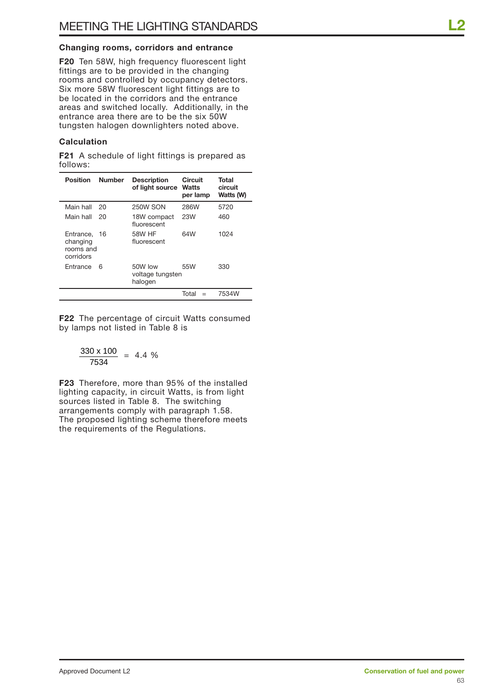#### **Changing rooms, corridors and entrance**

**F20** Ten 58W, high frequency fluorescent light fittings are to be provided in the changing rooms and controlled by occupancy detectors. Six more 58W fluorescent light fittings are to be located in the corridors and the entrance areas and switched locally. Additionally, in the entrance area there are to be the six 50W tungsten halogen downlighters noted above.

#### **Calculation**

**F21** A schedule of light fittings is prepared as follows:

| <b>Position</b>                                 | <b>Number</b> | <b>Description</b><br>of light source  | Circuit<br><b>Watts</b><br>per lamp | Total<br>circuit<br>Watts (W) |
|-------------------------------------------------|---------------|----------------------------------------|-------------------------------------|-------------------------------|
| Main hall                                       | 20            | <b>250W SON</b>                        | 286W                                | 5720                          |
| Main hall                                       | 20            | 18W compact<br>fluorescent             | 23W                                 | 460                           |
| Entrance.<br>changing<br>rooms and<br>corridors | 16            | 58W HF<br>fluorescent                  | 64W                                 | 1024                          |
| <b>Entrance</b>                                 | 6             | 50W low<br>voltage tungsten<br>halogen | 55W                                 | 330                           |
|                                                 |               |                                        | Total                               | 7534W                         |

**F22** The percentage of circuit Watts consumed by lamps not listed in Table 8 is

$$
\frac{330 \times 100}{7534} = 4.4 %
$$

**F23** Therefore, more than 95% of the installed lighting capacity, in circuit Watts, is from light sources listed in Table 8. The switching arrangements comply with paragraph 1.58. The proposed lighting scheme therefore meets the requirements of the Regulations.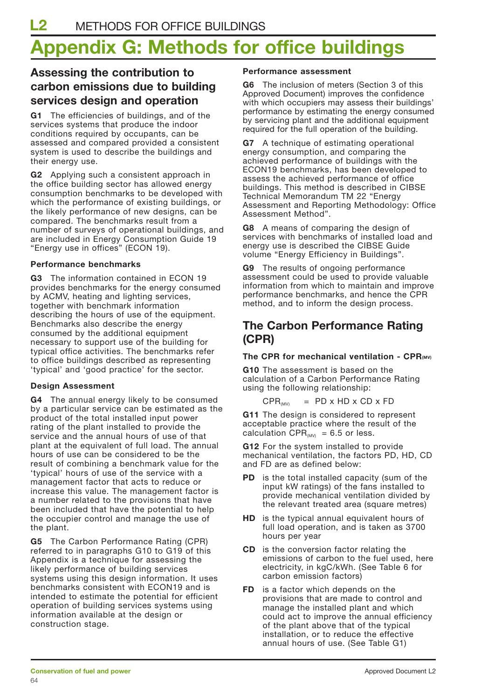# **Appendix G: Methods for office buildings**

### **Assessing the contribution to carbon emissions due to building services design and operation**

**G1** The efficiencies of buildings, and of the services systems that produce the indoor conditions required by occupants, can be assessed and compared provided a consistent system is used to describe the buildings and their energy use.

**G2** Applying such a consistent approach in the office building sector has allowed energy consumption benchmarks to be developed with which the performance of existing buildings, or the likely performance of new designs, can be compared. The benchmarks result from a number of surveys of operational buildings, and are included in Energy Consumption Guide 19 "Energy use in offices" (ECON 19).

#### **Performance benchmarks**

**G3** The information contained in ECON 19 provides benchmarks for the energy consumed by ACMV, heating and lighting services, together with benchmark information describing the hours of use of the equipment. Benchmarks also describe the energy consumed by the additional equipment necessary to support use of the building for typical office activities. The benchmarks refer to office buildings described as representing 'typical' and 'good practice' for the sector.

#### **Design Assessment**

**G4** The annual energy likely to be consumed by a particular service can be estimated as the product of the total installed input power rating of the plant installed to provide the service and the annual hours of use of that plant at the equivalent of full load. The annual hours of use can be considered to be the result of combining a benchmark value for the 'typical' hours of use of the service with a management factor that acts to reduce or increase this value. The management factor is a number related to the provisions that have been included that have the potential to help the occupier control and manage the use of the plant.

**G5** The Carbon Performance Rating (CPR) referred to in paragraphs G10 to G19 of this Appendix is a technique for assessing the likely performance of building services systems using this design information. It uses benchmarks consistent with ECON19 and is intended to estimate the potential for efficient operation of building services systems using information available at the design or construction stage.

#### **Performance assessment**

**G6** The inclusion of meters (Section 3 of this Approved Document) improves the confidence with which occupiers may assess their buildings' performance by estimating the energy consumed by servicing plant and the additional equipment required for the full operation of the building.

**G7** A technique of estimating operational energy consumption, and comparing the achieved performance of buildings with the ECON19 benchmarks, has been developed to assess the achieved performance of office buildings. This method is described in CIBSE Technical Memorandum TM 22 "Energy Assessment and Reporting Methodology: Office Assessment Method".

**G8** A means of comparing the design of services with benchmarks of installed load and energy use is described the CIBSE Guide volume "Energy Efficiency in Buildings".

**G9** The results of ongoing performance assessment could be used to provide valuable information from which to maintain and improve performance benchmarks, and hence the CPR method, and to inform the design process.

### **The Carbon Performance Rating (CPR)**

#### **The CPR for mechanical ventilation - CPR**

**G10** The assessment is based on the calculation of a Carbon Performance Rating using the following relationship:

 $CPR_{MVD}$  = PD x HD x CD x FD

**G11** The design is considered to represent acceptable practice where the result of the calculation  $\text{CPR}_{\text{MVD}} = 6.5$  or less.

**G12** For the system installed to provide mechanical ventilation, the factors PD, HD, CD and FD are as defined below:

- **PD** is the total installed capacity (sum of the input kW ratings) of the fans installed to provide mechanical ventilation divided by the relevant treated area (square metres)
- **HD** is the typical annual equivalent hours of full load operation, and is taken as 3700 hours per year
- **CD** is the conversion factor relating the emissions of carbon to the fuel used, here electricity, in kgC/kWh. (See Table 6 for carbon emission factors)
- **FD** is a factor which depends on the provisions that are made to control and manage the installed plant and which could act to improve the annual efficiency of the plant above that of the typical installation, or to reduce the effective annual hours of use. (See Table G1)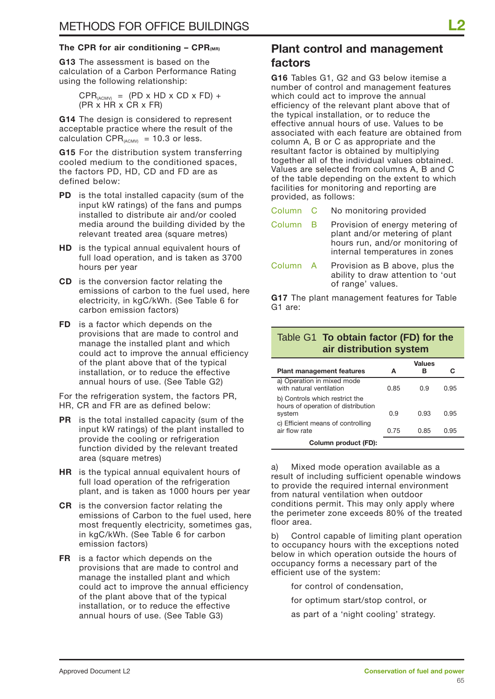#### **The CPR for air conditioning – CPR(MR)**

**G13** The assessment is based on the calculation of a Carbon Performance Rating using the following relationship:

> $CPR_{\text{GCMW}} = (PD \times HD \times CD \times FD) +$ (PR x HR x CR x FR)

**G14** The design is considered to represent acceptable practice where the result of the calculation  $\text{CPR}_{\text{ACMM}} = 10.3$  or less.

**G15** For the distribution system transferring cooled medium to the conditioned spaces, the factors PD, HD, CD and FD are as defined below:

- **PD** is the total installed capacity (sum of the input kW ratings) of the fans and pumps installed to distribute air and/or cooled media around the building divided by the relevant treated area (square metres)
- **HD** is the typical annual equivalent hours of full load operation, and is taken as 3700 hours per year
- **CD** is the conversion factor relating the emissions of carbon to the fuel used, here electricity, in kgC/kWh. (See Table 6 for carbon emission factors)
- **FD** is a factor which depends on the provisions that are made to control and manage the installed plant and which could act to improve the annual efficiency of the plant above that of the typical installation, or to reduce the effective annual hours of use. (See Table G2)

For the refrigeration system, the factors PR, HR, CR and FR are as defined below:

- **PR** is the total installed capacity (sum of the input kW ratings) of the plant installed to provide the cooling or refrigeration function divided by the relevant treated area (square metres)
- **HR** is the typical annual equivalent hours of full load operation of the refrigeration plant, and is taken as 1000 hours per year
- **CR** is the conversion factor relating the emissions of Carbon to the fuel used, here most frequently electricity, sometimes gas, in kgC/kWh. (See Table 6 for carbon emission factors)
- **FR** is a factor which depends on the provisions that are made to control and manage the installed plant and which could act to improve the annual efficiency of the plant above that of the typical installation, or to reduce the effective annual hours of use. (See Table G3)

### **Plant control and management factors**

**G16** Tables G1, G2 and G3 below itemise a number of control and management features which could act to improve the annual efficiency of the relevant plant above that of the typical installation, or to reduce the effective annual hours of use. Values to be associated with each feature are obtained from column A, B or C as appropriate and the resultant factor is obtained by multiplying together all of the individual values obtained. Values are selected from columns A, B and C of the table depending on the extent to which facilities for monitoring and reporting are provided, as follows:

- Column C No monitoring provided
- Column B Provision of energy metering of plant and/or metering of plant hours run, and/or monitoring of internal temperatures in zones
- Column A Provision as B above, plus the ability to draw attention to 'out of range' values.

**G17** The plant management features for Table G1 are:

#### Table G1 **To obtain factor (FD) for the air distribution system**

|                                                                                |      | Values |      |
|--------------------------------------------------------------------------------|------|--------|------|
| <b>Plant management features</b>                                               | А    |        | c    |
| a) Operation in mixed mode<br>with natural ventilation                         | 0.85 | 0.9    | 0.95 |
| b) Controls which restrict the<br>hours of operation of distribution<br>system | 0.9  | 0.93   | 0.95 |
| c) Efficient means of controlling<br>air flow rate                             | 0.75 | 0.85   | 0.95 |
| Column product (FD):                                                           |      |        |      |

a) Mixed mode operation available as a result of including sufficient openable windows to provide the required internal environment from natural ventilation when outdoor conditions permit. This may only apply where the perimeter zone exceeds 80% of the treated floor area.

b) Control capable of limiting plant operation to occupancy hours with the exceptions noted below in which operation outside the hours of occupancy forms a necessary part of the efficient use of the system:

- for control of condensation,
- for optimum start/stop control, or
- as part of a 'night cooling' strategy.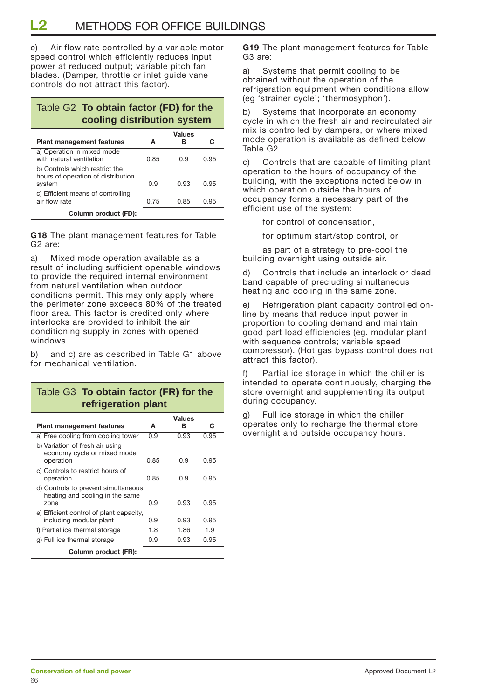c) Air flow rate controlled by a variable motor speed control which efficiently reduces input power at reduced output; variable pitch fan blades. (Damper, throttle or inlet guide vane controls do not attract this factor).

#### Table G2 **To obtain factor (FD) for the cooling distribution system**

| <b>Plant management features</b>                                               | A    | <b>Values</b><br>в | c    |
|--------------------------------------------------------------------------------|------|--------------------|------|
| a) Operation in mixed mode<br>with natural ventilation                         | 0.85 | 0.9                | 0.95 |
| b) Controls which restrict the<br>hours of operation of distribution<br>system | 0.9  | 0.93               | 0.95 |
| c) Efficient means of controlling<br>air flow rate                             | 0.75 | 0.85               | በ.95 |
| Column product (FD):                                                           |      |                    |      |

**G18** The plant management features for Table G2 are:

a) Mixed mode operation available as a result of including sufficient openable windows to provide the required internal environment from natural ventilation when outdoor conditions permit. This may only apply where the perimeter zone exceeds 80% of the treated floor area. This factor is credited only where interlocks are provided to inhibit the air conditioning supply in zones with opened windows.

b) and c) are as described in Table G1 above for mechanical ventilation.

### Table G3 **To obtain factor (FR) for the refrigeration plant**

|                                                                                |      | Values |      |
|--------------------------------------------------------------------------------|------|--------|------|
| <b>Plant management features</b>                                               | A    | в      | С    |
| a) Free cooling from cooling tower                                             | 0.9  | 0.93   | 0.95 |
| b) Variation of fresh air using<br>economy cycle or mixed mode<br>operation    | 0.85 | 0.9    | 0.95 |
| c) Controls to restrict hours of<br>operation                                  | 0.85 | 0.9    | 0.95 |
| d) Controls to prevent simultaneous<br>heating and cooling in the same<br>zone | 0.9  | 0.93   | 0.95 |
| e) Efficient control of plant capacity,<br>including modular plant             | 0.9  | 0.93   | 0.95 |
| f) Partial ice thermal storage                                                 | 1.8  | 1.86   | 1.9  |
| g) Full ice thermal storage                                                    | 0.9  | 0.93   | 0.95 |
| Column product (FR):                                                           |      |        |      |

**G19** The plant management features for Table G3 are:

a) Systems that permit cooling to be obtained without the operation of the refrigeration equipment when conditions allow (eg 'strainer cycle'; 'thermosyphon').

b) Systems that incorporate an economy cycle in which the fresh air and recirculated air mix is controlled by dampers, or where mixed mode operation is available as defined below Table G2.

c) Controls that are capable of limiting plant operation to the hours of occupancy of the building, with the exceptions noted below in which operation outside the hours of occupancy forms a necessary part of the efficient use of the system:

for control of condensation,

for optimum start/stop control, or

as part of a strategy to pre-cool the building overnight using outside air.

d) Controls that include an interlock or dead band capable of precluding simultaneous heating and cooling in the same zone.

e) Refrigeration plant capacity controlled online by means that reduce input power in proportion to cooling demand and maintain good part load efficiencies (eg. modular plant with sequence controls; variable speed compressor). (Hot gas bypass control does not attract this factor).

f) Partial ice storage in which the chiller is intended to operate continuously, charging the store overnight and supplementing its output during occupancy.

g) Full ice storage in which the chiller operates only to recharge the thermal store overnight and outside occupancy hours.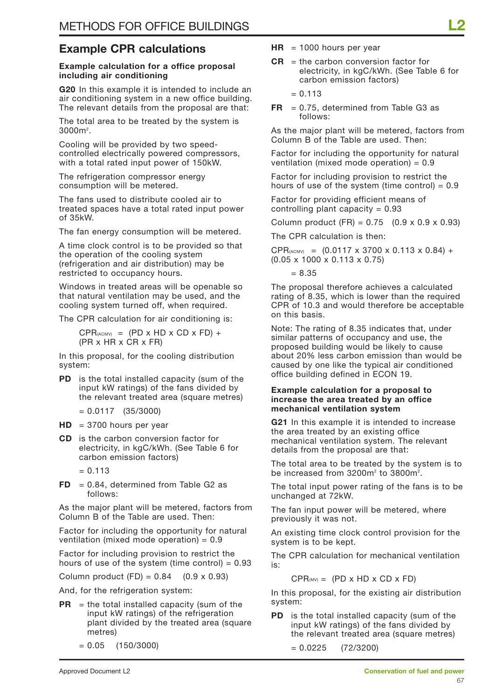### **Example CPR calculations**

#### **Example calculation for a office proposal including air conditioning**

**G20** In this example it is intended to include an air conditioning system in a new office building. The relevant details from the proposal are that:

The total area to be treated by the system is  $3000m^2$ .

Cooling will be provided by two speedcontrolled electrically powered compressors, with a total rated input power of 150kW.

The refrigeration compressor energy consumption will be metered.

The fans used to distribute cooled air to treated spaces have a total rated input power of 35kW.

The fan energy consumption will be metered.

A time clock control is to be provided so that the operation of the cooling system (refrigeration and air distribution) may be restricted to occupancy hours.

Windows in treated areas will be openable so that natural ventilation may be used, and the cooling system turned off, when required.

The CPR calculation for air conditioning is:

 $CPR$ <sub>(ACMV)</sub> = (PD x HD x CD x FD) + (PR x HR x CR x FR)

In this proposal, for the cooling distribution system:

- **PD** is the total installed capacity (sum of the input kW ratings) of the fans divided by the relevant treated area (square metres)
	- $= 0.0117$  (35/3000)
- **HD** = 3700 hours per year
- **CD** is the carbon conversion factor for electricity, in kgC/kWh. (See Table 6 for carbon emission factors)
	- $= 0.113$
- $FD = 0.84$ , determined from Table G2 as follows:

As the major plant will be metered, factors from Column B of the Table are used. Then:

Factor for including the opportunity for natural ventilation (mixed mode operation) = 0.9

Factor for including provision to restrict the hours of use of the system (time control)  $= 0.93$ 

Column product  $(FD) = 0.84$  (0.9 x 0.93)

And, for the refrigeration system:

**PR** = the total installed capacity (sum of the input kW ratings) of the refrigeration plant divided by the treated area (square metres)

 $= 0.05$  (150/3000)

- $HR = 1000$  hours per year
- **CR** = the carbon conversion factor for electricity, in kgC/kWh. (See Table 6 for carbon emission factors)

 $= 0.113$ 

 $FR = 0.75$ , determined from Table G3 as follows:

As the major plant will be metered, factors from Column B of the Table are used. Then:

Factor for including the opportunity for natural ventilation (mixed mode operation) =  $0.9$ 

Factor for including provision to restrict the hours of use of the system (time control)  $= 0.9$ 

Factor for providing efficient means of controlling plant capacity  $= 0.93$ 

Column product (FR) =  $0.75$  (0.9 x 0.9 x 0.93)

The CPR calculation is then:

 $CPR_{(ACMV)} = (0.0117 \times 3700 \times 0.113 \times 0.84) +$ (0.05 x 1000 x 0.113 x 0.75)

 $-8.35$ 

The proposal therefore achieves a calculated rating of 8.35, which is lower than the required CPR of 10.3 and would therefore be acceptable on this basis.

Note: The rating of 8.35 indicates that, under similar patterns of occupancy and use, the proposed building would be likely to cause about 20% less carbon emission than would be caused by one like the typical air conditioned office building defined in ECON 19.

#### **Example calculation for a proposal to increase the area treated by an office mechanical ventilation system**

**G21** In this example it is intended to increase the area treated by an existing office mechanical ventilation system. The relevant details from the proposal are that:

The total area to be treated by the system is to be increased from  $3200$ m $^2$  to  $3800$ m $^2$ .

The total input power rating of the fans is to be unchanged at 72kW.

The fan input power will be metered, where previously it was not.

An existing time clock control provision for the system is to be kept.

The CPR calculation for mechanical ventilation is:

 $CPR_{(MV)} = (PD \times HD \times CD \times FD)$ 

In this proposal, for the existing air distribution system:

**PD** is the total installed capacity (sum of the input kW ratings) of the fans divided by the relevant treated area (square metres)

 $= 0.0225$  (72/3200)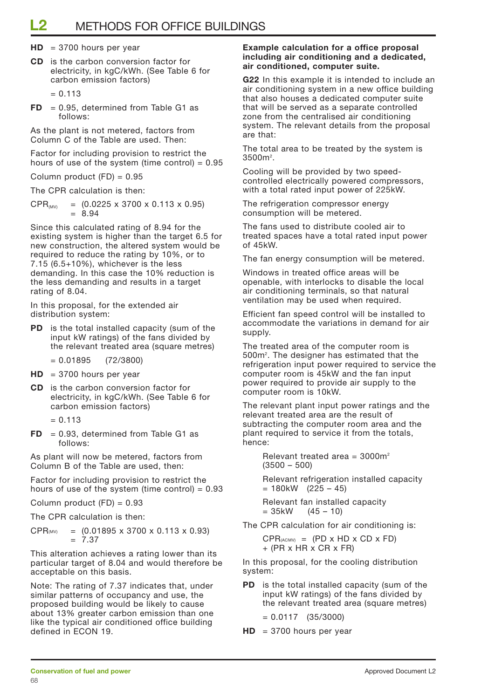### **L2** METHODS FOR OFFICE BUILDINGS

**HD** = 3700 hours per year

**CD** is the carbon conversion factor for electricity, in kgC/kWh. (See Table 6 for carbon emission factors)

 $FD = 0.95$ , determined from Table G1 as follows:

As the plant is not metered, factors from Column C of the Table are used. Then:

Factor for including provision to restrict the hours of use of the system (time control) =  $0.95$ 

Column product  $(FD) = 0.95$ 

The CPR calculation is then:

 $CPR_{\text{M}\text{M}} = (0.0225 \times 3700 \times 0.113 \times 0.95)$  $= 8.94$ 

Since this calculated rating of 8.94 for the existing system is higher than the target 6.5 for new construction, the altered system would be required to reduce the rating by 10%, or to 7.15 (6.5+10%), whichever is the less demanding. In this case the 10% reduction is the less demanding and results in a target rating of 8.04.

In this proposal, for the extended air distribution system:

- **PD** is the total installed capacity (sum of the input kW ratings) of the fans divided by the relevant treated area (square metres)
	- $= 0.01895$  (72/3800)
- $HD = 3700$  hours per year
- **CD** is the carbon conversion factor for electricity, in kgC/kWh. (See Table 6 for carbon emission factors)

$$
= 0.113
$$

 $FD = 0.93$ , determined from Table G1 as follows:

As plant will now be metered, factors from Column B of the Table are used, then:

Factor for including provision to restrict the hours of use of the system (time control)  $= 0.93$ 

Column product (FD) = 0.93

The CPR calculation is then:

 $CPR_{(MW)} = (0.01895 \times 3700 \times 0.113 \times 0.93)$  $= 7.37$ 

This alteration achieves a rating lower than its particular target of 8.04 and would therefore be acceptable on this basis.

Note: The rating of 7.37 indicates that, under similar patterns of occupancy and use, the proposed building would be likely to cause about 13% greater carbon emission than one like the typical air conditioned office building defined in ECON 19.

#### **Example calculation for a office proposal including air conditioning and a dedicated, air conditioned, computer suite.**

**G22** In this example it is intended to include an air conditioning system in a new office building that also houses a dedicated computer suite that will be served as a separate controlled zone from the centralised air conditioning system. The relevant details from the proposal are that:

The total area to be treated by the system is  $3500m^2$ .

Cooling will be provided by two speedcontrolled electrically powered compressors, with a total rated input power of 225kW.

The refrigeration compressor energy consumption will be metered.

The fans used to distribute cooled air to treated spaces have a total rated input power of 45kW.

The fan energy consumption will be metered.

Windows in treated office areas will be openable, with interlocks to disable the local air conditioning terminals, so that natural ventilation may be used when required.

Efficient fan speed control will be installed to accommodate the variations in demand for air supply.

The treated area of the computer room is 500m<sup>2</sup>. The designer has estimated that the refrigeration input power required to service the computer room is 45kW and the fan input power required to provide air supply to the computer room is 10kW.

The relevant plant input power ratings and the relevant treated area are the result of subtracting the computer room area and the plant required to service it from the totals, hence:

Relevant treated area =  $3000m^2$ (3500 – 500)

Relevant refrigeration installed capacity  $= 180$ kW (225 – 45)

Relevant fan installed capacity  $= 35$ kW  $(45 - 10)$ 

The CPR calculation for air conditioning is:

 $CPR_{\langle\text{ACMV}\rangle}$  = (PD x HD x CD x FD) + (PR x HR x CR x FR)

In this proposal, for the cooling distribution system:

**PD** is the total installed capacity (sum of the input kW ratings) of the fans divided by the relevant treated area (square metres)

 $= 0.0117$  (35/3000)

 $HD = 3700$  hours per year

 $= 0.113$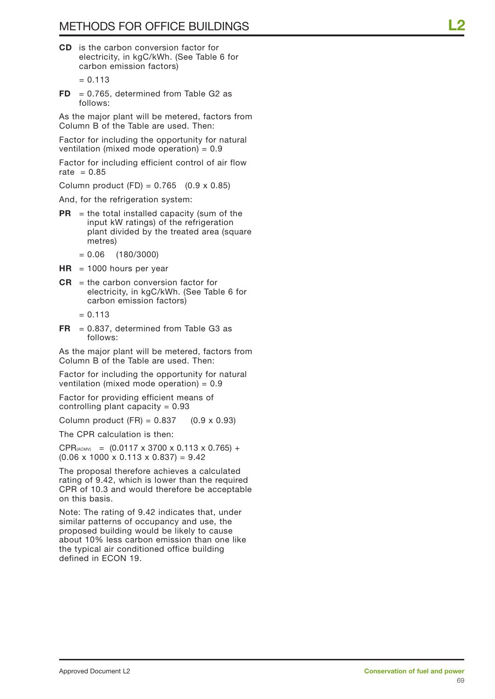**CD** is the carbon conversion factor for electricity, in kgC/kWh. (See Table 6 for carbon emission factors)

 $= 0.113$ 

 $FD = 0.765$ , determined from Table G2 as follows:

As the major plant will be metered, factors from Column B of the Table are used. Then:

Factor for including the opportunity for natural ventilation (mixed mode operation) =  $0.9$ 

Factor for including efficient control of air flow rate  $= 0.85$ 

Column product (FD) =  $0.765$  (0.9 x 0.85)

And, for the refrigeration system:

- $PR =$  the total installed capacity (sum of the input kW ratings) of the refrigeration plant divided by the treated area (square metres)
	- $= 0.06$  (180/3000)
- $HR = 1000$  hours per year
- **CR** = the carbon conversion factor for electricity, in kgC/kWh. (See Table 6 for carbon emission factors)
	- $= 0.113$
- $FR = 0.837$ , determined from Table G3 as follows:

As the major plant will be metered, factors from Column B of the Table are used. Then:

Factor for including the opportunity for natural ventilation (mixed mode operation) =  $0.9$ 

Factor for providing efficient means of controlling plant capacity  $= 0.93$ 

Column product  $(FR) = 0.837$  (0.9 x 0.93)

The CPR calculation is then:

 $CPR_{(ACMV)} = (0.0117 \times 3700 \times 0.113 \times 0.765) +$  $(0.06 \times 1000 \times 0.113 \times 0.837) = 9.42$ 

The proposal therefore achieves a calculated rating of 9.42, which is lower than the required CPR of 10.3 and would therefore be acceptable on this basis.

Note: The rating of 9.42 indicates that, under similar patterns of occupancy and use, the proposed building would be likely to cause about 10% less carbon emission than one like the typical air conditioned office building defined in ECON 19.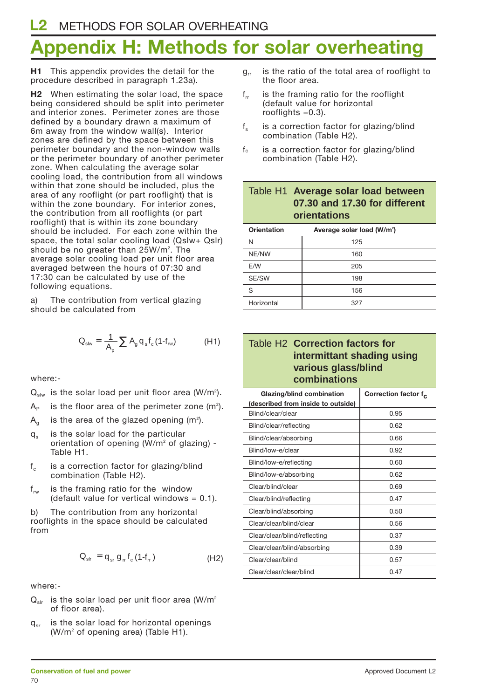# **Appendix H: Methods for solar overheating**

**H1** This appendix provides the detail for the procedure described in paragraph 1.23a).

**H2** When estimating the solar load, the space being considered should be split into perimeter and interior zones. Perimeter zones are those defined by a boundary drawn a maximum of 6m away from the window wall(s). Interior zones are defined by the space between this perimeter boundary and the non-window walls or the perimeter boundary of another perimeter zone. When calculating the average solar cooling load, the contribution from all windows within that zone should be included, plus the area of any rooflight (or part rooflight) that is within the zone boundary. For interior zones, the contribution from all rooflights (or part rooflight) that is within its zone boundary should be included. For each zone within the space, the total solar cooling load (Qslw+ Qslr) should be no greater than 25W/m<sup>2</sup>. The average solar cooling load per unit floor area averaged between the hours of 07:30 and 17:30 can be calculated by use of the following equations.

a) The contribution from vertical glazing should be calculated from

$$
Q_{\text{slw}} = \frac{1}{A_{p}} \sum A_{g} q_{s} f_{c} (1 - f_{rw})
$$
 (H1)

where:-

 $\mathsf{Q}_{\mathsf{slw}}$  is the solar load per unit floor area (W/m²).

- ${\sf A}_{\sf P}\;$  is the floor area of the perimeter zone (m²).
- $\mathsf{A}_\mathsf{g}$  is the area of the glazed opening (m²).
- qs is the solar load for the particular orientation of opening (W/m<sup>2</sup> of glazing) -Table H1.
- $f_c$  is a correction factor for glazing/blind combination (Table H2).
- $f_{rw}$  is the framing ratio for the window (default value for vertical windows  $= 0.1$ ).

b) The contribution from any horizontal rooflights in the space should be calculated from

$$
Q_{\rm slr} = q_{\rm sr} g_{\rm rr} f_{\rm c} (1-f_{\rm rr}) \qquad (H2)
$$

where:-

- $Q_{\text{str}}$  is the solar load per unit floor area (W/m<sup>2</sup> of floor area).
- $q_{sr}$  is the solar load for horizontal openings (W/m2 of opening area) (Table H1).
- $g_{rr}$  is the ratio of the total area of rooflight to the floor area.
- $f_{rr}$  is the framing ratio for the rooflight (default value for horizontal rooflights  $=0.3$ ).
- $f_s$  is a correction factor for glazing/blind combination (Table H2).
- fc is a correction factor for glazing/blind combination (Table H2).

### Table H1 **Average solar load between 07.30 and 17.30 for different orientations**

| Orientation | Average solar load (W/m <sup>2</sup> ) |
|-------------|----------------------------------------|
| N           | 125                                    |
| NE/NW       | 160                                    |
| E/W         | 205                                    |
| SE/SW       | 198                                    |
| S           | 156                                    |
| Horizontal  | 327                                    |

### Table H2 **Correction factors for intermittant shading using various glass/blind combinations**

| Glazing/blind combination          | Correction factor f <sub>c</sub> |
|------------------------------------|----------------------------------|
| (described from inside to outside) |                                  |
| Blind/clear/clear                  | 0.95                             |
| Blind/clear/reflecting             | 0.62                             |
| Blind/clear/absorbing              | 0.66                             |
| Blind/low-e/clear                  | 0.92                             |
| Blind/low-e/reflecting             | 0.60                             |
| Blind/low-e/absorbing              | 0.62                             |
| Clear/blind/clear                  | 0.69                             |
| Clear/blind/reflecting             | 0.47                             |
| Clear/blind/absorbing              | 0.50                             |
| Clear/clear/blind/clear            | 0.56                             |
| Clear/clear/blind/reflecting       | 0.37                             |
| Clear/clear/blind/absorbing        | 0.39                             |
| Clear/clear/blind                  | 0.57                             |
| Clear/clear/clear/blind            | 0.47                             |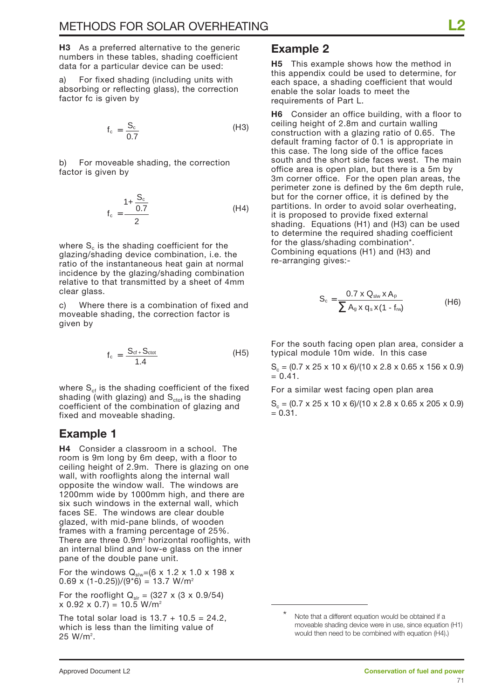**H3** As a preferred alternative to the generic numbers in these tables, shading coefficient data for a particular device can be used:

a) For fixed shading (including units with absorbing or reflecting glass), the correction factor fc is given by

$$
f_c = \frac{S_c}{0.7}
$$
 (H3)

b) For moveable shading, the correction factor is given by

$$
f_c = \frac{1 + \frac{S_c}{0.7}}{2}
$$
 (H4)

where  $S_c$  is the shading coefficient for the glazing/shading device combination, i.e. the ratio of the instantaneous heat gain at normal incidence by the glazing/shading combination relative to that transmitted by a sheet of 4mm clear glass.

c) Where there is a combination of fixed and moveable shading, the correction factor is given by

$$
f_c = \frac{S_{ct} + S_{ctot}}{1.4}
$$
 (H5)

where  $S_{cf}$  is the shading coefficient of the fixed shading (with glazing) and  $S<sub>ctot</sub>$  is the shading coefficient of the combination of glazing and fixed and moveable shading.

### **Example 1**

**H4** Consider a classroom in a school. The room is 9m long by 6m deep, with a floor to ceiling height of 2.9m. There is glazing on one wall, with rooflights along the internal wall opposite the window wall. The windows are 1200mm wide by 1000mm high, and there are six such windows in the external wall, which faces SE. The windows are clear double glazed, with mid-pane blinds, of wooden frames with a framing percentage of 25%. There are three  $0.9m<sup>2</sup>$  horizontal rooflights, with an internal blind and low-e glass on the inner pane of the double pane unit.

For the windows  $Q_{\text{slw}}$ =(6 x 1.2 x 1.0 x 198 x  $0.69 \times (1 - 0.25) / (9 \cdot 6) = 13.7 \text{ W/m}^2$ 

For the rooflight  $Q_{\text{str}} = (327 \times (3 \times 0.9/54))$  $x$  0.92  $x$  0.7) = 10.5 W/m<sup>2</sup>

The total solar load is  $13.7 + 10.5 = 24.2$ , which is less than the limiting value of 25 W/m<sup>2</sup>.

### **Example 2**

**H5** This example shows how the method in this appendix could be used to determine, for each space, a shading coefficient that would enable the solar loads to meet the requirements of Part L.

**H6** Consider an office building, with a floor to ceiling height of 2.8m and curtain walling construction with a glazing ratio of 0.65. The default framing factor of 0.1 is appropriate in this case. The long side of the office faces south and the short side faces west. The main office area is open plan, but there is a 5m by 3m corner office. For the open plan areas, the perimeter zone is defined by the 6m depth rule, but for the corner office, it is defined by the partitions. In order to avoid solar overheating, it is proposed to provide fixed external shading. Equations (H1) and (H3) can be used to determine the required shading coefficient for the glass/shading combination\*. Combining equations (H1) and (H3) and re-arranging gives:-

$$
S_c = \frac{0.7 \times Q_{\text{slw}} \times A_p}{\sum A_g \times q_s \times (1 - f_{\text{rw}})}
$$
(H6)

For the south facing open plan area, consider a typical module 10m wide. In this case

 $S_c = (0.7 \times 25 \times 10 \times 6)/(10 \times 2.8 \times 0.65 \times 156 \times 0.9)$  $= 0.41$ .

For a similar west facing open plan area

 $S_c = (0.7 \times 25 \times 10 \times 6)/(10 \times 2.8 \times 0.65 \times 205 \times 0.9)$  $= 0.31.$ 

Note that a different equation would be obtained if a moveable shading device were in use, since equation (H1) would then need to be combined with equation (H4).)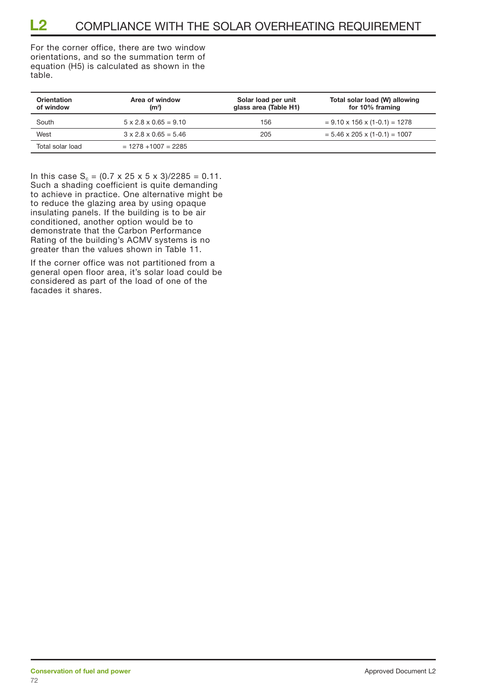For the corner office, there are two window orientations, and so the summation term of equation (H5) is calculated as shown in the table.

| <b>Orientation</b><br>of window | Area of window<br>(m <sup>2</sup> ) | Solar load per unit<br>glass area (Table H1) | Total solar load (W) allowing<br>for 10% framing |
|---------------------------------|-------------------------------------|----------------------------------------------|--------------------------------------------------|
| South                           | $5 \times 2.8 \times 0.65 = 9.10$   | 156                                          | $= 9.10 \times 156 \times (1 - 0.1) = 1278$      |
| West                            | $3 \times 2.8 \times 0.65 = 5.46$   | 205                                          | $= 5.46 \times 205 \times (1 - 0.1) = 1007$      |
| Total solar load                | $= 1278 + 1007 = 2285$              |                                              |                                                  |

In this case  $S_c = (0.7 \times 25 \times 5 \times 3)/2285 = 0.11$ . Such a shading coefficient is quite demanding to achieve in practice. One alternative might be to reduce the glazing area by using opaque insulating panels. If the building is to be air conditioned, another option would be to demonstrate that the Carbon Performance Rating of the building's ACMV systems is no greater than the values shown in Table 11.

If the corner office was not partitioned from a general open floor area, it's solar load could be considered as part of the load of one of the facades it shares.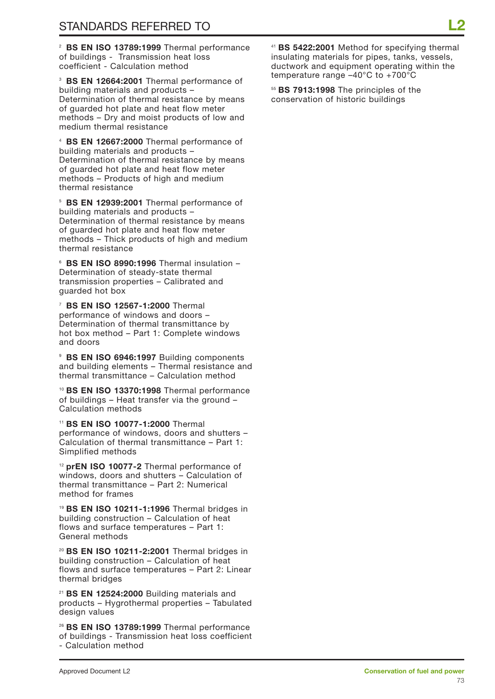<sup>2</sup> **BS EN ISO 13789:1999** Thermal performance of buildings - Transmission heat loss coefficient - Calculation method

<sup>3</sup> **BS EN 12664:2001** Thermal performance of building materials and products – Determination of thermal resistance by means of guarded hot plate and heat flow meter methods – Dry and moist products of low and medium thermal resistance

<sup>4</sup> **BS EN 12667:2000** Thermal performance of building materials and products -Determination of thermal resistance by means of guarded hot plate and heat flow meter methods – Products of high and medium thermal resistance

<sup>5</sup> **BS EN 12939:2001** Thermal performance of building materials and products – Determination of thermal resistance by means of guarded hot plate and heat flow meter methods – Thick products of high and medium thermal resistance

<sup>6</sup> **BS EN ISO 8990:1996** Thermal insulation – Determination of steady-state thermal transmission properties – Calibrated and guarded hot box

<sup>7</sup> **BS EN ISO 12567-1:2000** Thermal performance of windows and doors – Determination of thermal transmittance by hot box method – Part 1: Complete windows and doors

<sup>9</sup> **BS EN ISO 6946:1997** Building components and building elements – Thermal resistance and thermal transmittance – Calculation method

<sup>10</sup> **BS EN ISO 13370:1998** Thermal performance of buildings – Heat transfer via the ground – Calculation methods

<sup>11</sup>**BS EN ISO 10077-1:2000** Thermal performance of windows, doors and shutters – Calculation of thermal transmittance – Part 1: Simplified methods

<sup>12</sup> **prEN ISO 10077-2** Thermal performance of windows, doors and shutters – Calculation of thermal transmittance – Part 2: Numerical method for frames

<sup>19</sup> **BS EN ISO 10211-1:1996** Thermal bridges in building construction – Calculation of heat flows and surface temperatures – Part 1: General methods

<sup>20</sup> **BS EN ISO 10211-2:2001** Thermal bridges in building construction – Calculation of heat flows and surface temperatures – Part 2: Linear thermal bridges

<sup>21</sup> **BS EN 12524:2000** Building materials and products – Hygrothermal properties – Tabulated design values

<sup>26</sup> **BS EN ISO 13789:1999** Thermal performance of buildings - Transmission heat loss coefficient - Calculation method

<sup>41</sup> **BS 5422:2001** Method for specifying thermal insulating materials for pipes, tanks, vessels, ductwork and equipment operating within the temperature range –40°C to +700°C

<sup>55</sup> **BS 7913:1998** The principles of the conservation of historic buildings